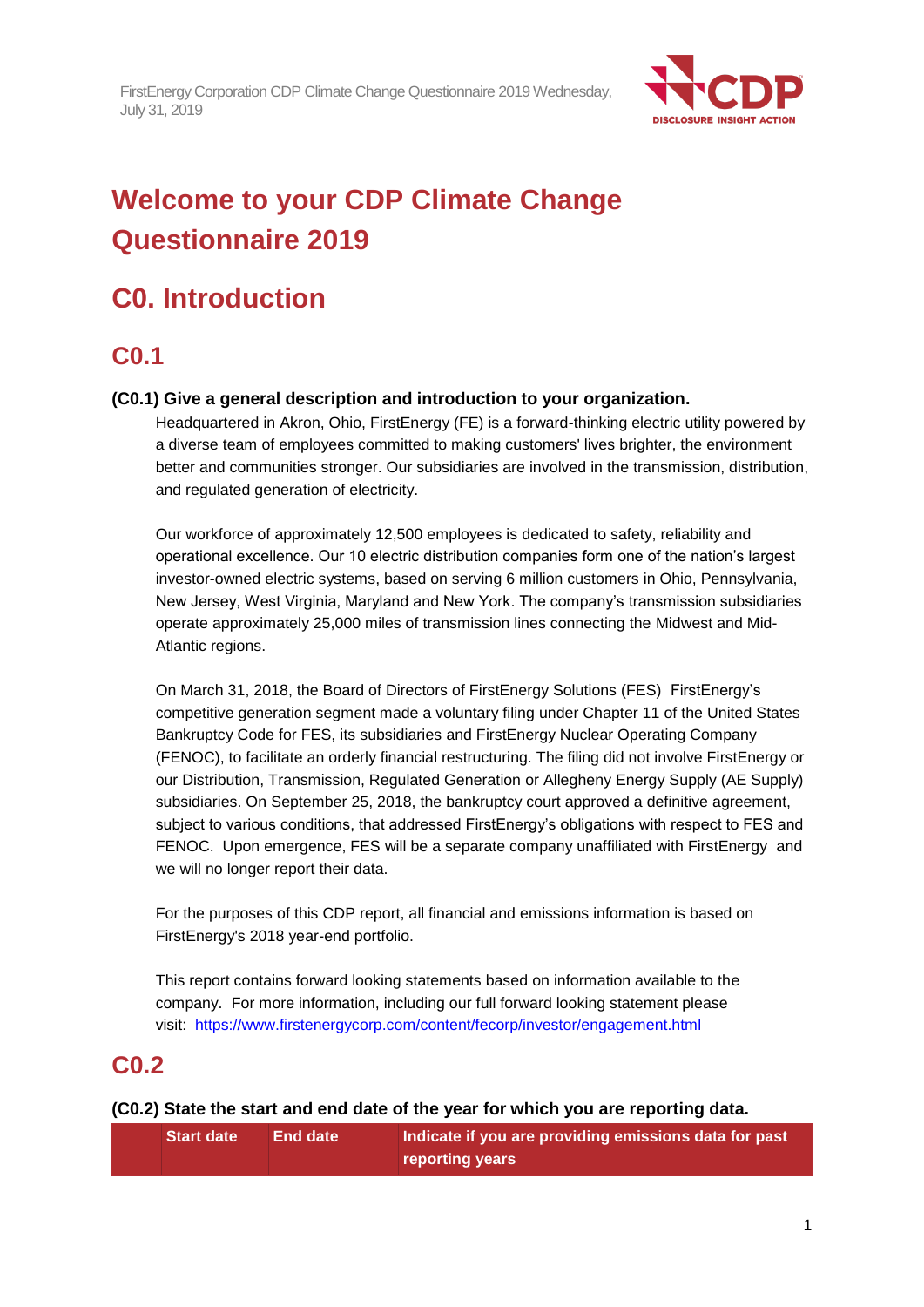

# **Welcome to your CDP Climate Change Questionnaire 2019**

# **C0. Introduction**

## **C0.1**

## **(C0.1) Give a general description and introduction to your organization.**

Headquartered in Akron, Ohio, FirstEnergy (FE) is a forward-thinking electric utility powered by a diverse team of employees committed to making customers' lives brighter, the environment better and communities stronger. Our subsidiaries are involved in the transmission, distribution, and regulated generation of electricity.

Our workforce of approximately 12,500 employees is dedicated to safety, reliability and operational excellence. Our 10 electric distribution companies form one of the nation's largest investor-owned electric systems, based on serving 6 million customers in Ohio, Pennsylvania, New Jersey, West Virginia, Maryland and New York. The company's transmission subsidiaries operate approximately 25,000 miles of transmission lines connecting the Midwest and Mid-Atlantic regions.

On March 31, 2018, the Board of Directors of FirstEnergy Solutions (FES) FirstEnergy's competitive generation segment made a voluntary filing under Chapter 11 of the United States Bankruptcy Code for FES, its subsidiaries and FirstEnergy Nuclear Operating Company (FENOC), to facilitate an orderly financial restructuring. The filing did not involve FirstEnergy or our Distribution, Transmission, Regulated Generation or Allegheny Energy Supply (AE Supply) subsidiaries. On September 25, 2018, the bankruptcy court approved a definitive agreement, subject to various conditions, that addressed FirstEnergy's obligations with respect to FES and FENOC. Upon emergence, FES will be a separate company unaffiliated with FirstEnergy and we will no longer report their data.

For the purposes of this CDP report, all financial and emissions information is based on FirstEnergy's 2018 year-end portfolio.

This report contains forward looking statements based on information available to the company. For more information, including our full forward looking statement please visit: <https://www.firstenergycorp.com/content/fecorp/investor/engagement.html>

## **C0.2**

## **(C0.2) State the start and end date of the year for which you are reporting data.**

| <b>Start date</b> | <b>End date</b> | Indicate if you are providing emissions data for past |
|-------------------|-----------------|-------------------------------------------------------|
|                   |                 | reporting years                                       |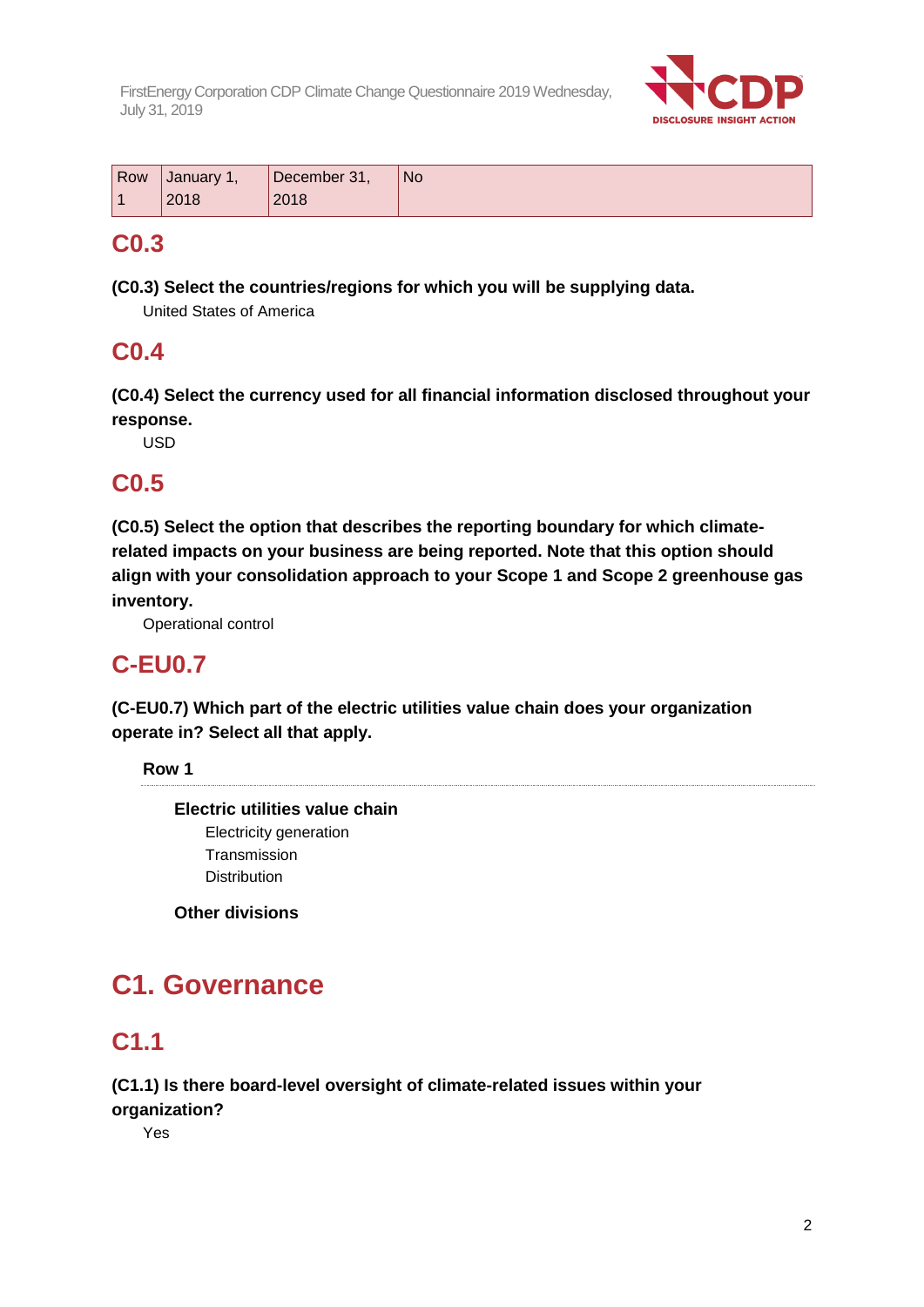

| Row            | <b>January 1,</b> | December 31, | <b>No</b> |
|----------------|-------------------|--------------|-----------|
| $\overline{A}$ | 2018              | 2018         |           |

## **C0.3**

**(C0.3) Select the countries/regions for which you will be supplying data.**

United States of America

## **C0.4**

**(C0.4) Select the currency used for all financial information disclosed throughout your response.**

USD

## **C0.5**

**(C0.5) Select the option that describes the reporting boundary for which climaterelated impacts on your business are being reported. Note that this option should align with your consolidation approach to your Scope 1 and Scope 2 greenhouse gas inventory.**

Operational control

## **C-EU0.7**

**(C-EU0.7) Which part of the electric utilities value chain does your organization operate in? Select all that apply.**

**Row 1**

**Electric utilities value chain** Electricity generation **Transmission Distribution** 

**Other divisions**

# **C1. Governance**

# **C1.1**

## **(C1.1) Is there board-level oversight of climate-related issues within your**

**organization?** Yes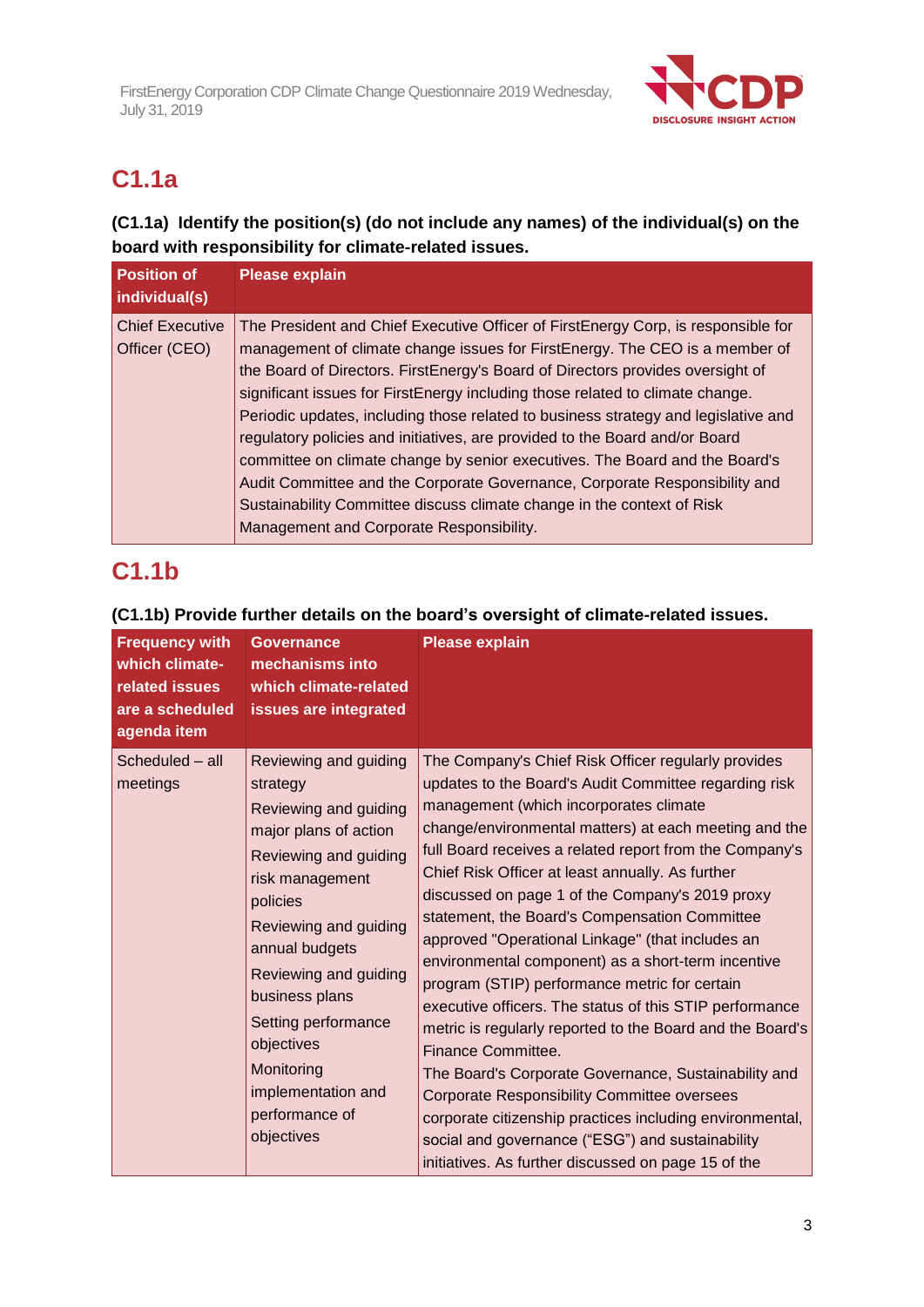

# **C1.1a**

## **(C1.1a) Identify the position(s) (do not include any names) of the individual(s) on the board with responsibility for climate-related issues.**

| <b>Position of</b><br>individual(s)     | <b>Please explain</b>                                                                                                                                                                                                                                                                                                                                                                                                                                                                                                                                                                                                                                                                                                                                                                       |
|-----------------------------------------|---------------------------------------------------------------------------------------------------------------------------------------------------------------------------------------------------------------------------------------------------------------------------------------------------------------------------------------------------------------------------------------------------------------------------------------------------------------------------------------------------------------------------------------------------------------------------------------------------------------------------------------------------------------------------------------------------------------------------------------------------------------------------------------------|
| <b>Chief Executive</b><br>Officer (CEO) | The President and Chief Executive Officer of FirstEnergy Corp, is responsible for<br>management of climate change issues for FirstEnergy. The CEO is a member of<br>the Board of Directors. FirstEnergy's Board of Directors provides oversight of<br>significant issues for FirstEnergy including those related to climate change.<br>Periodic updates, including those related to business strategy and legislative and<br>regulatory policies and initiatives, are provided to the Board and/or Board<br>committee on climate change by senior executives. The Board and the Board's<br>Audit Committee and the Corporate Governance, Corporate Responsibility and<br>Sustainability Committee discuss climate change in the context of Risk<br>Management and Corporate Responsibility. |

## **C1.1b**

## **(C1.1b) Provide further details on the board's oversight of climate-related issues.**

| <b>Frequency with</b><br>which climate-<br>related issues<br>are a scheduled<br>agenda item | <b>Governance</b><br>mechanisms into<br>which climate-related<br>issues are integrated                                                                                                                                                                                                                                                     | <b>Please explain</b>                                                                                                                                                                                                                                                                                                                                                                                                                                                                                                                                                                                                                                                                                                                                                                                                                                                                                                                                                                                                            |
|---------------------------------------------------------------------------------------------|--------------------------------------------------------------------------------------------------------------------------------------------------------------------------------------------------------------------------------------------------------------------------------------------------------------------------------------------|----------------------------------------------------------------------------------------------------------------------------------------------------------------------------------------------------------------------------------------------------------------------------------------------------------------------------------------------------------------------------------------------------------------------------------------------------------------------------------------------------------------------------------------------------------------------------------------------------------------------------------------------------------------------------------------------------------------------------------------------------------------------------------------------------------------------------------------------------------------------------------------------------------------------------------------------------------------------------------------------------------------------------------|
| Scheduled - all<br>meetings                                                                 | Reviewing and guiding<br>strategy<br>Reviewing and guiding<br>major plans of action<br>Reviewing and guiding<br>risk management<br>policies<br>Reviewing and guiding<br>annual budgets<br>Reviewing and guiding<br>business plans<br>Setting performance<br>objectives<br>Monitoring<br>implementation and<br>performance of<br>objectives | The Company's Chief Risk Officer regularly provides<br>updates to the Board's Audit Committee regarding risk<br>management (which incorporates climate<br>change/environmental matters) at each meeting and the<br>full Board receives a related report from the Company's<br>Chief Risk Officer at least annually. As further<br>discussed on page 1 of the Company's 2019 proxy<br>statement, the Board's Compensation Committee<br>approved "Operational Linkage" (that includes an<br>environmental component) as a short-term incentive<br>program (STIP) performance metric for certain<br>executive officers. The status of this STIP performance<br>metric is regularly reported to the Board and the Board's<br>Finance Committee.<br>The Board's Corporate Governance, Sustainability and<br><b>Corporate Responsibility Committee oversees</b><br>corporate citizenship practices including environmental,<br>social and governance ("ESG") and sustainability<br>initiatives. As further discussed on page 15 of the |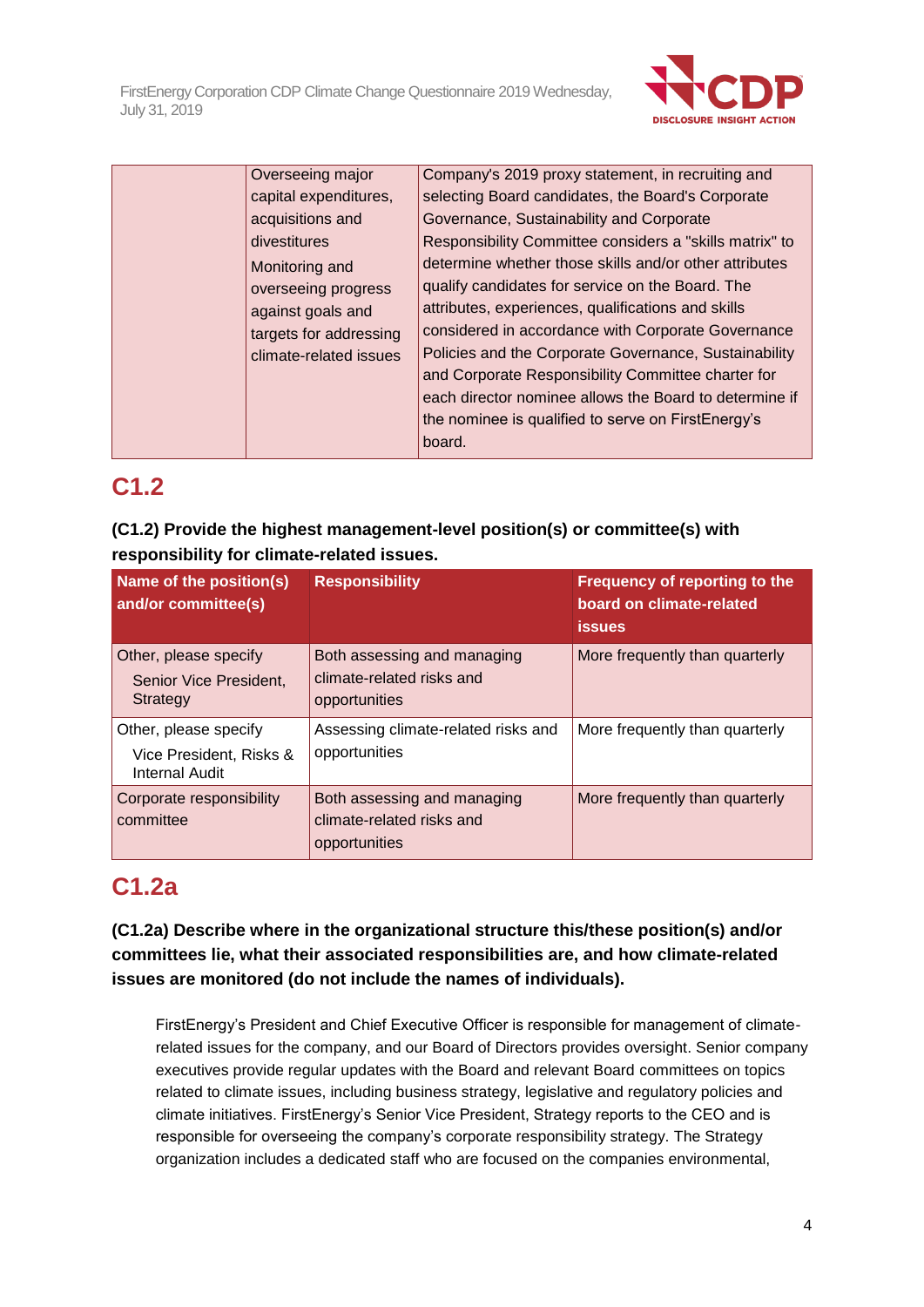

| Overseeing major       | Company's 2019 proxy statement, in recruiting and       |
|------------------------|---------------------------------------------------------|
| capital expenditures,  | selecting Board candidates, the Board's Corporate       |
| acquisitions and       | Governance, Sustainability and Corporate                |
| divestitures           | Responsibility Committee considers a "skills matrix" to |
| Monitoring and         | determine whether those skills and/or other attributes  |
| overseeing progress    | qualify candidates for service on the Board. The        |
| against goals and      | attributes, experiences, qualifications and skills      |
| targets for addressing | considered in accordance with Corporate Governance      |
| climate-related issues | Policies and the Corporate Governance, Sustainability   |
|                        | and Corporate Responsibility Committee charter for      |
|                        | each director nominee allows the Board to determine if  |
|                        | the nominee is qualified to serve on FirstEnergy's      |
|                        | board.                                                  |
|                        |                                                         |

## **C1.2**

## **(C1.2) Provide the highest management-level position(s) or committee(s) with responsibility for climate-related issues.**

| Name of the position(s)<br>and/or committee(s)                            | <b>Responsibility</b>                                                     | <b>Frequency of reporting to the</b><br>board on climate-related<br><b>issues</b> |
|---------------------------------------------------------------------------|---------------------------------------------------------------------------|-----------------------------------------------------------------------------------|
| Other, please specify<br>Senior Vice President,<br>Strategy               | Both assessing and managing<br>climate-related risks and<br>opportunities | More frequently than quarterly                                                    |
| Other, please specify<br>Vice President, Risks &<br><b>Internal Audit</b> | Assessing climate-related risks and<br>opportunities                      | More frequently than quarterly                                                    |
| Corporate responsibility<br>committee                                     | Both assessing and managing<br>climate-related risks and<br>opportunities | More frequently than quarterly                                                    |

## **C1.2a**

**(C1.2a) Describe where in the organizational structure this/these position(s) and/or committees lie, what their associated responsibilities are, and how climate-related issues are monitored (do not include the names of individuals).**

FirstEnergy's President and Chief Executive Officer is responsible for management of climaterelated issues for the company, and our Board of Directors provides oversight. Senior company executives provide regular updates with the Board and relevant Board committees on topics related to climate issues, including business strategy, legislative and regulatory policies and climate initiatives. FirstEnergy's Senior Vice President, Strategy reports to the CEO and is responsible for overseeing the company's corporate responsibility strategy. The Strategy organization includes a dedicated staff who are focused on the companies environmental,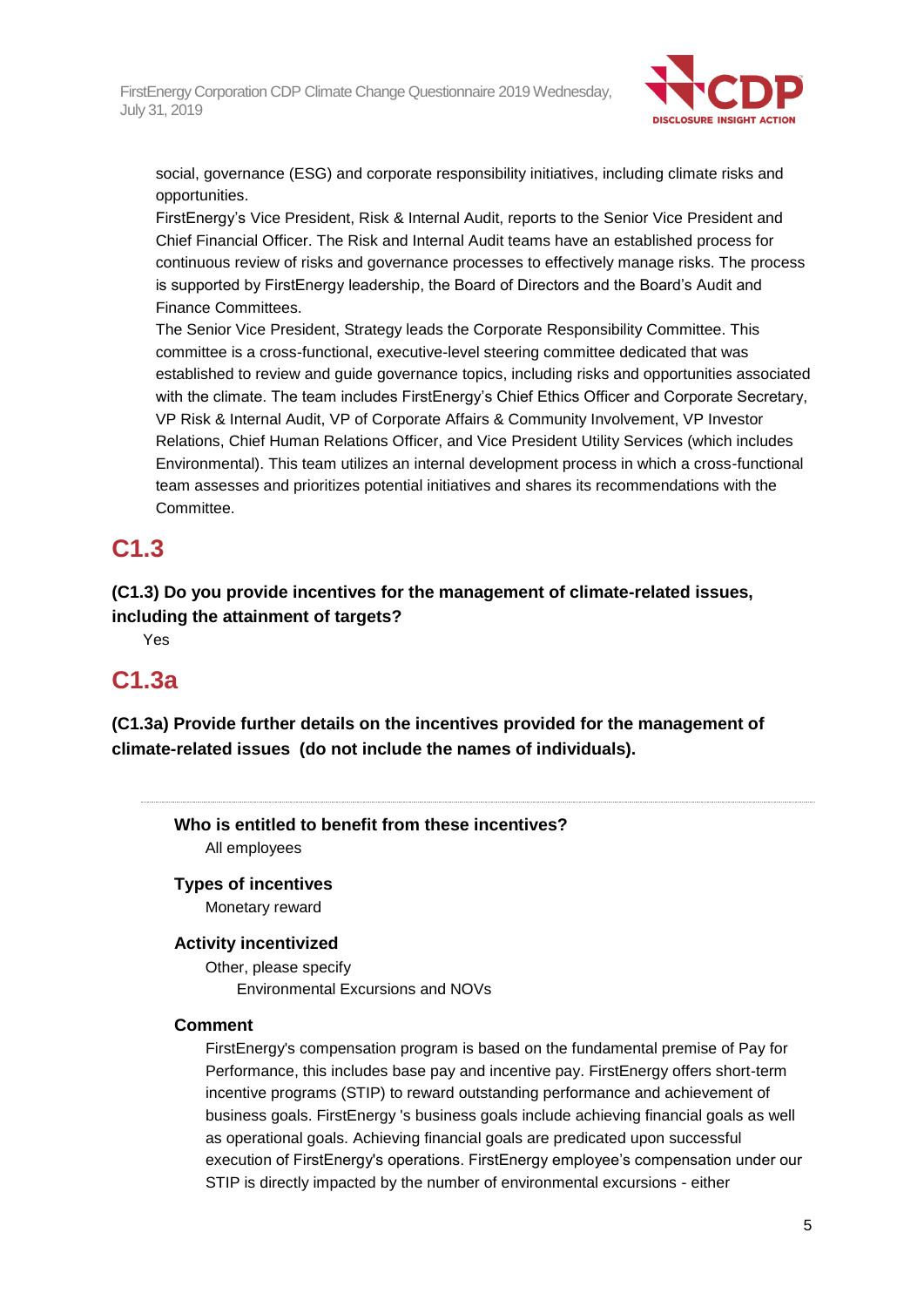

social, governance (ESG) and corporate responsibility initiatives, including climate risks and opportunities.

FirstEnergy's Vice President, Risk & Internal Audit, reports to the Senior Vice President and Chief Financial Officer. The Risk and Internal Audit teams have an established process for continuous review of risks and governance processes to effectively manage risks. The process is supported by FirstEnergy leadership, the Board of Directors and the Board's Audit and Finance Committees.

The Senior Vice President, Strategy leads the Corporate Responsibility Committee. This committee is a cross-functional, executive-level steering committee dedicated that was established to review and guide governance topics, including risks and opportunities associated with the climate. The team includes FirstEnergy's Chief Ethics Officer and Corporate Secretary, VP Risk & Internal Audit, VP of Corporate Affairs & Community Involvement, VP Investor Relations, Chief Human Relations Officer, and Vice President Utility Services (which includes Environmental). This team utilizes an internal development process in which a cross-functional team assesses and prioritizes potential initiatives and shares its recommendations with the Committee.

## **C1.3**

**(C1.3) Do you provide incentives for the management of climate-related issues, including the attainment of targets?**

Yes

## **C1.3a**

**(C1.3a) Provide further details on the incentives provided for the management of climate-related issues (do not include the names of individuals).**

**Who is entitled to benefit from these incentives?** All employees

### **Types of incentives**

Monetary reward

### **Activity incentivized**

Other, please specify Environmental Excursions and NOVs

### **Comment**

FirstEnergy's compensation program is based on the fundamental premise of Pay for Performance, this includes base pay and incentive pay. FirstEnergy offers short-term incentive programs (STIP) to reward outstanding performance and achievement of business goals. FirstEnergy 's business goals include achieving financial goals as well as operational goals. Achieving financial goals are predicated upon successful execution of FirstEnergy's operations. FirstEnergy employee's compensation under our STIP is directly impacted by the number of environmental excursions - either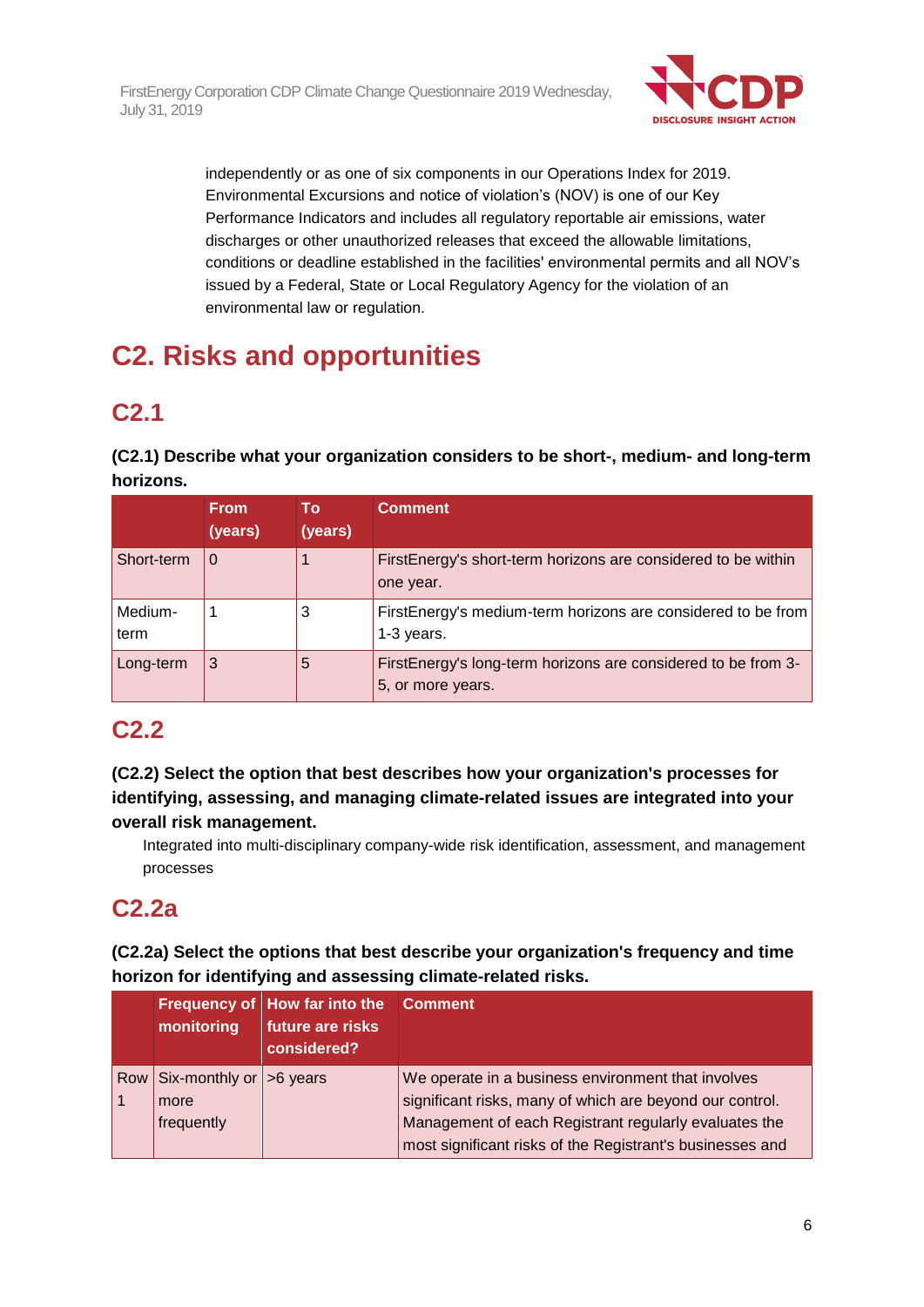

independently or as one of six components in our Operations Index for 2019. Environmental Excursions and notice of violation's (NOV) is one of our Key Performance Indicators and includes all regulatory reportable air emissions, water discharges or other unauthorized releases that exceed the allowable limitations, conditions or deadline established in the facilities' environmental permits and all NOV's issued by a Federal, State or Local Regulatory Agency for the violation of an environmental law or regulation.

# **C2. Risks and opportunities**

# **C2.1**

**(C2.1) Describe what your organization considers to be short-, medium- and long-term horizons.**

|                 | <b>From</b><br>(years) | To<br>(years) | <b>Comment</b>                                                                     |
|-----------------|------------------------|---------------|------------------------------------------------------------------------------------|
| Short-term      | $\Omega$               |               | FirstEnergy's short-term horizons are considered to be within<br>one year.         |
| Medium-<br>term |                        | 3             | FirstEnergy's medium-term horizons are considered to be from<br>$1-3$ years.       |
| Long-term       | 3                      | 5             | FirstEnergy's long-term horizons are considered to be from 3-<br>5, or more years. |

## **C2.2**

**(C2.2) Select the option that best describes how your organization's processes for identifying, assessing, and managing climate-related issues are integrated into your overall risk management.**

Integrated into multi-disciplinary company-wide risk identification, assessment, and management processes

## **C2.2a**

**(C2.2a) Select the options that best describe your organization's frequency and time horizon for identifying and assessing climate-related risks.**

| monitoring                                           | Frequency of How far into the Comment<br>future are risks<br>considered? |                                                                                                                                                                         |
|------------------------------------------------------|--------------------------------------------------------------------------|-------------------------------------------------------------------------------------------------------------------------------------------------------------------------|
| Row Six-monthly or $ >6$ years<br>more<br>frequently |                                                                          | We operate in a business environment that involves<br>significant risks, many of which are beyond our control.<br>Management of each Registrant regularly evaluates the |
|                                                      |                                                                          | most significant risks of the Registrant's businesses and                                                                                                               |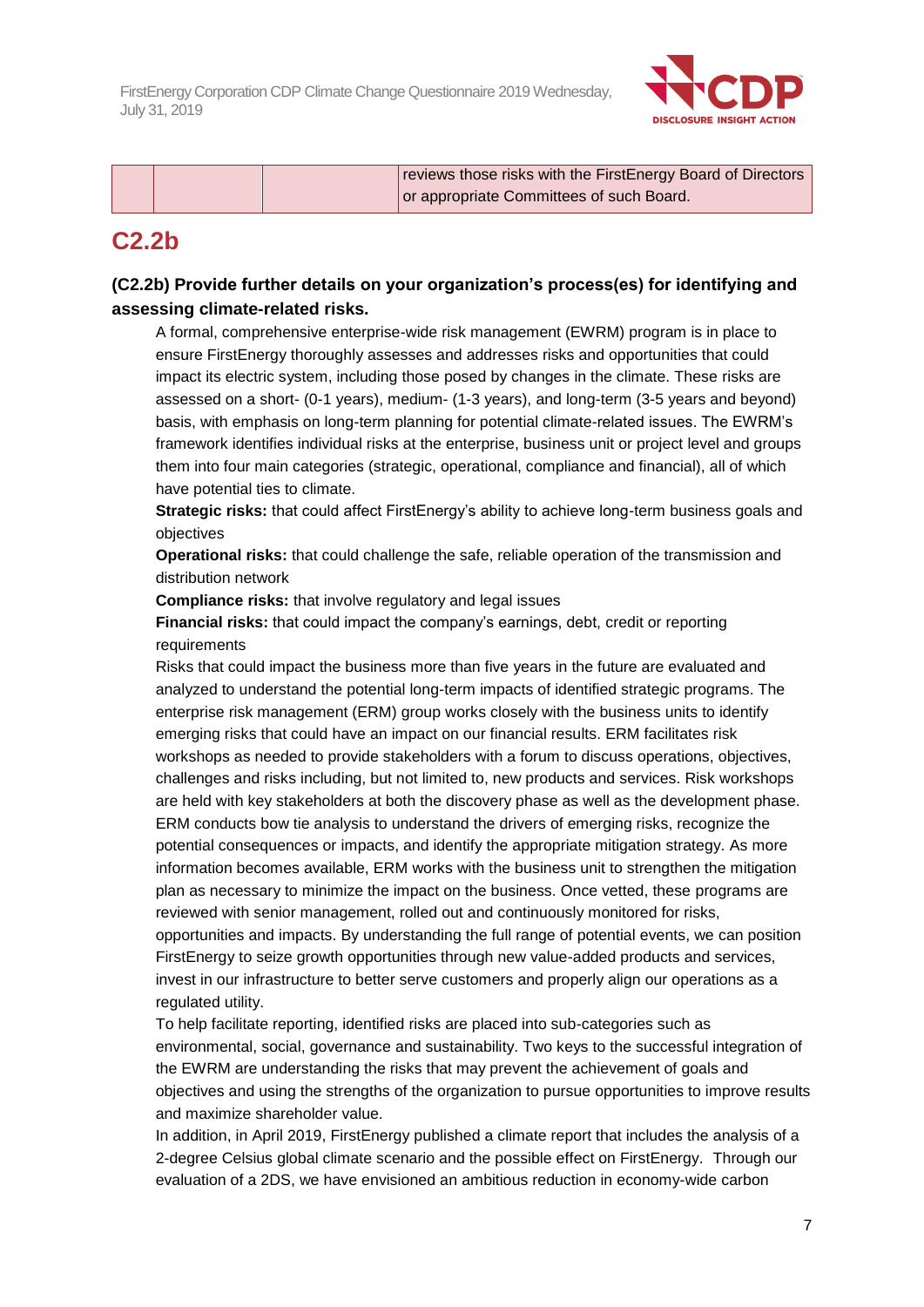

| or appropriate Committees of such Board. |  | reviews those risks with the FirstEnergy Board of Directors |
|------------------------------------------|--|-------------------------------------------------------------|
|                                          |  |                                                             |

## **C2.2b**

## **(C2.2b) Provide further details on your organization's process(es) for identifying and assessing climate-related risks.**

A formal, comprehensive enterprise-wide risk management (EWRM) program is in place to ensure FirstEnergy thoroughly assesses and addresses risks and opportunities that could impact its electric system, including those posed by changes in the climate. These risks are assessed on a short- (0-1 years), medium- (1-3 years), and long-term (3-5 years and beyond) basis, with emphasis on long-term planning for potential climate-related issues. The EWRM's framework identifies individual risks at the enterprise, business unit or project level and groups them into four main categories (strategic, operational, compliance and financial), all of which have potential ties to climate.

**Strategic risks:** that could affect FirstEnergy's ability to achieve long-term business goals and objectives

**Operational risks:** that could challenge the safe, reliable operation of the transmission and distribution network

**Compliance risks:** that involve regulatory and legal issues

**Financial risks:** that could impact the company's earnings, debt, credit or reporting requirements

Risks that could impact the business more than five years in the future are evaluated and analyzed to understand the potential long-term impacts of identified strategic programs. The enterprise risk management (ERM) group works closely with the business units to identify emerging risks that could have an impact on our financial results. ERM facilitates risk workshops as needed to provide stakeholders with a forum to discuss operations, objectives, challenges and risks including, but not limited to, new products and services. Risk workshops are held with key stakeholders at both the discovery phase as well as the development phase. ERM conducts bow tie analysis to understand the drivers of emerging risks, recognize the potential consequences or impacts, and identify the appropriate mitigation strategy. As more information becomes available, ERM works with the business unit to strengthen the mitigation plan as necessary to minimize the impact on the business. Once vetted, these programs are reviewed with senior management, rolled out and continuously monitored for risks, opportunities and impacts. By understanding the full range of potential events, we can position FirstEnergy to seize growth opportunities through new value-added products and services, invest in our infrastructure to better serve customers and properly align our operations as a regulated utility.

To help facilitate reporting, identified risks are placed into sub-categories such as environmental, social, governance and sustainability. Two keys to the successful integration of the EWRM are understanding the risks that may prevent the achievement of goals and objectives and using the strengths of the organization to pursue opportunities to improve results and maximize shareholder value.

In addition, in April 2019, FirstEnergy published a climate report that includes the analysis of a 2-degree Celsius global climate scenario and the possible effect on FirstEnergy. Through our evaluation of a 2DS, we have envisioned an ambitious reduction in economy-wide carbon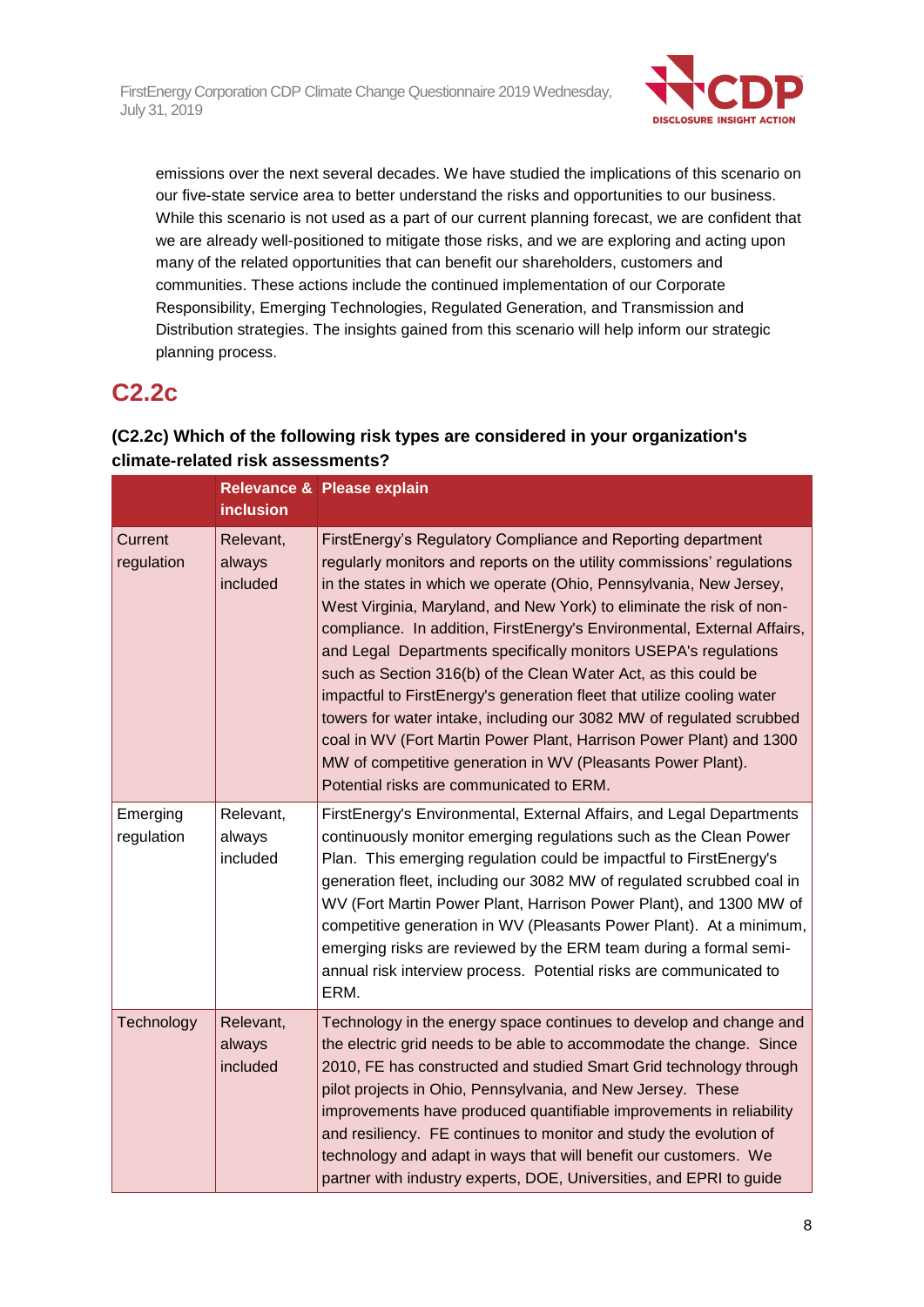

emissions over the next several decades. We have studied the implications of this scenario on our five-state service area to better understand the risks and opportunities to our business. While this scenario is not used as a part of our current planning forecast, we are confident that we are already well-positioned to mitigate those risks, and we are exploring and acting upon many of the related opportunities that can benefit our shareholders, customers and communities. These actions include the continued implementation of our Corporate Responsibility, Emerging Technologies, Regulated Generation, and Transmission and Distribution strategies. The insights gained from this scenario will help inform our strategic planning process.

## **C2.2c**

## **(C2.2c) Which of the following risk types are considered in your organization's climate-related risk assessments?**

|                        | <b>inclusion</b>                | Relevance & Please explain                                                                                                                                                                                                                                                                                                                                                                                                                                                                                                                                                                                                                                                                                                                                                                                                                |
|------------------------|---------------------------------|-------------------------------------------------------------------------------------------------------------------------------------------------------------------------------------------------------------------------------------------------------------------------------------------------------------------------------------------------------------------------------------------------------------------------------------------------------------------------------------------------------------------------------------------------------------------------------------------------------------------------------------------------------------------------------------------------------------------------------------------------------------------------------------------------------------------------------------------|
| Current<br>regulation  | Relevant,<br>always<br>included | FirstEnergy's Regulatory Compliance and Reporting department<br>regularly monitors and reports on the utility commissions' regulations<br>in the states in which we operate (Ohio, Pennsylvania, New Jersey,<br>West Virginia, Maryland, and New York) to eliminate the risk of non-<br>compliance. In addition, FirstEnergy's Environmental, External Affairs,<br>and Legal Departments specifically monitors USEPA's regulations<br>such as Section 316(b) of the Clean Water Act, as this could be<br>impactful to FirstEnergy's generation fleet that utilize cooling water<br>towers for water intake, including our 3082 MW of regulated scrubbed<br>coal in WV (Fort Martin Power Plant, Harrison Power Plant) and 1300<br>MW of competitive generation in WV (Pleasants Power Plant).<br>Potential risks are communicated to ERM. |
| Emerging<br>regulation | Relevant,<br>always<br>included | FirstEnergy's Environmental, External Affairs, and Legal Departments<br>continuously monitor emerging regulations such as the Clean Power<br>Plan. This emerging regulation could be impactful to FirstEnergy's<br>generation fleet, including our 3082 MW of regulated scrubbed coal in<br>WV (Fort Martin Power Plant, Harrison Power Plant), and 1300 MW of<br>competitive generation in WV (Pleasants Power Plant). At a minimum,<br>emerging risks are reviewed by the ERM team during a formal semi-<br>annual risk interview process. Potential risks are communicated to<br>ERM.                                                                                                                                                                                                                                                  |
| Technology             | Relevant,<br>always<br>included | Technology in the energy space continues to develop and change and<br>the electric grid needs to be able to accommodate the change. Since<br>2010, FE has constructed and studied Smart Grid technology through<br>pilot projects in Ohio, Pennsylvania, and New Jersey. These<br>improvements have produced quantifiable improvements in reliability<br>and resiliency. FE continues to monitor and study the evolution of<br>technology and adapt in ways that will benefit our customers. We<br>partner with industry experts, DOE, Universities, and EPRI to guide                                                                                                                                                                                                                                                                    |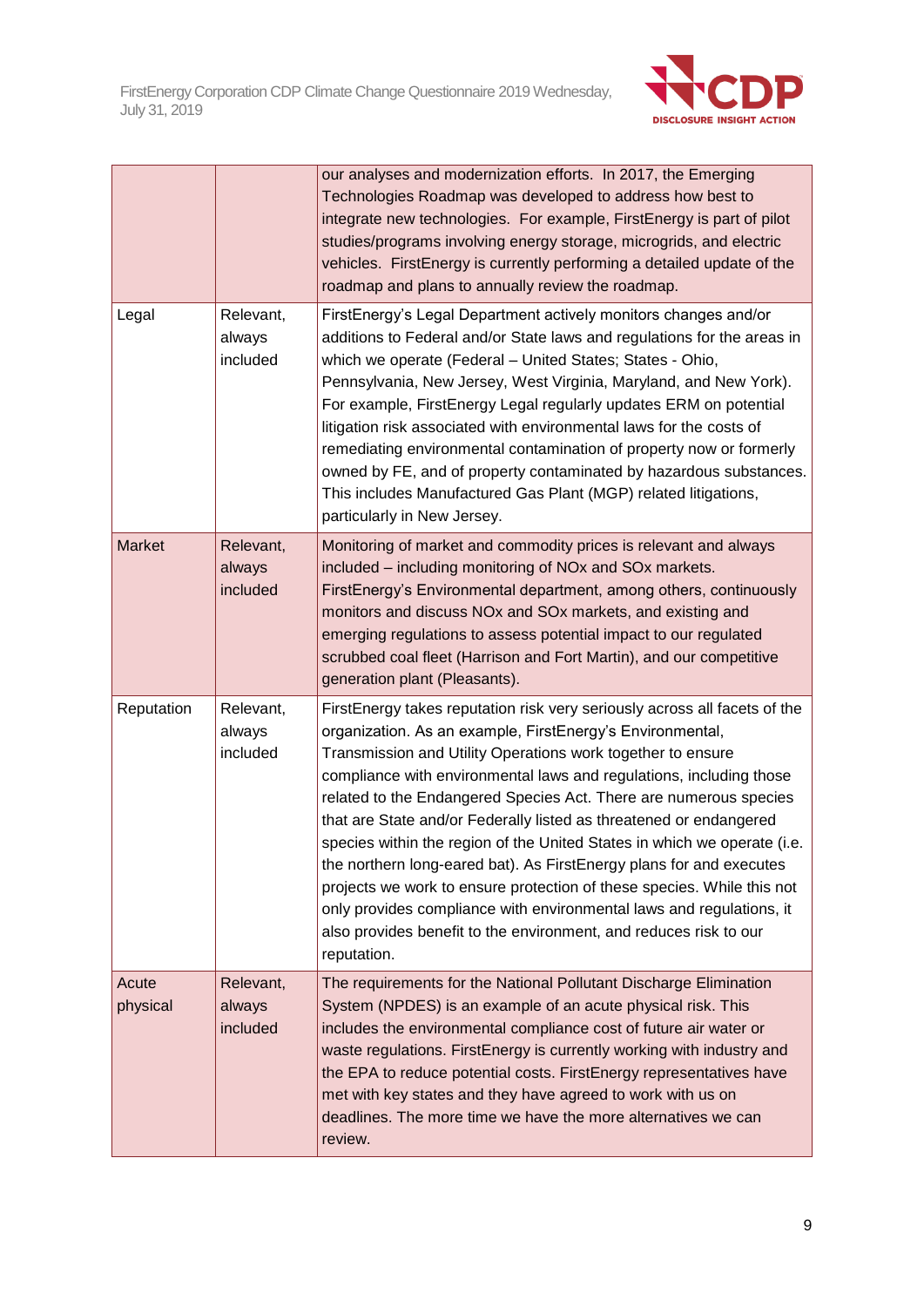

|                   |                                 | our analyses and modernization efforts. In 2017, the Emerging<br>Technologies Roadmap was developed to address how best to<br>integrate new technologies. For example, FirstEnergy is part of pilot<br>studies/programs involving energy storage, microgrids, and electric<br>vehicles. FirstEnergy is currently performing a detailed update of the<br>roadmap and plans to annually review the roadmap.                                                                                                                                                                                                                                                                                                                                                                                                        |
|-------------------|---------------------------------|------------------------------------------------------------------------------------------------------------------------------------------------------------------------------------------------------------------------------------------------------------------------------------------------------------------------------------------------------------------------------------------------------------------------------------------------------------------------------------------------------------------------------------------------------------------------------------------------------------------------------------------------------------------------------------------------------------------------------------------------------------------------------------------------------------------|
| Legal             | Relevant,<br>always<br>included | FirstEnergy's Legal Department actively monitors changes and/or<br>additions to Federal and/or State laws and regulations for the areas in<br>which we operate (Federal - United States; States - Ohio,<br>Pennsylvania, New Jersey, West Virginia, Maryland, and New York).<br>For example, FirstEnergy Legal regularly updates ERM on potential<br>litigation risk associated with environmental laws for the costs of<br>remediating environmental contamination of property now or formerly<br>owned by FE, and of property contaminated by hazardous substances.<br>This includes Manufactured Gas Plant (MGP) related litigations,<br>particularly in New Jersey.                                                                                                                                          |
| <b>Market</b>     | Relevant,<br>always<br>included | Monitoring of market and commodity prices is relevant and always<br>included – including monitoring of NOx and SOx markets.<br>FirstEnergy's Environmental department, among others, continuously<br>monitors and discuss NOx and SOx markets, and existing and<br>emerging regulations to assess potential impact to our regulated<br>scrubbed coal fleet (Harrison and Fort Martin), and our competitive<br>generation plant (Pleasants).                                                                                                                                                                                                                                                                                                                                                                      |
| Reputation        | Relevant,<br>always<br>included | FirstEnergy takes reputation risk very seriously across all facets of the<br>organization. As an example, FirstEnergy's Environmental,<br>Transmission and Utility Operations work together to ensure<br>compliance with environmental laws and regulations, including those<br>related to the Endangered Species Act. There are numerous species<br>that are State and/or Federally listed as threatened or endangered<br>species within the region of the United States in which we operate (i.e.<br>the northern long-eared bat). As FirstEnergy plans for and executes<br>projects we work to ensure protection of these species. While this not<br>only provides compliance with environmental laws and regulations, it<br>also provides benefit to the environment, and reduces risk to our<br>reputation. |
| Acute<br>physical | Relevant,<br>always<br>included | The requirements for the National Pollutant Discharge Elimination<br>System (NPDES) is an example of an acute physical risk. This<br>includes the environmental compliance cost of future air water or<br>waste regulations. FirstEnergy is currently working with industry and<br>the EPA to reduce potential costs. FirstEnergy representatives have<br>met with key states and they have agreed to work with us on<br>deadlines. The more time we have the more alternatives we can<br>review.                                                                                                                                                                                                                                                                                                                |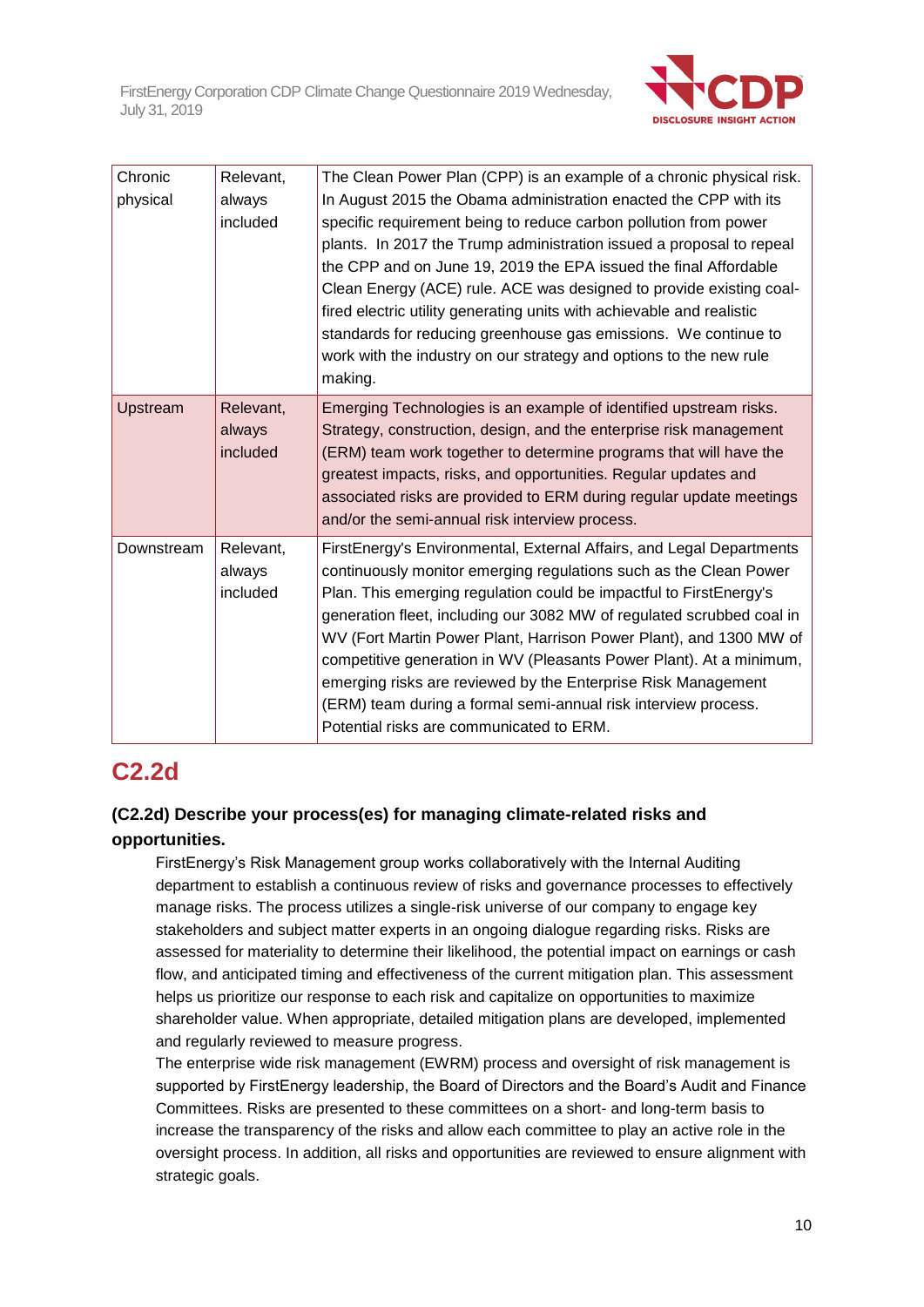

| Chronic<br>physical | Relevant,<br>always<br>included | The Clean Power Plan (CPP) is an example of a chronic physical risk.<br>In August 2015 the Obama administration enacted the CPP with its<br>specific requirement being to reduce carbon pollution from power<br>plants. In 2017 the Trump administration issued a proposal to repeal<br>the CPP and on June 19, 2019 the EPA issued the final Affordable<br>Clean Energy (ACE) rule. ACE was designed to provide existing coal-<br>fired electric utility generating units with achievable and realistic<br>standards for reducing greenhouse gas emissions. We continue to<br>work with the industry on our strategy and options to the new rule<br>making. |
|---------------------|---------------------------------|--------------------------------------------------------------------------------------------------------------------------------------------------------------------------------------------------------------------------------------------------------------------------------------------------------------------------------------------------------------------------------------------------------------------------------------------------------------------------------------------------------------------------------------------------------------------------------------------------------------------------------------------------------------|
| Upstream            | Relevant,<br>always<br>included | Emerging Technologies is an example of identified upstream risks.<br>Strategy, construction, design, and the enterprise risk management<br>(ERM) team work together to determine programs that will have the<br>greatest impacts, risks, and opportunities. Regular updates and<br>associated risks are provided to ERM during regular update meetings<br>and/or the semi-annual risk interview process.                                                                                                                                                                                                                                                     |
| Downstream          | Relevant,<br>always<br>included | FirstEnergy's Environmental, External Affairs, and Legal Departments<br>continuously monitor emerging regulations such as the Clean Power<br>Plan. This emerging regulation could be impactful to FirstEnergy's<br>generation fleet, including our 3082 MW of regulated scrubbed coal in<br>WV (Fort Martin Power Plant, Harrison Power Plant), and 1300 MW of<br>competitive generation in WV (Pleasants Power Plant). At a minimum,<br>emerging risks are reviewed by the Enterprise Risk Management<br>(ERM) team during a formal semi-annual risk interview process.<br>Potential risks are communicated to ERM.                                         |

## **C2.2d**

## **(C2.2d) Describe your process(es) for managing climate-related risks and opportunities.**

FirstEnergy's Risk Management group works collaboratively with the Internal Auditing department to establish a continuous review of risks and governance processes to effectively manage risks. The process utilizes a single-risk universe of our company to engage key stakeholders and subject matter experts in an ongoing dialogue regarding risks. Risks are assessed for materiality to determine their likelihood, the potential impact on earnings or cash flow, and anticipated timing and effectiveness of the current mitigation plan. This assessment helps us prioritize our response to each risk and capitalize on opportunities to maximize shareholder value. When appropriate, detailed mitigation plans are developed, implemented and regularly reviewed to measure progress.

The enterprise wide risk management (EWRM) process and oversight of risk management is supported by FirstEnergy leadership, the Board of Directors and the Board's Audit and Finance Committees. Risks are presented to these committees on a short- and long-term basis to increase the transparency of the risks and allow each committee to play an active role in the oversight process. In addition, all risks and opportunities are reviewed to ensure alignment with strategic goals.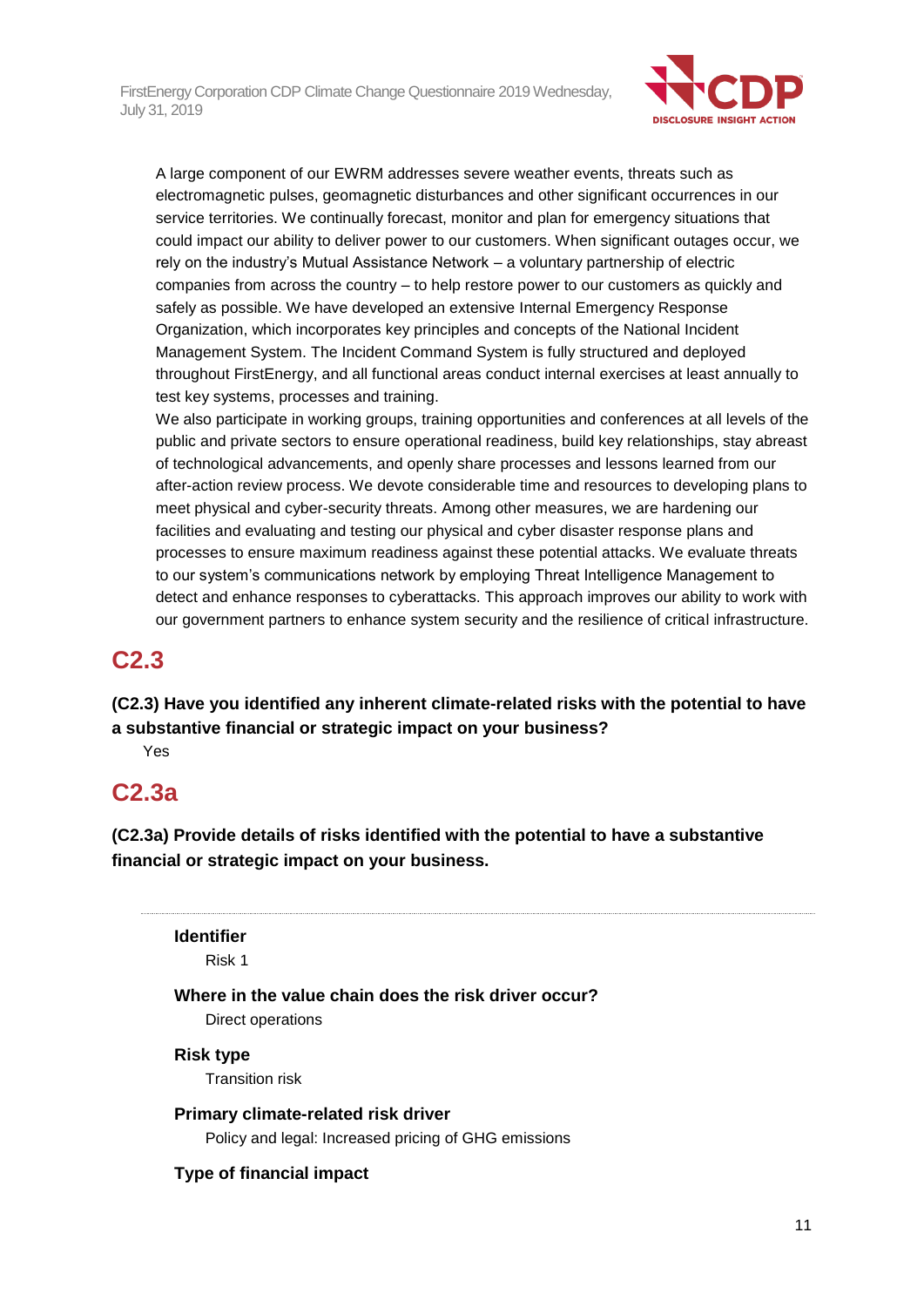

A large component of our EWRM addresses severe weather events, threats such as electromagnetic pulses, geomagnetic disturbances and other significant occurrences in our service territories. We continually forecast, monitor and plan for emergency situations that could impact our ability to deliver power to our customers. When significant outages occur, we rely on the industry's Mutual Assistance Network – a voluntary partnership of electric companies from across the country – to help restore power to our customers as quickly and safely as possible. We have developed an extensive Internal Emergency Response Organization, which incorporates key principles and concepts of the National Incident Management System. The Incident Command System is fully structured and deployed throughout FirstEnergy, and all functional areas conduct internal exercises at least annually to test key systems, processes and training.

We also participate in working groups, training opportunities and conferences at all levels of the public and private sectors to ensure operational readiness, build key relationships, stay abreast of technological advancements, and openly share processes and lessons learned from our after-action review process. We devote considerable time and resources to developing plans to meet physical and cyber-security threats. Among other measures, we are hardening our facilities and evaluating and testing our physical and cyber disaster response plans and processes to ensure maximum readiness against these potential attacks. We evaluate threats to our system's communications network by employing Threat Intelligence Management to detect and enhance responses to cyberattacks. This approach improves our ability to work with our government partners to enhance system security and the resilience of critical infrastructure.

## **C2.3**

**(C2.3) Have you identified any inherent climate-related risks with the potential to have a substantive financial or strategic impact on your business?**

Yes

## **C2.3a**

**(C2.3a) Provide details of risks identified with the potential to have a substantive financial or strategic impact on your business.**

## **Identifier**

Risk 1

**Where in the value chain does the risk driver occur?** Direct operations

## **Risk type**

Transition risk

**Primary climate-related risk driver** Policy and legal: Increased pricing of GHG emissions

## **Type of financial impact**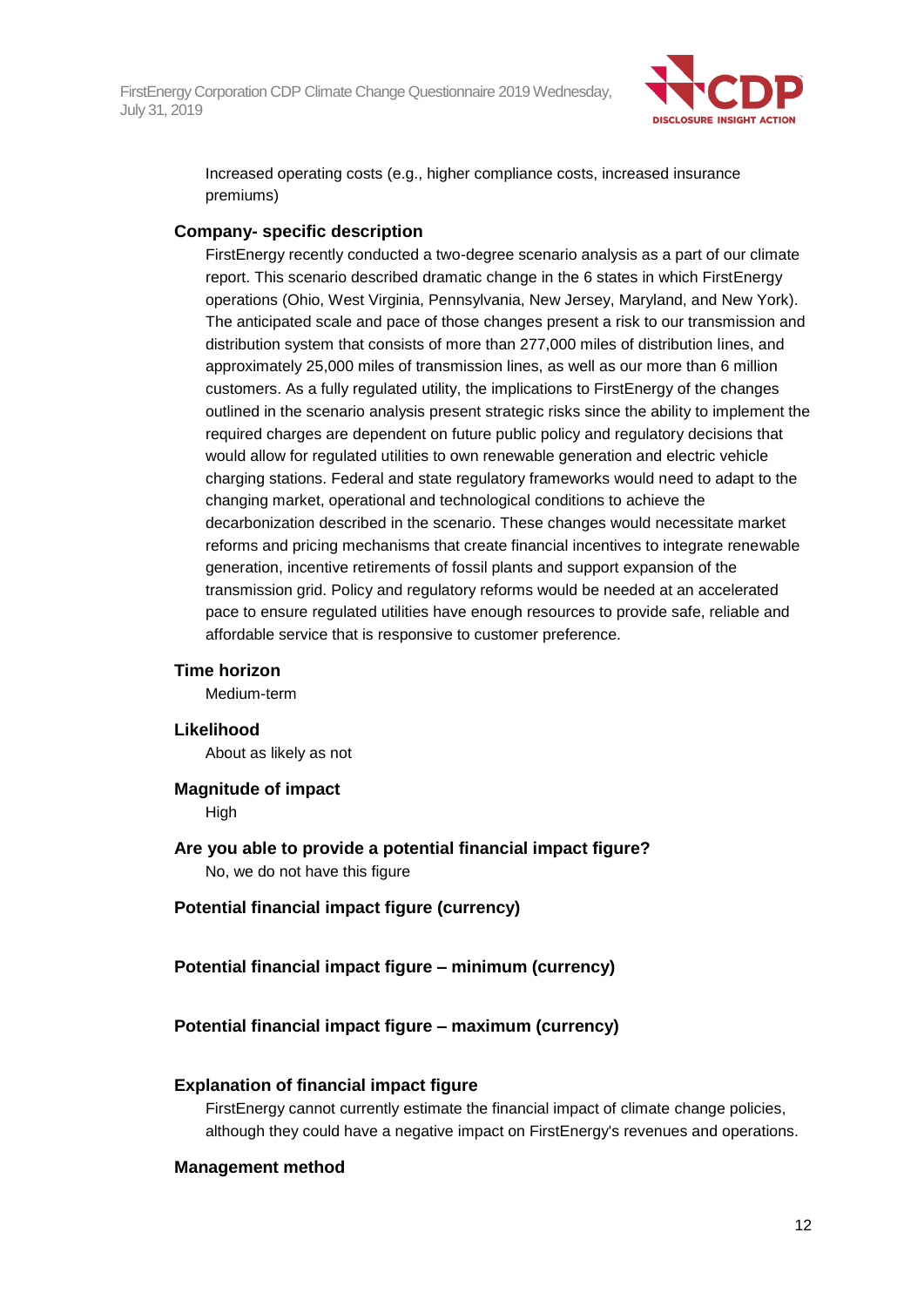

Increased operating costs (e.g., higher compliance costs, increased insurance premiums)

#### **Company- specific description**

FirstEnergy recently conducted a two-degree scenario analysis as a part of our climate report. This scenario described dramatic change in the 6 states in which FirstEnergy operations (Ohio, West Virginia, Pennsylvania, New Jersey, Maryland, and New York). The anticipated scale and pace of those changes present a risk to our transmission and distribution system that consists of more than 277,000 miles of distribution lines, and approximately 25,000 miles of transmission lines, as well as our more than 6 million customers. As a fully regulated utility, the implications to FirstEnergy of the changes outlined in the scenario analysis present strategic risks since the ability to implement the required charges are dependent on future public policy and regulatory decisions that would allow for regulated utilities to own renewable generation and electric vehicle charging stations. Federal and state regulatory frameworks would need to adapt to the changing market, operational and technological conditions to achieve the decarbonization described in the scenario. These changes would necessitate market reforms and pricing mechanisms that create financial incentives to integrate renewable generation, incentive retirements of fossil plants and support expansion of the transmission grid. Policy and regulatory reforms would be needed at an accelerated pace to ensure regulated utilities have enough resources to provide safe, reliable and affordable service that is responsive to customer preference.

#### **Time horizon**

Medium-term

#### **Likelihood**

About as likely as not

#### **Magnitude of impact**

High

**Are you able to provide a potential financial impact figure?** No, we do not have this figure

### **Potential financial impact figure (currency)**

### **Potential financial impact figure – minimum (currency)**

### **Potential financial impact figure – maximum (currency)**

#### **Explanation of financial impact figure**

FirstEnergy cannot currently estimate the financial impact of climate change policies, although they could have a negative impact on FirstEnergy's revenues and operations.

#### **Management method**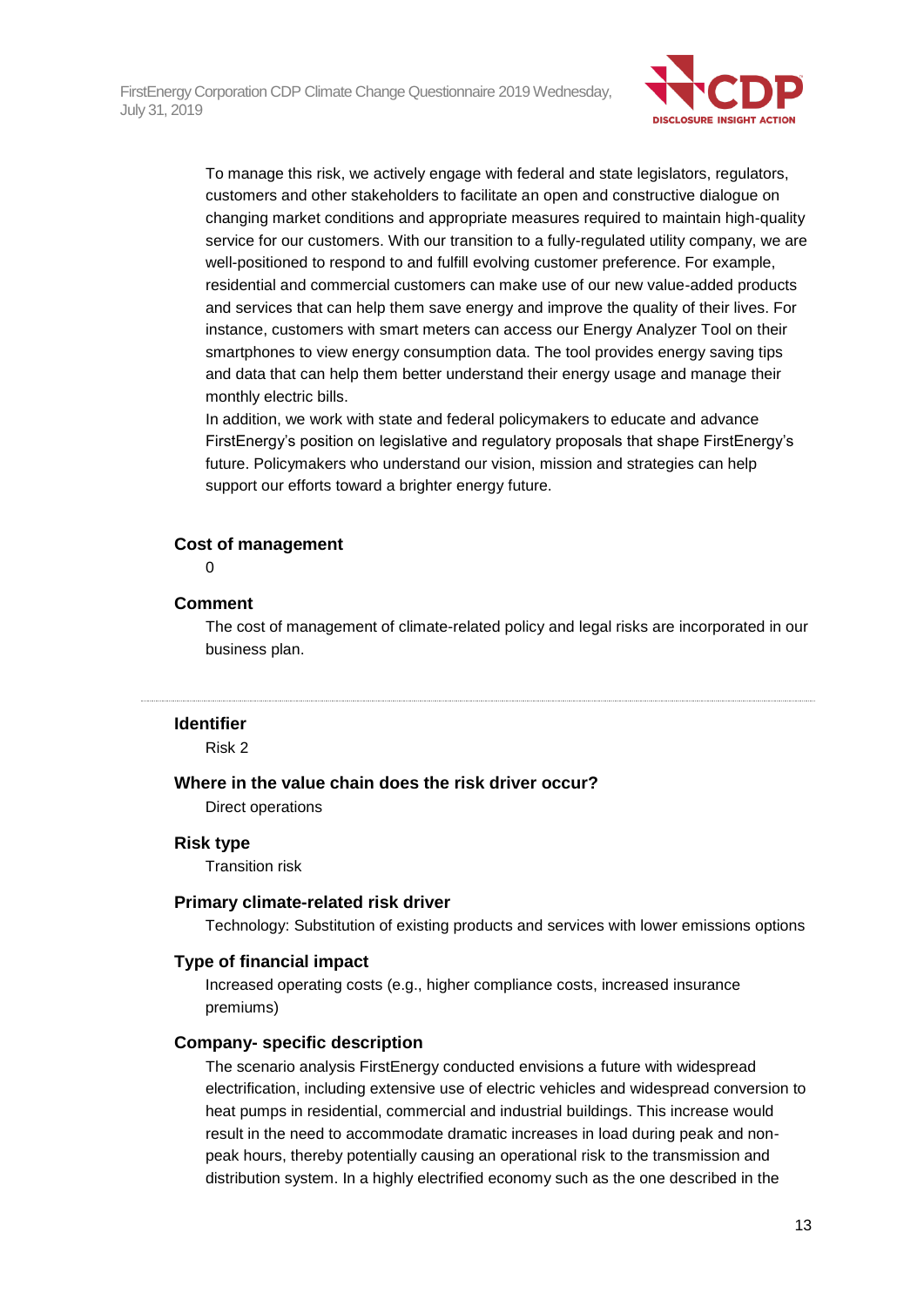

To manage this risk, we actively engage with federal and state legislators, regulators, customers and other stakeholders to facilitate an open and constructive dialogue on changing market conditions and appropriate measures required to maintain high-quality service for our customers. With our transition to a fully-regulated utility company, we are well-positioned to respond to and fulfill evolving customer preference. For example, residential and commercial customers can make use of our new value-added products and services that can help them save energy and improve the quality of their lives. For instance, customers with smart meters can access our Energy Analyzer Tool on their smartphones to view energy consumption data. The tool provides energy saving tips and data that can help them better understand their energy usage and manage their monthly electric bills.

In addition, we work with state and federal policymakers to educate and advance FirstEnergy's position on legislative and regulatory proposals that shape FirstEnergy's future. Policymakers who understand our vision, mission and strategies can help support our efforts toward a brighter energy future.

#### **Cost of management**

 $\Omega$ 

#### **Comment**

The cost of management of climate-related policy and legal risks are incorporated in our business plan.

#### **Identifier**

Risk 2

### **Where in the value chain does the risk driver occur?**

Direct operations

#### **Risk type**

Transition risk

#### **Primary climate-related risk driver**

Technology: Substitution of existing products and services with lower emissions options

#### **Type of financial impact**

Increased operating costs (e.g., higher compliance costs, increased insurance premiums)

#### **Company- specific description**

The scenario analysis FirstEnergy conducted envisions a future with widespread electrification, including extensive use of electric vehicles and widespread conversion to heat pumps in residential, commercial and industrial buildings. This increase would result in the need to accommodate dramatic increases in load during peak and nonpeak hours, thereby potentially causing an operational risk to the transmission and distribution system. In a highly electrified economy such as the one described in the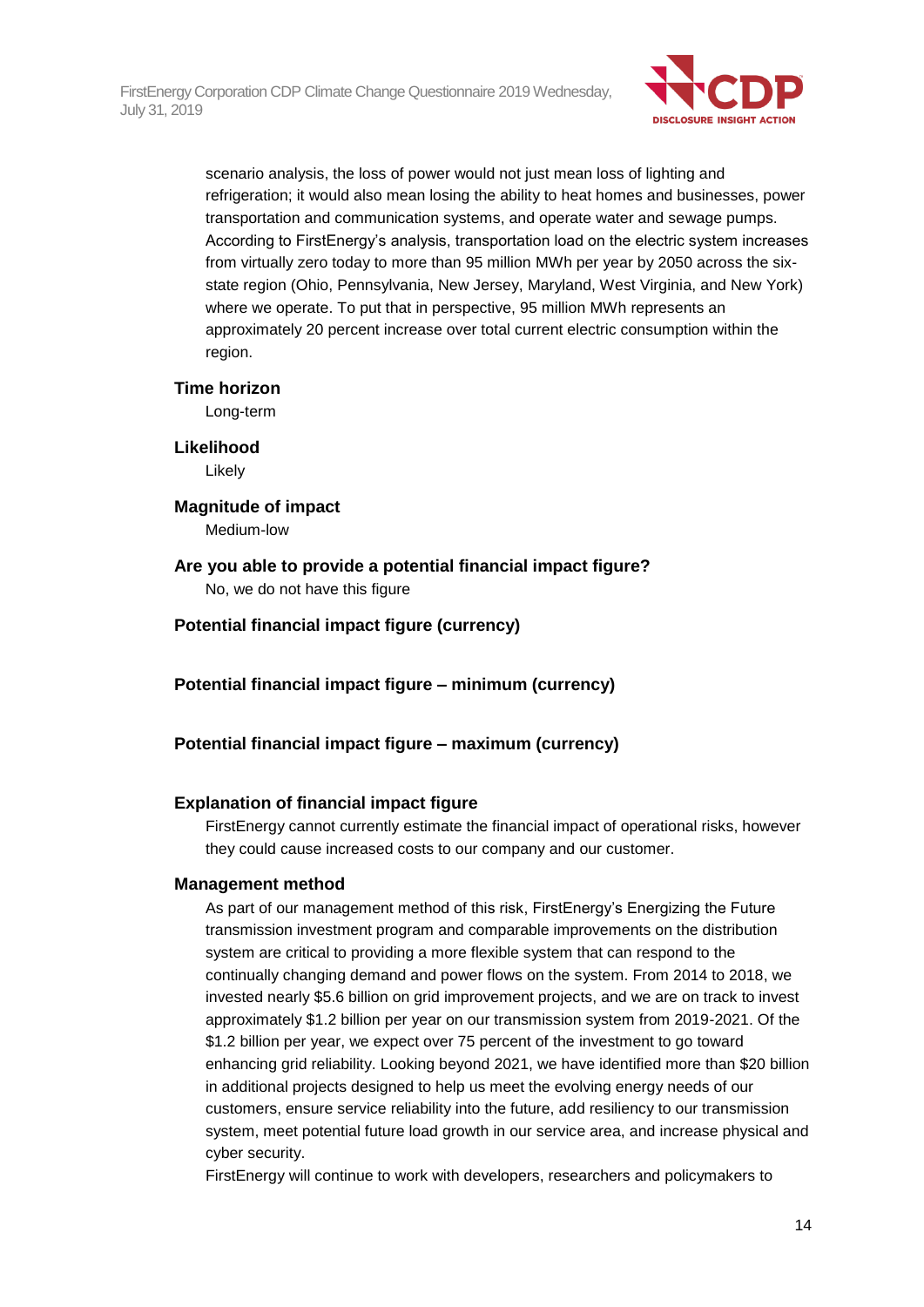

scenario analysis, the loss of power would not just mean loss of lighting and refrigeration; it would also mean losing the ability to heat homes and businesses, power transportation and communication systems, and operate water and sewage pumps. According to FirstEnergy's analysis, transportation load on the electric system increases from virtually zero today to more than 95 million MWh per year by 2050 across the sixstate region (Ohio, Pennsylvania, New Jersey, Maryland, West Virginia, and New York) where we operate. To put that in perspective, 95 million MWh represents an approximately 20 percent increase over total current electric consumption within the region.

#### **Time horizon**

Long-term

#### **Likelihood**

Likely

#### **Magnitude of impact**

Medium-low

#### **Are you able to provide a potential financial impact figure?** No, we do not have this figure

### **Potential financial impact figure (currency)**

### **Potential financial impact figure – minimum (currency)**

### **Potential financial impact figure – maximum (currency)**

### **Explanation of financial impact figure**

FirstEnergy cannot currently estimate the financial impact of operational risks, however they could cause increased costs to our company and our customer.

#### **Management method**

As part of our management method of this risk, FirstEnergy's Energizing the Future transmission investment program and comparable improvements on the distribution system are critical to providing a more flexible system that can respond to the continually changing demand and power flows on the system. From 2014 to 2018, we invested nearly \$5.6 billion on grid improvement projects, and we are on track to invest approximately \$1.2 billion per year on our transmission system from 2019-2021. Of the \$1.2 billion per year, we expect over 75 percent of the investment to go toward enhancing grid reliability. Looking beyond 2021, we have identified more than \$20 billion in additional projects designed to help us meet the evolving energy needs of our customers, ensure service reliability into the future, add resiliency to our transmission system, meet potential future load growth in our service area, and increase physical and cyber security.

FirstEnergy will continue to work with developers, researchers and policymakers to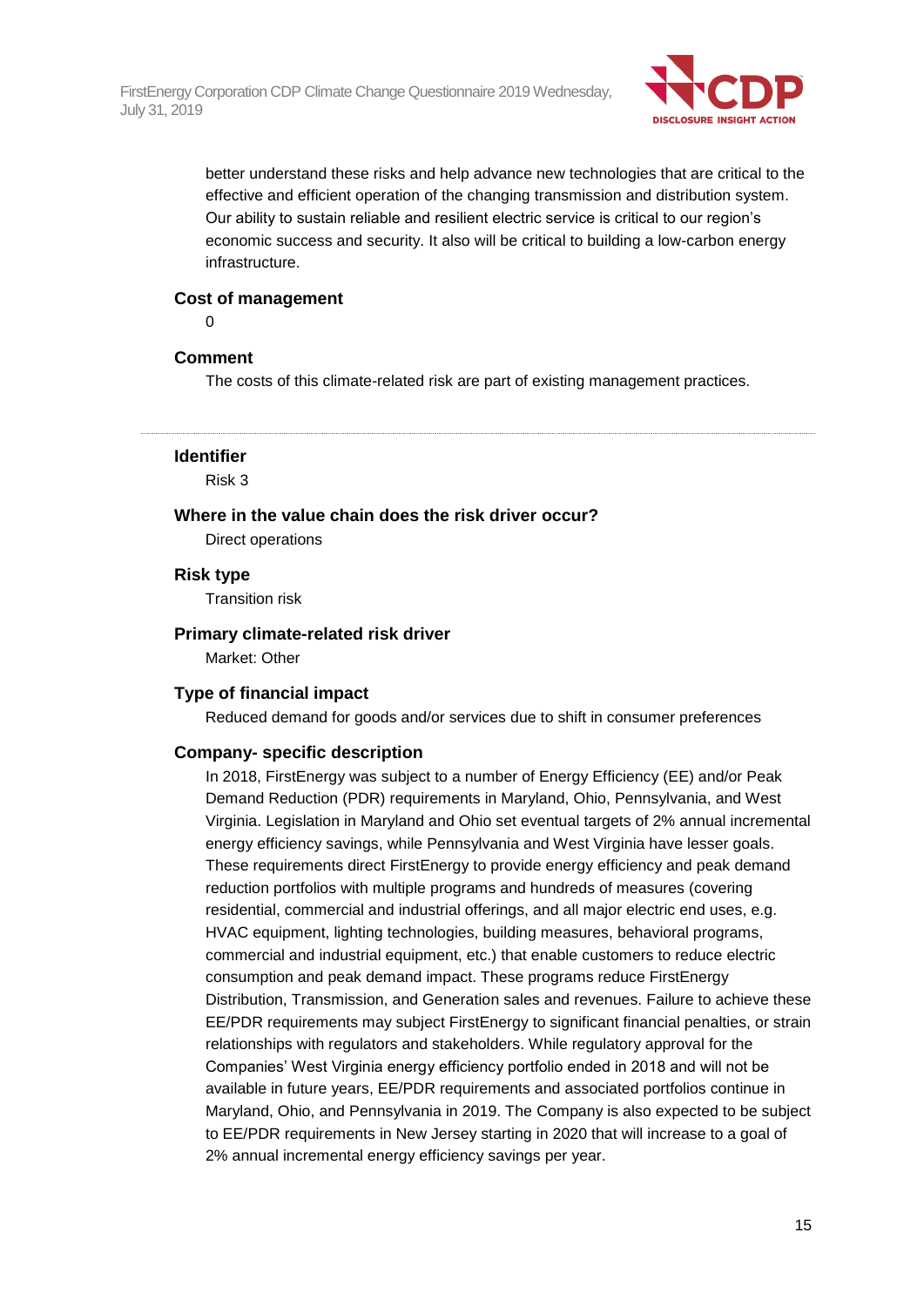

better understand these risks and help advance new technologies that are critical to the effective and efficient operation of the changing transmission and distribution system. Our ability to sustain reliable and resilient electric service is critical to our region's economic success and security. It also will be critical to building a low-carbon energy infrastructure.

#### **Cost of management**

 $\Omega$ 

## **Comment**

The costs of this climate-related risk are part of existing management practices.

#### **Identifier**

Risk 3

#### **Where in the value chain does the risk driver occur?**

Direct operations

#### **Risk type**

Transition risk

### **Primary climate-related risk driver**

Market: Other

#### **Type of financial impact**

Reduced demand for goods and/or services due to shift in consumer preferences

#### **Company- specific description**

In 2018, FirstEnergy was subject to a number of Energy Efficiency (EE) and/or Peak Demand Reduction (PDR) requirements in Maryland, Ohio, Pennsylvania, and West Virginia. Legislation in Maryland and Ohio set eventual targets of 2% annual incremental energy efficiency savings, while Pennsylvania and West Virginia have lesser goals. These requirements direct FirstEnergy to provide energy efficiency and peak demand reduction portfolios with multiple programs and hundreds of measures (covering residential, commercial and industrial offerings, and all major electric end uses, e.g. HVAC equipment, lighting technologies, building measures, behavioral programs, commercial and industrial equipment, etc.) that enable customers to reduce electric consumption and peak demand impact. These programs reduce FirstEnergy Distribution, Transmission, and Generation sales and revenues. Failure to achieve these EE/PDR requirements may subject FirstEnergy to significant financial penalties, or strain relationships with regulators and stakeholders. While regulatory approval for the Companies' West Virginia energy efficiency portfolio ended in 2018 and will not be available in future years, EE/PDR requirements and associated portfolios continue in Maryland, Ohio, and Pennsylvania in 2019. The Company is also expected to be subject to EE/PDR requirements in New Jersey starting in 2020 that will increase to a goal of 2% annual incremental energy efficiency savings per year.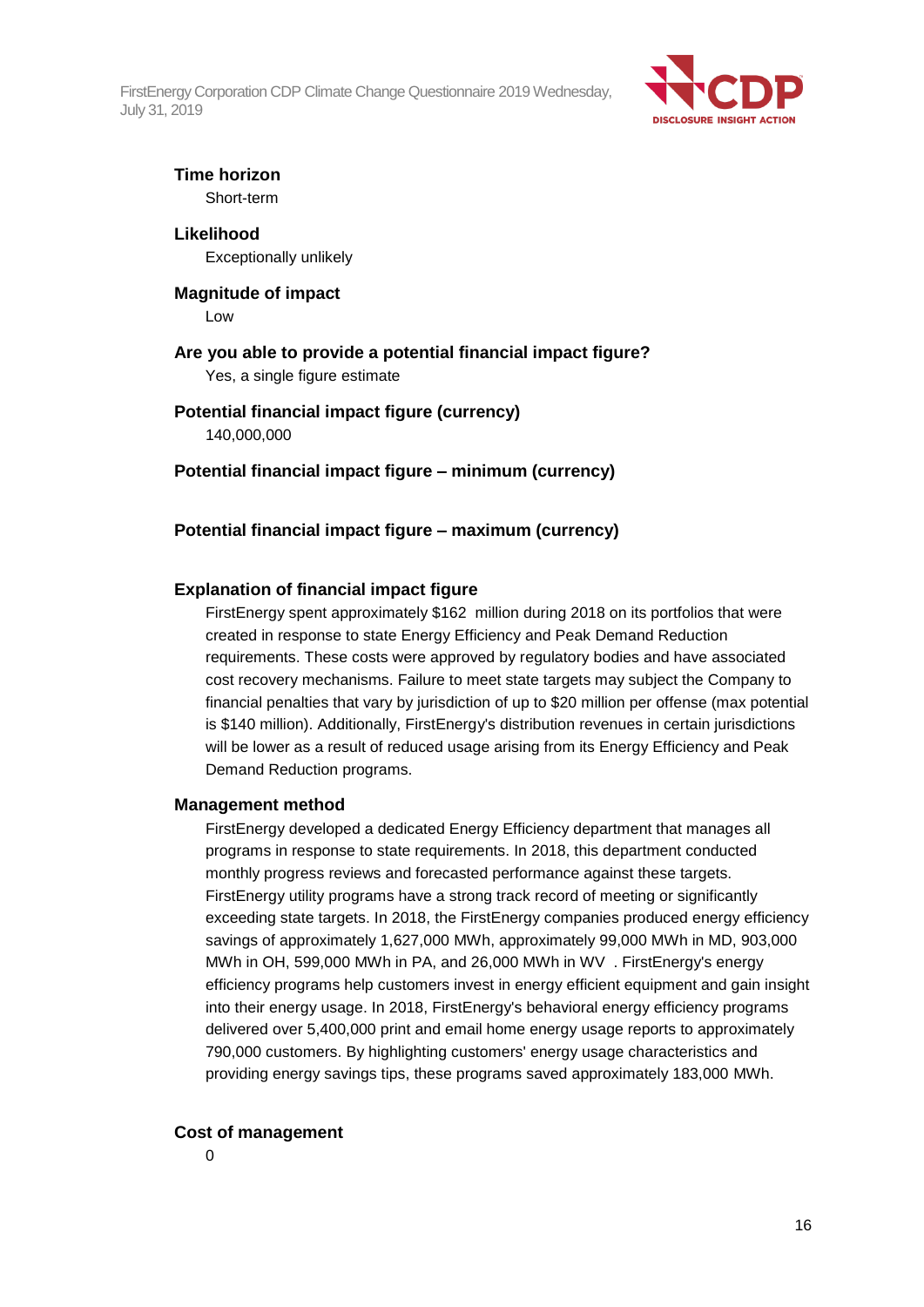

## **Time horizon**

Short-term

## **Likelihood** Exceptionally unlikely

#### **Magnitude of impact** Low

## **Are you able to provide a potential financial impact figure?**

Yes, a single figure estimate

## **Potential financial impact figure (currency)**

140,000,000

**Potential financial impact figure – minimum (currency)**

## **Potential financial impact figure – maximum (currency)**

## **Explanation of financial impact figure**

FirstEnergy spent approximately \$162 million during 2018 on its portfolios that were created in response to state Energy Efficiency and Peak Demand Reduction requirements. These costs were approved by regulatory bodies and have associated cost recovery mechanisms. Failure to meet state targets may subject the Company to financial penalties that vary by jurisdiction of up to \$20 million per offense (max potential is \$140 million). Additionally, FirstEnergy's distribution revenues in certain jurisdictions will be lower as a result of reduced usage arising from its Energy Efficiency and Peak Demand Reduction programs.

### **Management method**

FirstEnergy developed a dedicated Energy Efficiency department that manages all programs in response to state requirements. In 2018, this department conducted monthly progress reviews and forecasted performance against these targets. FirstEnergy utility programs have a strong track record of meeting or significantly exceeding state targets. In 2018, the FirstEnergy companies produced energy efficiency savings of approximately 1,627,000 MWh, approximately 99,000 MWh in MD, 903,000 MWh in OH, 599,000 MWh in PA, and 26,000 MWh in WV . FirstEnergy's energy efficiency programs help customers invest in energy efficient equipment and gain insight into their energy usage. In 2018, FirstEnergy's behavioral energy efficiency programs delivered over 5,400,000 print and email home energy usage reports to approximately 790,000 customers. By highlighting customers' energy usage characteristics and providing energy savings tips, these programs saved approximately 183,000 MWh.

### **Cost of management**

0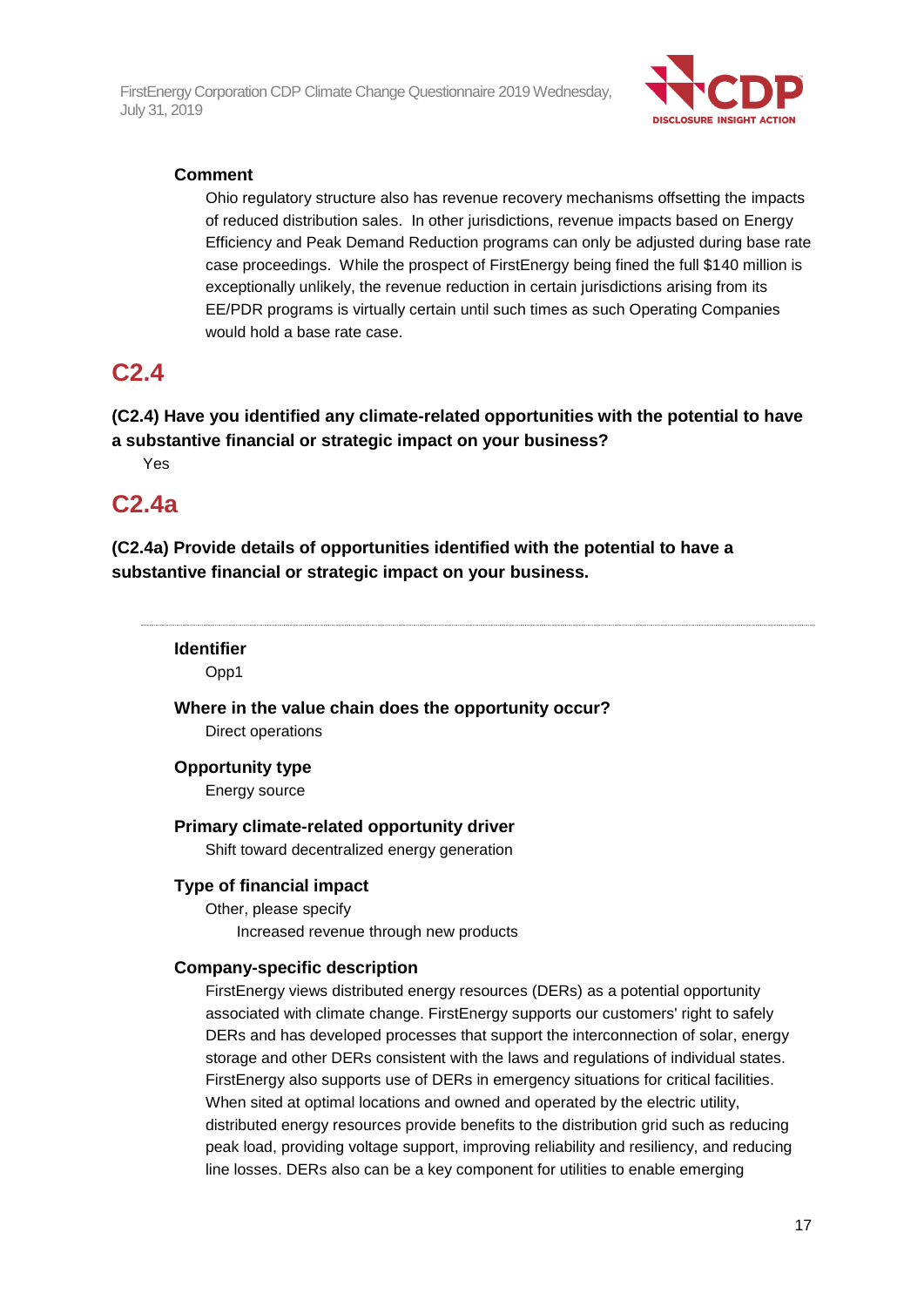

## **Comment**

Ohio regulatory structure also has revenue recovery mechanisms offsetting the impacts of reduced distribution sales. In other jurisdictions, revenue impacts based on Energy Efficiency and Peak Demand Reduction programs can only be adjusted during base rate case proceedings. While the prospect of FirstEnergy being fined the full \$140 million is exceptionally unlikely, the revenue reduction in certain jurisdictions arising from its EE/PDR programs is virtually certain until such times as such Operating Companies would hold a base rate case.

## **C2.4**

**(C2.4) Have you identified any climate-related opportunities with the potential to have a substantive financial or strategic impact on your business?**

Yes

## **C2.4a**

**(C2.4a) Provide details of opportunities identified with the potential to have a substantive financial or strategic impact on your business.**

**Identifier**

Opp1

**Where in the value chain does the opportunity occur?**

Direct operations

### **Opportunity type**

Energy source

### **Primary climate-related opportunity driver**

Shift toward decentralized energy generation

### **Type of financial impact**

Other, please specify Increased revenue through new products

### **Company-specific description**

FirstEnergy views distributed energy resources (DERs) as a potential opportunity associated with climate change. FirstEnergy supports our customers' right to safely DERs and has developed processes that support the interconnection of solar, energy storage and other DERs consistent with the laws and regulations of individual states. FirstEnergy also supports use of DERs in emergency situations for critical facilities. When sited at optimal locations and owned and operated by the electric utility, distributed energy resources provide benefits to the distribution grid such as reducing peak load, providing voltage support, improving reliability and resiliency, and reducing line losses. DERs also can be a key component for utilities to enable emerging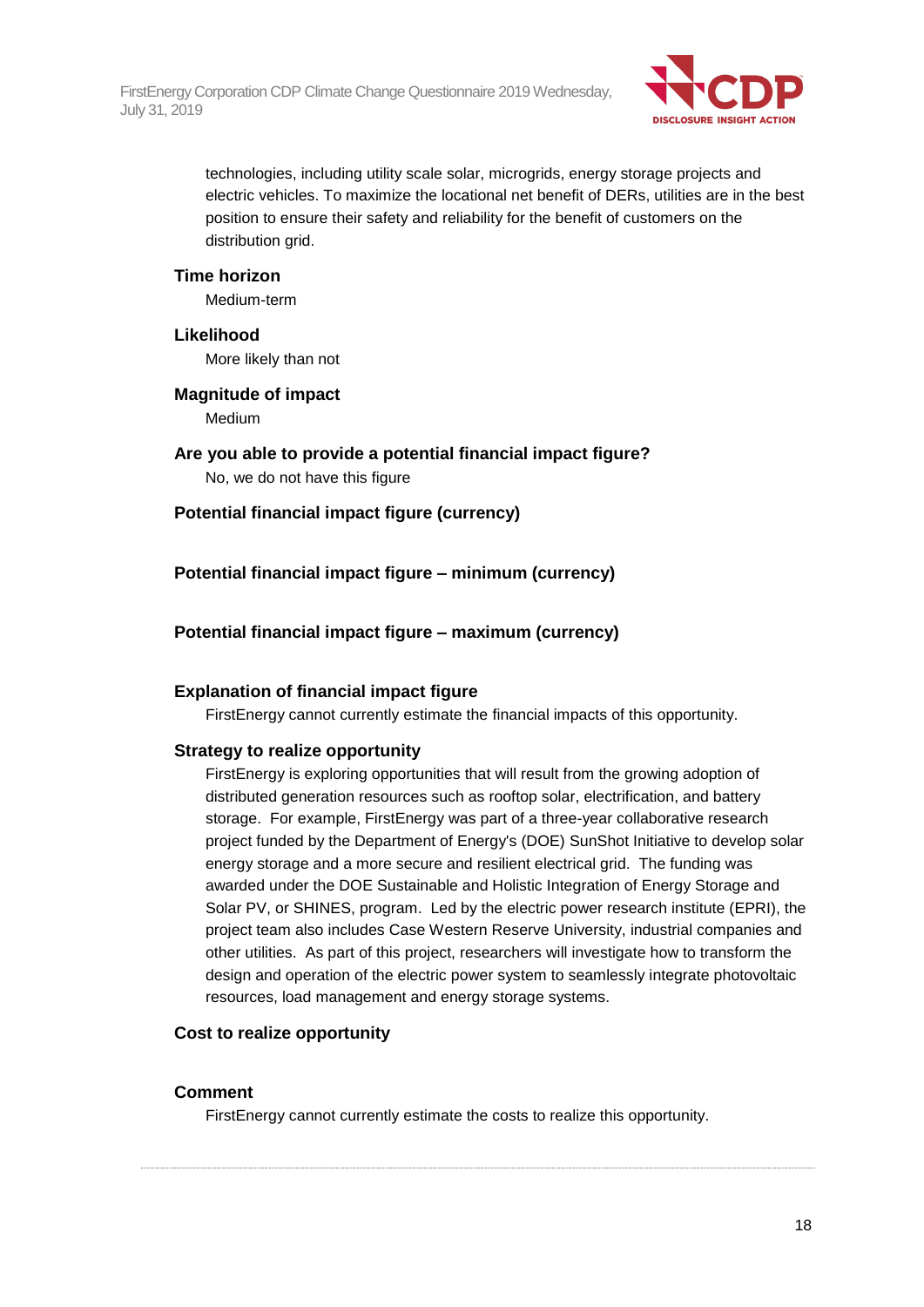

technologies, including utility scale solar, microgrids, energy storage projects and electric vehicles. To maximize the locational net benefit of DERs, utilities are in the best position to ensure their safety and reliability for the benefit of customers on the distribution grid.

#### **Time horizon**

Medium-term

#### **Likelihood**

More likely than not

#### **Magnitude of impact** Medium

**Are you able to provide a potential financial impact figure?** No, we do not have this figure

## **Potential financial impact figure (currency)**

**Potential financial impact figure – minimum (currency)**

## **Potential financial impact figure – maximum (currency)**

### **Explanation of financial impact figure**

FirstEnergy cannot currently estimate the financial impacts of this opportunity.

### **Strategy to realize opportunity**

FirstEnergy is exploring opportunities that will result from the growing adoption of distributed generation resources such as rooftop solar, electrification, and battery storage. For example, FirstEnergy was part of a three-year collaborative research project funded by the Department of Energy's (DOE) SunShot Initiative to develop solar energy storage and a more secure and resilient electrical grid. The funding was awarded under the DOE Sustainable and Holistic Integration of Energy Storage and Solar PV, or SHINES, program. Led by the electric power research institute (EPRI), the project team also includes Case Western Reserve University, industrial companies and other utilities. As part of this project, researchers will investigate how to transform the design and operation of the electric power system to seamlessly integrate photovoltaic resources, load management and energy storage systems.

### **Cost to realize opportunity**

#### **Comment**

FirstEnergy cannot currently estimate the costs to realize this opportunity.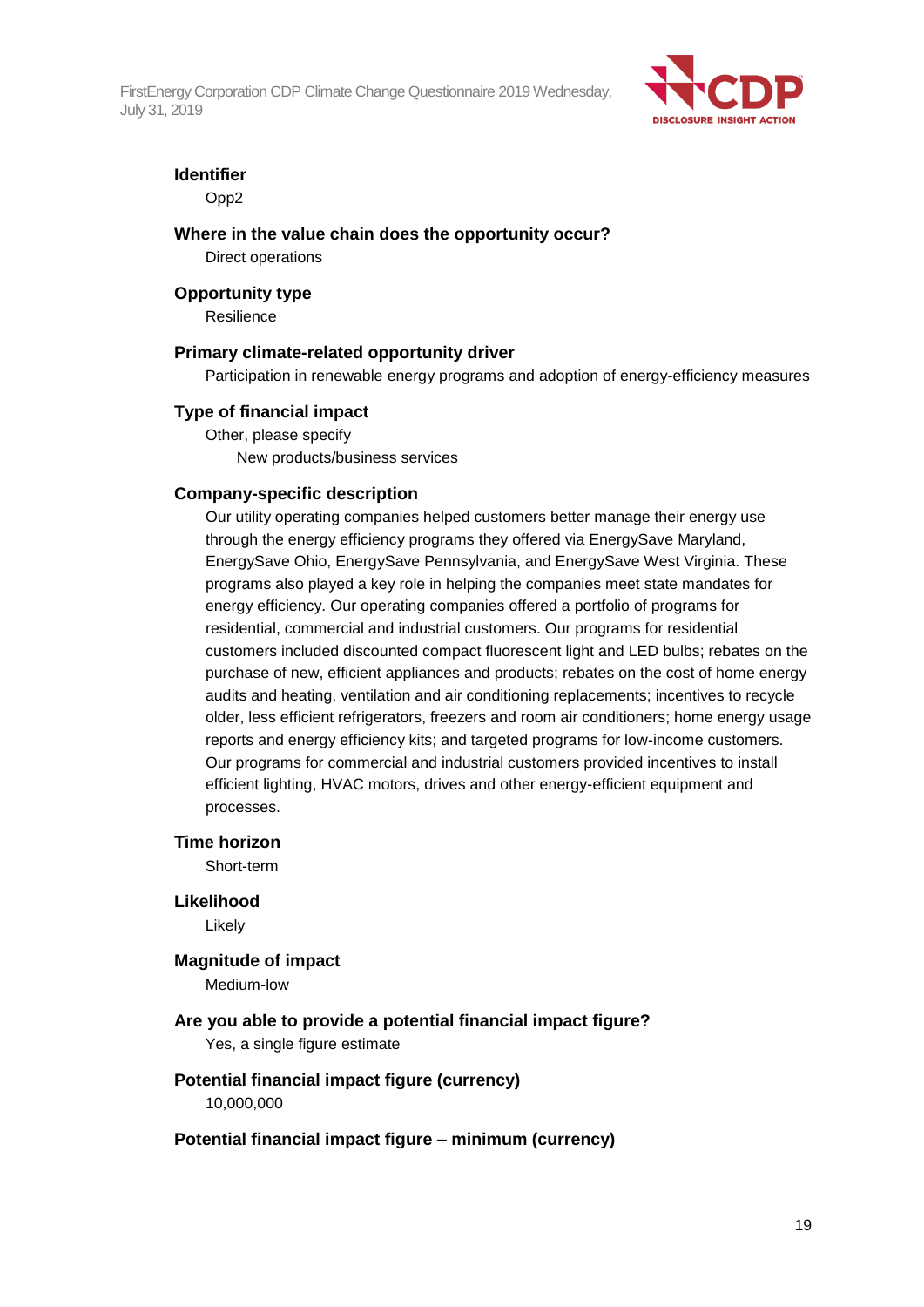

### **Identifier**

Opp2

#### **Where in the value chain does the opportunity occur?**

Direct operations

#### **Opportunity type**

Resilience

#### **Primary climate-related opportunity driver**

Participation in renewable energy programs and adoption of energy-efficiency measures

#### **Type of financial impact**

Other, please specify New products/business services

#### **Company-specific description**

Our utility operating companies helped customers better manage their energy use through the energy efficiency programs they offered via EnergySave Maryland, EnergySave Ohio, EnergySave Pennsylvania, and EnergySave West Virginia. These programs also played a key role in helping the companies meet state mandates for energy efficiency. Our operating companies offered a portfolio of programs for residential, commercial and industrial customers. Our programs for residential customers included discounted compact fluorescent light and LED bulbs; rebates on the purchase of new, efficient appliances and products; rebates on the cost of home energy audits and heating, ventilation and air conditioning replacements; incentives to recycle older, less efficient refrigerators, freezers and room air conditioners; home energy usage reports and energy efficiency kits; and targeted programs for low-income customers. Our programs for commercial and industrial customers provided incentives to install efficient lighting, HVAC motors, drives and other energy-efficient equipment and processes.

#### **Time horizon**

Short-term

#### **Likelihood**

Likely

#### **Magnitude of impact**

Medium-low

## **Are you able to provide a potential financial impact figure?**

Yes, a single figure estimate

#### **Potential financial impact figure (currency)** 10,000,000

### **Potential financial impact figure – minimum (currency)**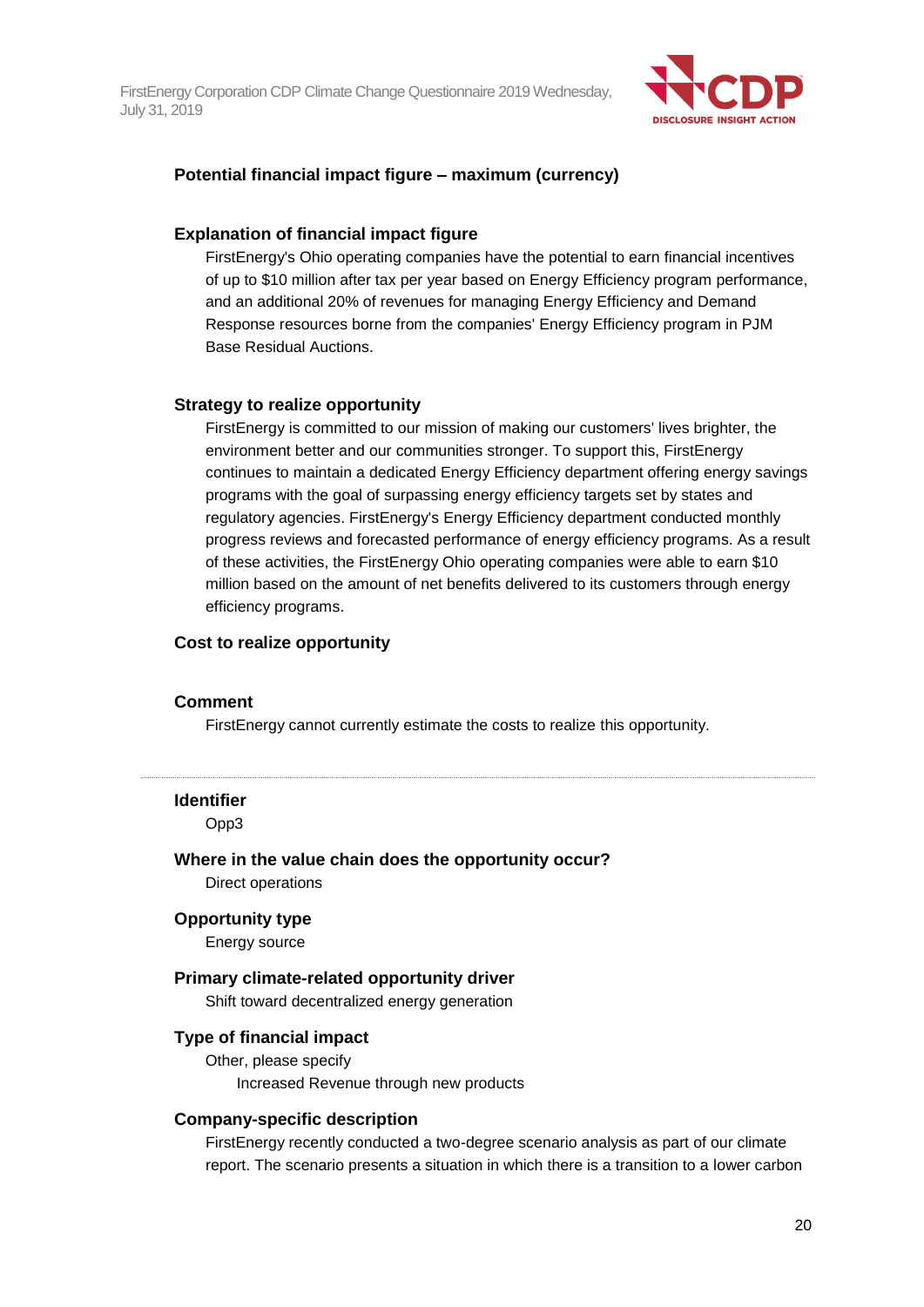

#### **Potential financial impact figure – maximum (currency)**

#### **Explanation of financial impact figure**

FirstEnergy's Ohio operating companies have the potential to earn financial incentives of up to \$10 million after tax per year based on Energy Efficiency program performance, and an additional 20% of revenues for managing Energy Efficiency and Demand Response resources borne from the companies' Energy Efficiency program in PJM Base Residual Auctions.

#### **Strategy to realize opportunity**

FirstEnergy is committed to our mission of making our customers' lives brighter, the environment better and our communities stronger. To support this, FirstEnergy continues to maintain a dedicated Energy Efficiency department offering energy savings programs with the goal of surpassing energy efficiency targets set by states and regulatory agencies. FirstEnergy's Energy Efficiency department conducted monthly progress reviews and forecasted performance of energy efficiency programs. As a result of these activities, the FirstEnergy Ohio operating companies were able to earn \$10 million based on the amount of net benefits delivered to its customers through energy efficiency programs.

#### **Cost to realize opportunity**

#### **Comment**

FirstEnergy cannot currently estimate the costs to realize this opportunity.

#### **Identifier**

Opp3

**Where in the value chain does the opportunity occur?** Direct operations

#### **Opportunity type**

Energy source

#### **Primary climate-related opportunity driver**

Shift toward decentralized energy generation

#### **Type of financial impact**

Other, please specify Increased Revenue through new products

#### **Company-specific description**

FirstEnergy recently conducted a two-degree scenario analysis as part of our climate report. The scenario presents a situation in which there is a transition to a lower carbon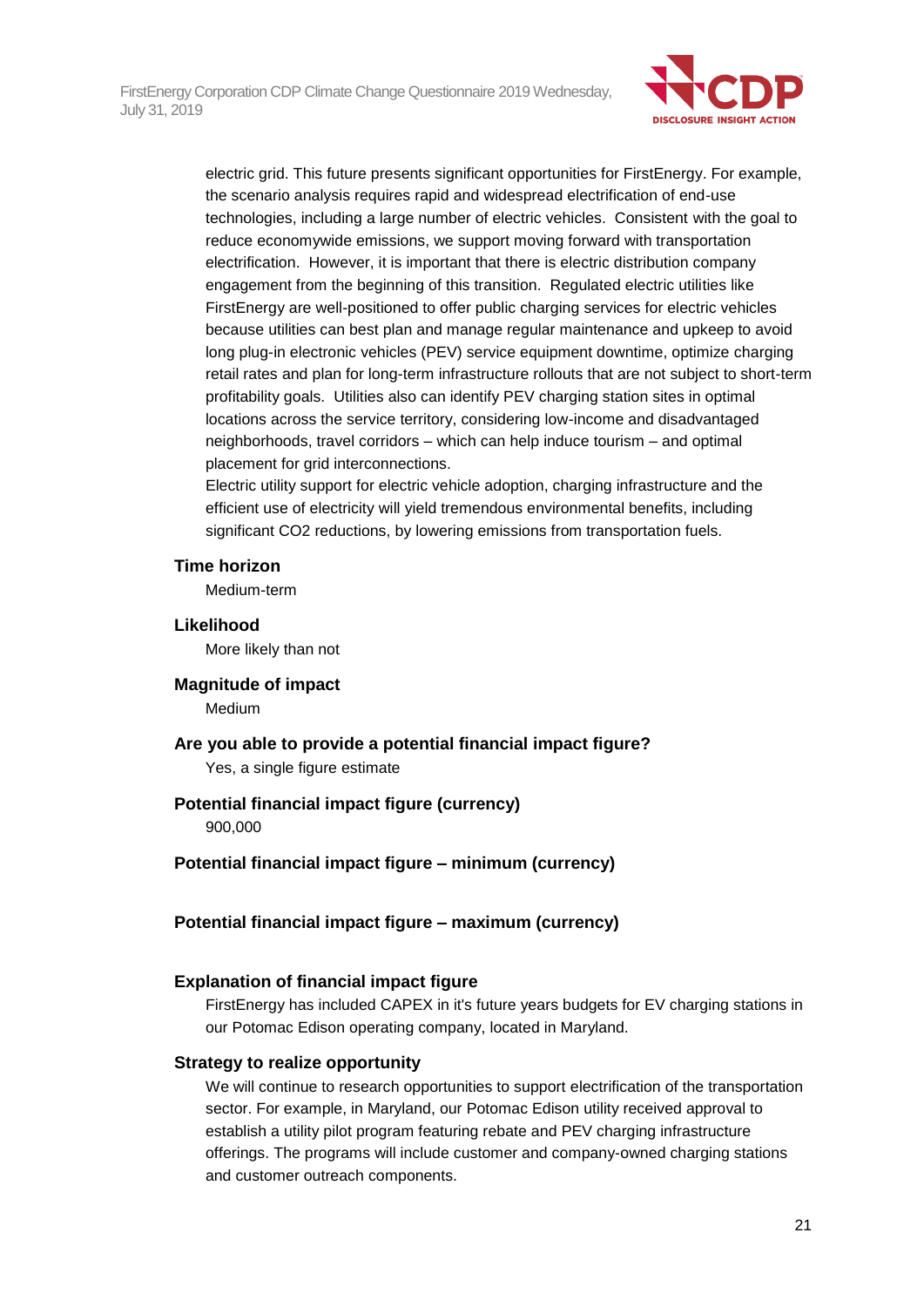

electric grid. This future presents significant opportunities for FirstEnergy. For example, the scenario analysis requires rapid and widespread electrification of end-use technologies, including a large number of electric vehicles. Consistent with the goal to reduce economywide emissions, we support moving forward with transportation electrification. However, it is important that there is electric distribution company engagement from the beginning of this transition. Regulated electric utilities like FirstEnergy are well-positioned to offer public charging services for electric vehicles because utilities can best plan and manage regular maintenance and upkeep to avoid long plug-in electronic vehicles (PEV) service equipment downtime, optimize charging retail rates and plan for long-term infrastructure rollouts that are not subject to short-term profitability goals. Utilities also can identify PEV charging station sites in optimal locations across the service territory, considering low-income and disadvantaged neighborhoods, travel corridors – which can help induce tourism – and optimal placement for grid interconnections.

Electric utility support for electric vehicle adoption, charging infrastructure and the efficient use of electricity will yield tremendous environmental benefits, including significant CO2 reductions, by lowering emissions from transportation fuels.

#### **Time horizon**

Medium-term

# **Likelihood**

More likely than not

### **Magnitude of impact**

Medium

**Are you able to provide a potential financial impact figure?** Yes, a single figure estimate

## **Potential financial impact figure (currency)**

900,000

**Potential financial impact figure – minimum (currency)**

**Potential financial impact figure – maximum (currency)**

### **Explanation of financial impact figure**

FirstEnergy has included CAPEX in it's future years budgets for EV charging stations in our Potomac Edison operating company, located in Maryland.

#### **Strategy to realize opportunity**

We will continue to research opportunities to support electrification of the transportation sector. For example, in Maryland, our Potomac Edison utility received approval to establish a utility pilot program featuring rebate and PEV charging infrastructure offerings. The programs will include customer and company-owned charging stations and customer outreach components.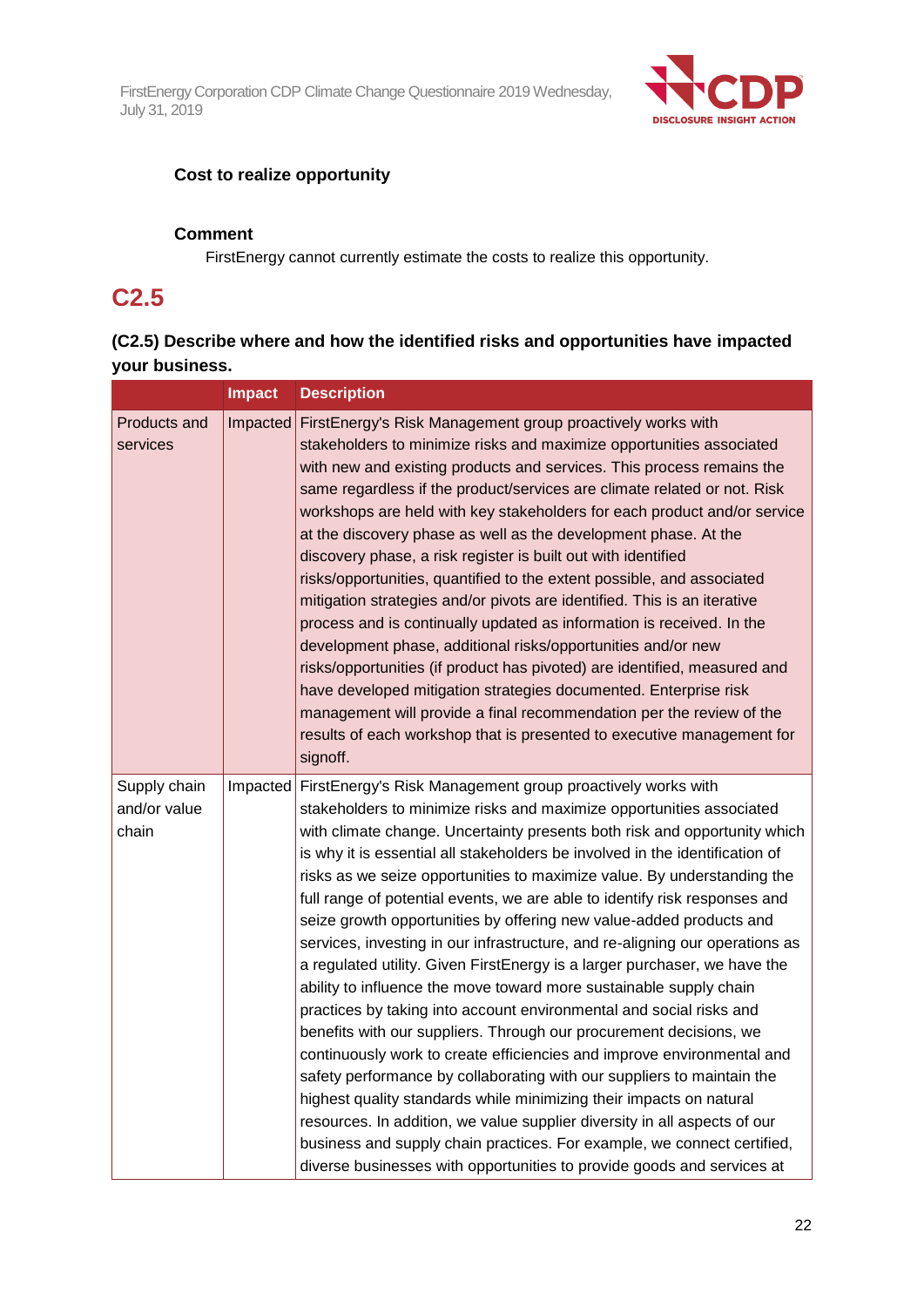

## **Cost to realize opportunity**

### **Comment**

FirstEnergy cannot currently estimate the costs to realize this opportunity.

## **C2.5**

## **(C2.5) Describe where and how the identified risks and opportunities have impacted your business.**

|                                       | <b>Impact</b> | <b>Description</b>                                                                                                                                                                                                                                                                                                                                                                                                                                                                                                                                                                                                                                                                                                                                                                                                                                                                                                                                                                                                                                                                                                                                                                                                                                                                                                                                                                    |  |  |
|---------------------------------------|---------------|---------------------------------------------------------------------------------------------------------------------------------------------------------------------------------------------------------------------------------------------------------------------------------------------------------------------------------------------------------------------------------------------------------------------------------------------------------------------------------------------------------------------------------------------------------------------------------------------------------------------------------------------------------------------------------------------------------------------------------------------------------------------------------------------------------------------------------------------------------------------------------------------------------------------------------------------------------------------------------------------------------------------------------------------------------------------------------------------------------------------------------------------------------------------------------------------------------------------------------------------------------------------------------------------------------------------------------------------------------------------------------------|--|--|
| Products and<br>services              |               | Impacted FirstEnergy's Risk Management group proactively works with<br>stakeholders to minimize risks and maximize opportunities associated<br>with new and existing products and services. This process remains the<br>same regardless if the product/services are climate related or not. Risk<br>workshops are held with key stakeholders for each product and/or service<br>at the discovery phase as well as the development phase. At the<br>discovery phase, a risk register is built out with identified<br>risks/opportunities, quantified to the extent possible, and associated<br>mitigation strategies and/or pivots are identified. This is an iterative<br>process and is continually updated as information is received. In the<br>development phase, additional risks/opportunities and/or new<br>risks/opportunities (if product has pivoted) are identified, measured and<br>have developed mitigation strategies documented. Enterprise risk<br>management will provide a final recommendation per the review of the<br>results of each workshop that is presented to executive management for<br>signoff.                                                                                                                                                                                                                                                        |  |  |
| Supply chain<br>and/or value<br>chain |               | Impacted FirstEnergy's Risk Management group proactively works with<br>stakeholders to minimize risks and maximize opportunities associated<br>with climate change. Uncertainty presents both risk and opportunity which<br>is why it is essential all stakeholders be involved in the identification of<br>risks as we seize opportunities to maximize value. By understanding the<br>full range of potential events, we are able to identify risk responses and<br>seize growth opportunities by offering new value-added products and<br>services, investing in our infrastructure, and re-aligning our operations as<br>a regulated utility. Given FirstEnergy is a larger purchaser, we have the<br>ability to influence the move toward more sustainable supply chain<br>practices by taking into account environmental and social risks and<br>benefits with our suppliers. Through our procurement decisions, we<br>continuously work to create efficiencies and improve environmental and<br>safety performance by collaborating with our suppliers to maintain the<br>highest quality standards while minimizing their impacts on natural<br>resources. In addition, we value supplier diversity in all aspects of our<br>business and supply chain practices. For example, we connect certified,<br>diverse businesses with opportunities to provide goods and services at |  |  |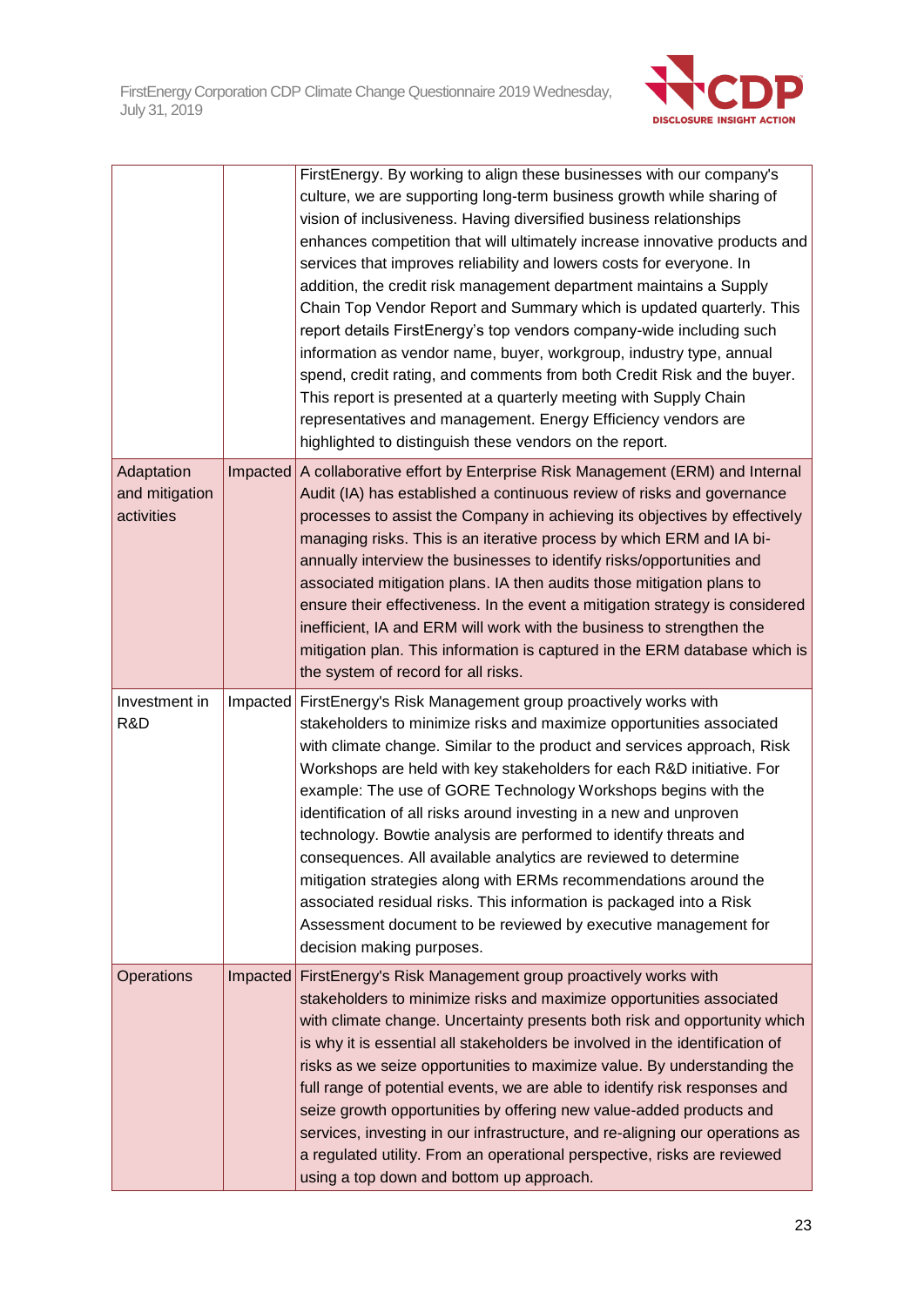

|                                            | FirstEnergy. By working to align these businesses with our company's<br>culture, we are supporting long-term business growth while sharing of<br>vision of inclusiveness. Having diversified business relationships<br>enhances competition that will ultimately increase innovative products and<br>services that improves reliability and lowers costs for everyone. In<br>addition, the credit risk management department maintains a Supply<br>Chain Top Vendor Report and Summary which is updated quarterly. This<br>report details FirstEnergy's top vendors company-wide including such<br>information as vendor name, buyer, workgroup, industry type, annual<br>spend, credit rating, and comments from both Credit Risk and the buyer.<br>This report is presented at a quarterly meeting with Supply Chain<br>representatives and management. Energy Efficiency vendors are<br>highlighted to distinguish these vendors on the report. |
|--------------------------------------------|----------------------------------------------------------------------------------------------------------------------------------------------------------------------------------------------------------------------------------------------------------------------------------------------------------------------------------------------------------------------------------------------------------------------------------------------------------------------------------------------------------------------------------------------------------------------------------------------------------------------------------------------------------------------------------------------------------------------------------------------------------------------------------------------------------------------------------------------------------------------------------------------------------------------------------------------------|
| Adaptation<br>and mitigation<br>activities | Impacted A collaborative effort by Enterprise Risk Management (ERM) and Internal<br>Audit (IA) has established a continuous review of risks and governance<br>processes to assist the Company in achieving its objectives by effectively<br>managing risks. This is an iterative process by which ERM and IA bi-<br>annually interview the businesses to identify risks/opportunities and<br>associated mitigation plans. IA then audits those mitigation plans to<br>ensure their effectiveness. In the event a mitigation strategy is considered<br>inefficient, IA and ERM will work with the business to strengthen the<br>mitigation plan. This information is captured in the ERM database which is<br>the system of record for all risks.                                                                                                                                                                                                   |
| Investment in<br>R&D                       | Impacted FirstEnergy's Risk Management group proactively works with<br>stakeholders to minimize risks and maximize opportunities associated<br>with climate change. Similar to the product and services approach, Risk<br>Workshops are held with key stakeholders for each R&D initiative. For<br>example: The use of GORE Technology Workshops begins with the<br>identification of all risks around investing in a new and unproven<br>technology. Bowtie analysis are performed to identify threats and<br>consequences. All available analytics are reviewed to determine<br>mitigation strategies along with ERMs recommendations around the<br>associated residual risks. This information is packaged into a Risk<br>Assessment document to be reviewed by executive management for<br>decision making purposes.                                                                                                                           |
| Operations                                 | Impacted FirstEnergy's Risk Management group proactively works with<br>stakeholders to minimize risks and maximize opportunities associated<br>with climate change. Uncertainty presents both risk and opportunity which<br>is why it is essential all stakeholders be involved in the identification of<br>risks as we seize opportunities to maximize value. By understanding the<br>full range of potential events, we are able to identify risk responses and<br>seize growth opportunities by offering new value-added products and<br>services, investing in our infrastructure, and re-aligning our operations as<br>a regulated utility. From an operational perspective, risks are reviewed<br>using a top down and bottom up approach.                                                                                                                                                                                                   |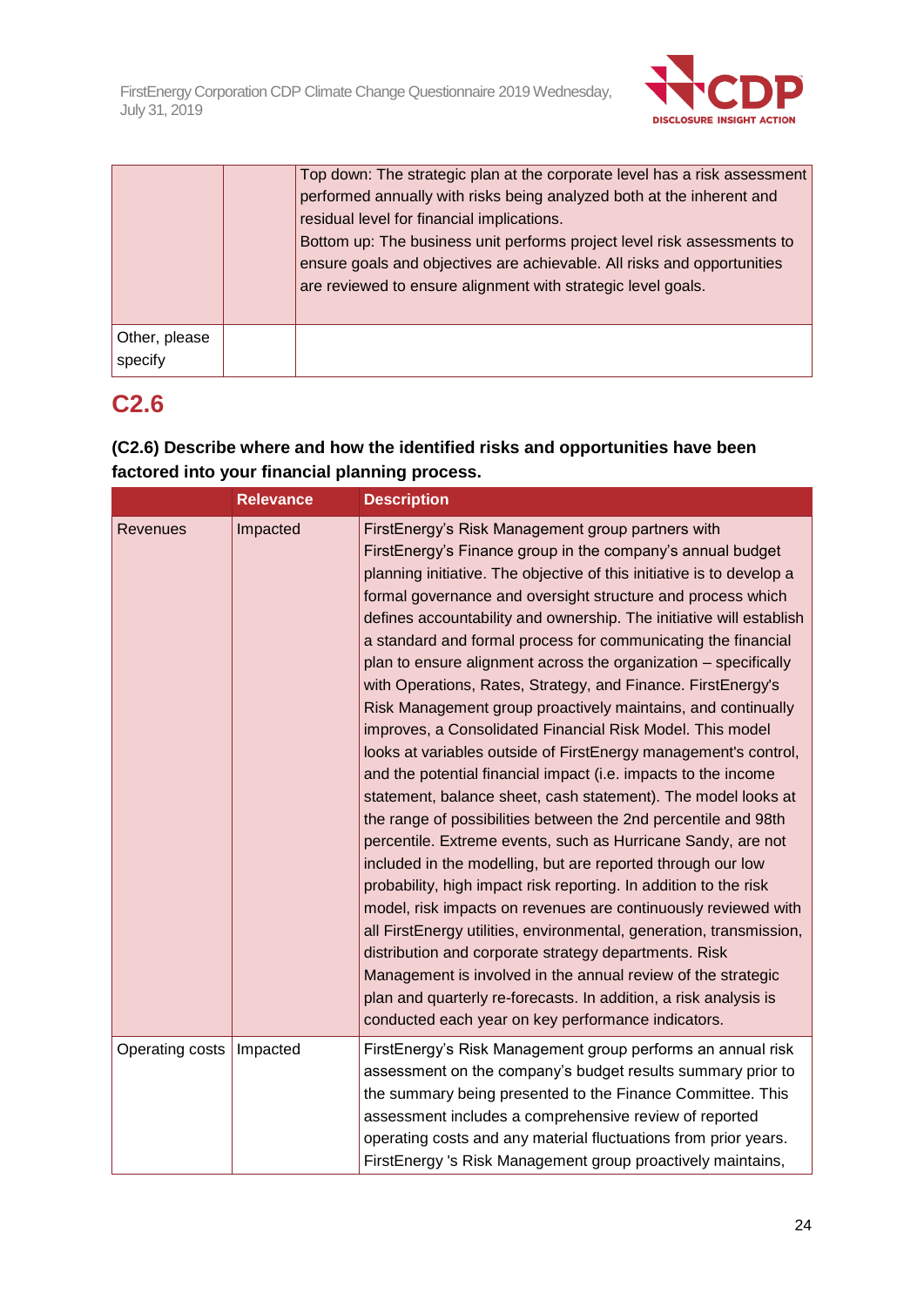

|                          | Top down: The strategic plan at the corporate level has a risk assessment<br>performed annually with risks being analyzed both at the inherent and<br>residual level for financial implications.<br>Bottom up: The business unit performs project level risk assessments to<br>ensure goals and objectives are achievable. All risks and opportunities<br>are reviewed to ensure alignment with strategic level goals. |
|--------------------------|------------------------------------------------------------------------------------------------------------------------------------------------------------------------------------------------------------------------------------------------------------------------------------------------------------------------------------------------------------------------------------------------------------------------|
| Other, please<br>specify |                                                                                                                                                                                                                                                                                                                                                                                                                        |

## **C2.6**

## **(C2.6) Describe where and how the identified risks and opportunities have been factored into your financial planning process.**

|                 | <b>Relevance</b> | <b>Description</b>                                                                                                                                                                                                                                                                                                                                                                                                                                                                                                                                                                                                                                                                                                                                                                                                                                                                                                                                                                                                                                                                                                                                                                                                                                                                                                                                                                                                                                                                                                                     |  |  |
|-----------------|------------------|----------------------------------------------------------------------------------------------------------------------------------------------------------------------------------------------------------------------------------------------------------------------------------------------------------------------------------------------------------------------------------------------------------------------------------------------------------------------------------------------------------------------------------------------------------------------------------------------------------------------------------------------------------------------------------------------------------------------------------------------------------------------------------------------------------------------------------------------------------------------------------------------------------------------------------------------------------------------------------------------------------------------------------------------------------------------------------------------------------------------------------------------------------------------------------------------------------------------------------------------------------------------------------------------------------------------------------------------------------------------------------------------------------------------------------------------------------------------------------------------------------------------------------------|--|--|
| <b>Revenues</b> | Impacted         | FirstEnergy's Risk Management group partners with<br>FirstEnergy's Finance group in the company's annual budget<br>planning initiative. The objective of this initiative is to develop a<br>formal governance and oversight structure and process which<br>defines accountability and ownership. The initiative will establish<br>a standard and formal process for communicating the financial<br>plan to ensure alignment across the organization - specifically<br>with Operations, Rates, Strategy, and Finance. FirstEnergy's<br>Risk Management group proactively maintains, and continually<br>improves, a Consolidated Financial Risk Model. This model<br>looks at variables outside of FirstEnergy management's control,<br>and the potential financial impact (i.e. impacts to the income<br>statement, balance sheet, cash statement). The model looks at<br>the range of possibilities between the 2nd percentile and 98th<br>percentile. Extreme events, such as Hurricane Sandy, are not<br>included in the modelling, but are reported through our low<br>probability, high impact risk reporting. In addition to the risk<br>model, risk impacts on revenues are continuously reviewed with<br>all FirstEnergy utilities, environmental, generation, transmission,<br>distribution and corporate strategy departments. Risk<br>Management is involved in the annual review of the strategic<br>plan and quarterly re-forecasts. In addition, a risk analysis is<br>conducted each year on key performance indicators. |  |  |
| Operating costs | Impacted         | FirstEnergy's Risk Management group performs an annual risk<br>assessment on the company's budget results summary prior to<br>the summary being presented to the Finance Committee. This<br>assessment includes a comprehensive review of reported<br>operating costs and any material fluctuations from prior years.<br>FirstEnergy 's Risk Management group proactively maintains,                                                                                                                                                                                                                                                                                                                                                                                                                                                                                                                                                                                                                                                                                                                                                                                                                                                                                                                                                                                                                                                                                                                                                   |  |  |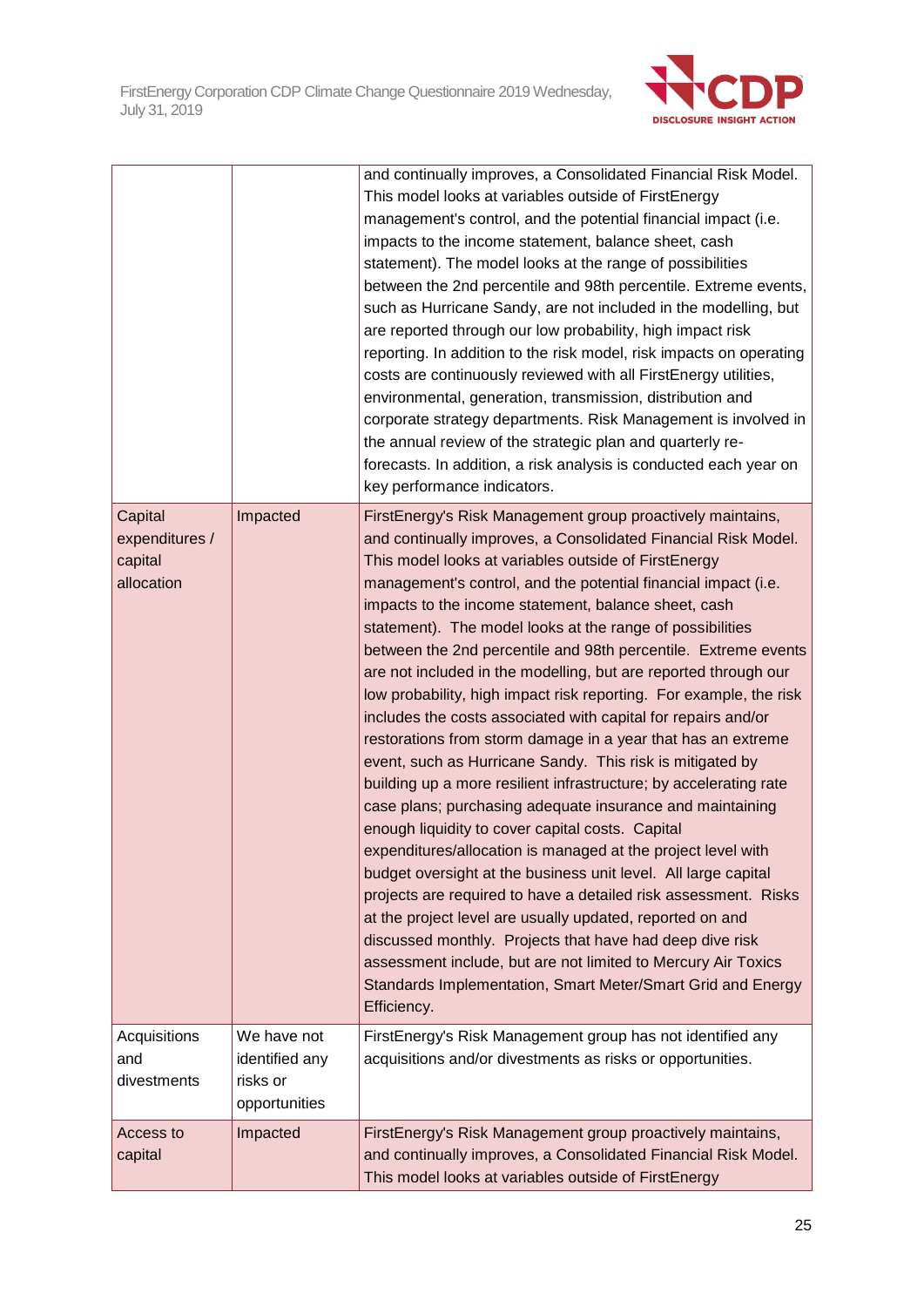

|                |                | and continually improves, a Consolidated Financial Risk Model.                                                         |  |  |  |
|----------------|----------------|------------------------------------------------------------------------------------------------------------------------|--|--|--|
|                |                | This model looks at variables outside of FirstEnergy                                                                   |  |  |  |
|                |                | management's control, and the potential financial impact (i.e.                                                         |  |  |  |
|                |                | impacts to the income statement, balance sheet, cash                                                                   |  |  |  |
|                |                | statement). The model looks at the range of possibilities                                                              |  |  |  |
|                |                | between the 2nd percentile and 98th percentile. Extreme events,                                                        |  |  |  |
|                |                | such as Hurricane Sandy, are not included in the modelling, but                                                        |  |  |  |
|                |                | are reported through our low probability, high impact risk                                                             |  |  |  |
|                |                | reporting. In addition to the risk model, risk impacts on operating                                                    |  |  |  |
|                |                | costs are continuously reviewed with all FirstEnergy utilities,                                                        |  |  |  |
|                |                | environmental, generation, transmission, distribution and                                                              |  |  |  |
|                |                | corporate strategy departments. Risk Management is involved in                                                         |  |  |  |
|                |                | the annual review of the strategic plan and quarterly re-                                                              |  |  |  |
|                |                | forecasts. In addition, a risk analysis is conducted each year on                                                      |  |  |  |
|                |                | key performance indicators.                                                                                            |  |  |  |
|                |                |                                                                                                                        |  |  |  |
| Capital        | Impacted       | FirstEnergy's Risk Management group proactively maintains,                                                             |  |  |  |
| expenditures / |                | and continually improves, a Consolidated Financial Risk Model.<br>This model looks at variables outside of FirstEnergy |  |  |  |
| capital        |                |                                                                                                                        |  |  |  |
| allocation     |                | management's control, and the potential financial impact (i.e.                                                         |  |  |  |
|                |                | impacts to the income statement, balance sheet, cash                                                                   |  |  |  |
|                |                | statement). The model looks at the range of possibilities                                                              |  |  |  |
|                |                | between the 2nd percentile and 98th percentile. Extreme events                                                         |  |  |  |
|                |                | are not included in the modelling, but are reported through our                                                        |  |  |  |
|                |                | low probability, high impact risk reporting. For example, the risk                                                     |  |  |  |
|                |                | includes the costs associated with capital for repairs and/or                                                          |  |  |  |
|                |                | restorations from storm damage in a year that has an extreme                                                           |  |  |  |
|                |                | event, such as Hurricane Sandy. This risk is mitigated by                                                              |  |  |  |
|                |                | building up a more resilient infrastructure; by accelerating rate                                                      |  |  |  |
|                |                | case plans; purchasing adequate insurance and maintaining                                                              |  |  |  |
|                |                | enough liquidity to cover capital costs. Capital                                                                       |  |  |  |
|                |                | expenditures/allocation is managed at the project level with                                                           |  |  |  |
|                |                | budget oversight at the business unit level. All large capital                                                         |  |  |  |
|                |                | projects are required to have a detailed risk assessment. Risks                                                        |  |  |  |
|                |                | at the project level are usually updated, reported on and                                                              |  |  |  |
|                |                | discussed monthly. Projects that have had deep dive risk                                                               |  |  |  |
|                |                | assessment include, but are not limited to Mercury Air Toxics                                                          |  |  |  |
|                |                | Standards Implementation, Smart Meter/Smart Grid and Energy                                                            |  |  |  |
|                |                | Efficiency.                                                                                                            |  |  |  |
| Acquisitions   | We have not    | FirstEnergy's Risk Management group has not identified any                                                             |  |  |  |
| and            | identified any | acquisitions and/or divestments as risks or opportunities.                                                             |  |  |  |
| divestments    | risks or       |                                                                                                                        |  |  |  |
|                | opportunities  |                                                                                                                        |  |  |  |
| Access to      | Impacted       | FirstEnergy's Risk Management group proactively maintains,                                                             |  |  |  |
| capital        |                | and continually improves, a Consolidated Financial Risk Model.                                                         |  |  |  |
|                |                | This model looks at variables outside of FirstEnergy                                                                   |  |  |  |
|                |                |                                                                                                                        |  |  |  |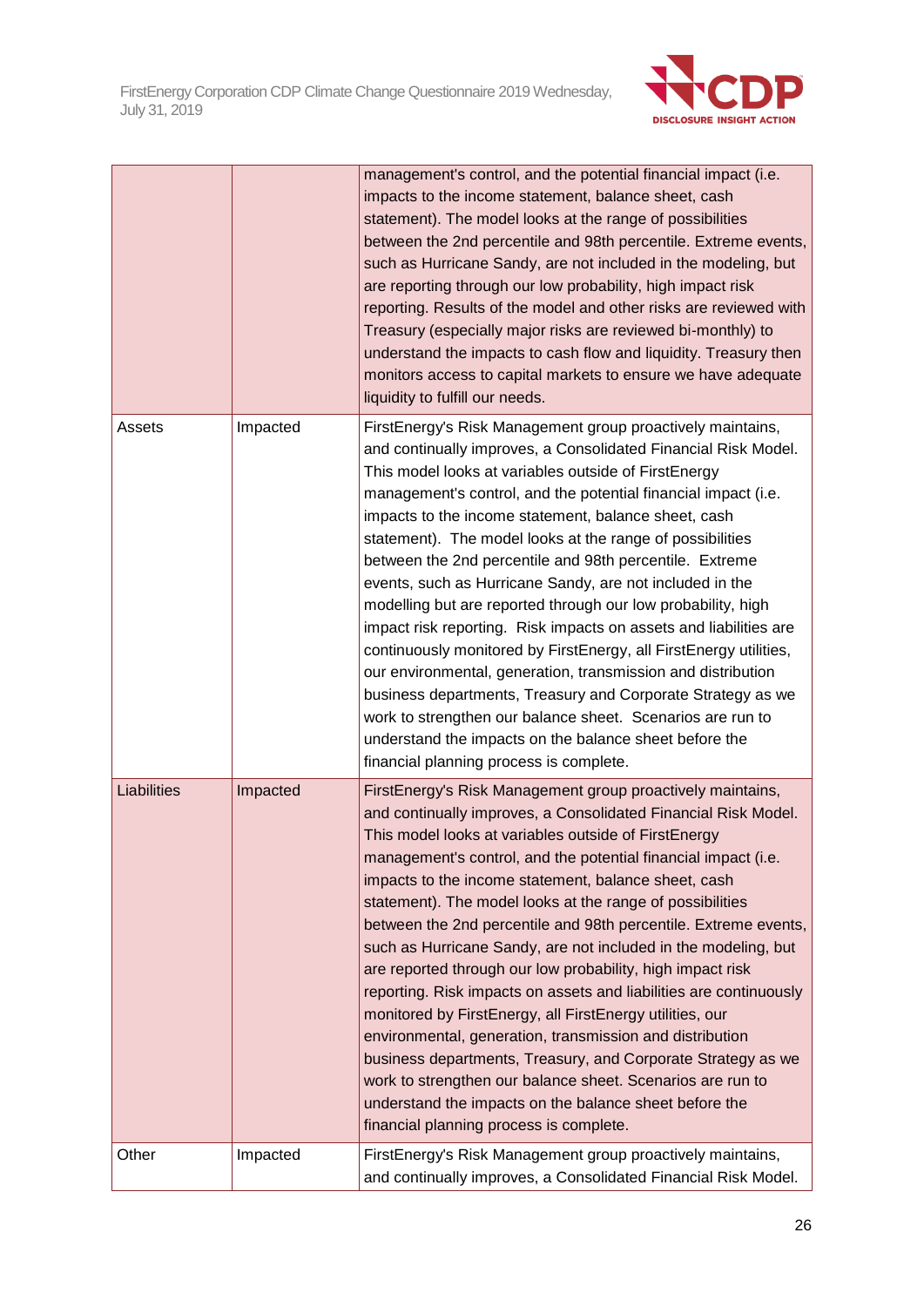

|                    |          | management's control, and the potential financial impact (i.e.<br>impacts to the income statement, balance sheet, cash<br>statement). The model looks at the range of possibilities<br>between the 2nd percentile and 98th percentile. Extreme events,<br>such as Hurricane Sandy, are not included in the modeling, but<br>are reporting through our low probability, high impact risk<br>reporting. Results of the model and other risks are reviewed with<br>Treasury (especially major risks are reviewed bi-monthly) to<br>understand the impacts to cash flow and liquidity. Treasury then<br>monitors access to capital markets to ensure we have adequate<br>liquidity to fulfill our needs.                                                                                                                                                                                                                                                                                                            |  |  |
|--------------------|----------|-----------------------------------------------------------------------------------------------------------------------------------------------------------------------------------------------------------------------------------------------------------------------------------------------------------------------------------------------------------------------------------------------------------------------------------------------------------------------------------------------------------------------------------------------------------------------------------------------------------------------------------------------------------------------------------------------------------------------------------------------------------------------------------------------------------------------------------------------------------------------------------------------------------------------------------------------------------------------------------------------------------------|--|--|
| Assets<br>Impacted |          | FirstEnergy's Risk Management group proactively maintains,<br>and continually improves, a Consolidated Financial Risk Model.<br>This model looks at variables outside of FirstEnergy<br>management's control, and the potential financial impact (i.e.<br>impacts to the income statement, balance sheet, cash<br>statement). The model looks at the range of possibilities<br>between the 2nd percentile and 98th percentile. Extreme<br>events, such as Hurricane Sandy, are not included in the<br>modelling but are reported through our low probability, high<br>impact risk reporting. Risk impacts on assets and liabilities are<br>continuously monitored by FirstEnergy, all FirstEnergy utilities,<br>our environmental, generation, transmission and distribution<br>business departments, Treasury and Corporate Strategy as we<br>work to strengthen our balance sheet. Scenarios are run to<br>understand the impacts on the balance sheet before the<br>financial planning process is complete.  |  |  |
| Liabilities        | Impacted | FirstEnergy's Risk Management group proactively maintains,<br>and continually improves, a Consolidated Financial Risk Model.<br>This model looks at variables outside of FirstEnergy<br>management's control, and the potential financial impact (i.e.<br>impacts to the income statement, balance sheet, cash<br>statement). The model looks at the range of possibilities<br>between the 2nd percentile and 98th percentile. Extreme events,<br>such as Hurricane Sandy, are not included in the modeling, but<br>are reported through our low probability, high impact risk<br>reporting. Risk impacts on assets and liabilities are continuously<br>monitored by FirstEnergy, all FirstEnergy utilities, our<br>environmental, generation, transmission and distribution<br>business departments, Treasury, and Corporate Strategy as we<br>work to strengthen our balance sheet. Scenarios are run to<br>understand the impacts on the balance sheet before the<br>financial planning process is complete. |  |  |
| Other              | Impacted | FirstEnergy's Risk Management group proactively maintains,<br>and continually improves, a Consolidated Financial Risk Model.                                                                                                                                                                                                                                                                                                                                                                                                                                                                                                                                                                                                                                                                                                                                                                                                                                                                                    |  |  |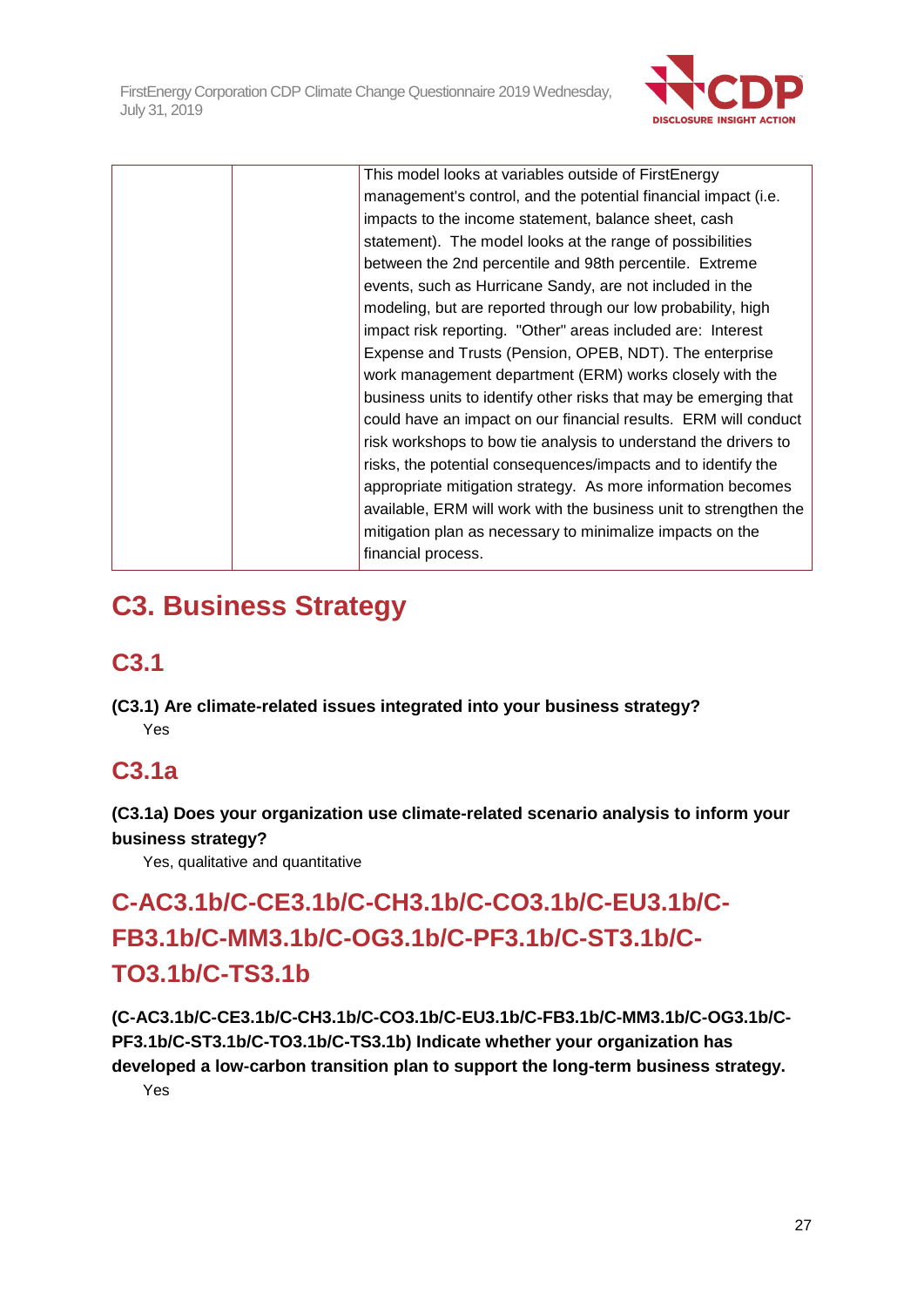

|  | This model looks at variables outside of FirstEnergy              |
|--|-------------------------------------------------------------------|
|  | management's control, and the potential financial impact (i.e.    |
|  | impacts to the income statement, balance sheet, cash              |
|  | statement). The model looks at the range of possibilities         |
|  | between the 2nd percentile and 98th percentile. Extreme           |
|  | events, such as Hurricane Sandy, are not included in the          |
|  | modeling, but are reported through our low probability, high      |
|  | impact risk reporting. "Other" areas included are: Interest       |
|  | Expense and Trusts (Pension, OPEB, NDT). The enterprise           |
|  | work management department (ERM) works closely with the           |
|  | business units to identify other risks that may be emerging that  |
|  | could have an impact on our financial results. ERM will conduct   |
|  | risk workshops to bow tie analysis to understand the drivers to   |
|  | risks, the potential consequences/impacts and to identify the     |
|  | appropriate mitigation strategy. As more information becomes      |
|  | available, ERM will work with the business unit to strengthen the |
|  | mitigation plan as necessary to minimalize impacts on the         |
|  | financial process.                                                |
|  |                                                                   |

# **C3. Business Strategy**

# **C3.1**

**(C3.1) Are climate-related issues integrated into your business strategy?** Yes

# **C3.1a**

**(C3.1a) Does your organization use climate-related scenario analysis to inform your business strategy?**

Yes, qualitative and quantitative

# **C-AC3.1b/C-CE3.1b/C-CH3.1b/C-CO3.1b/C-EU3.1b/C-FB3.1b/C-MM3.1b/C-OG3.1b/C-PF3.1b/C-ST3.1b/C-TO3.1b/C-TS3.1b**

**(C-AC3.1b/C-CE3.1b/C-CH3.1b/C-CO3.1b/C-EU3.1b/C-FB3.1b/C-MM3.1b/C-OG3.1b/C-PF3.1b/C-ST3.1b/C-TO3.1b/C-TS3.1b) Indicate whether your organization has developed a low-carbon transition plan to support the long-term business strategy.**

Yes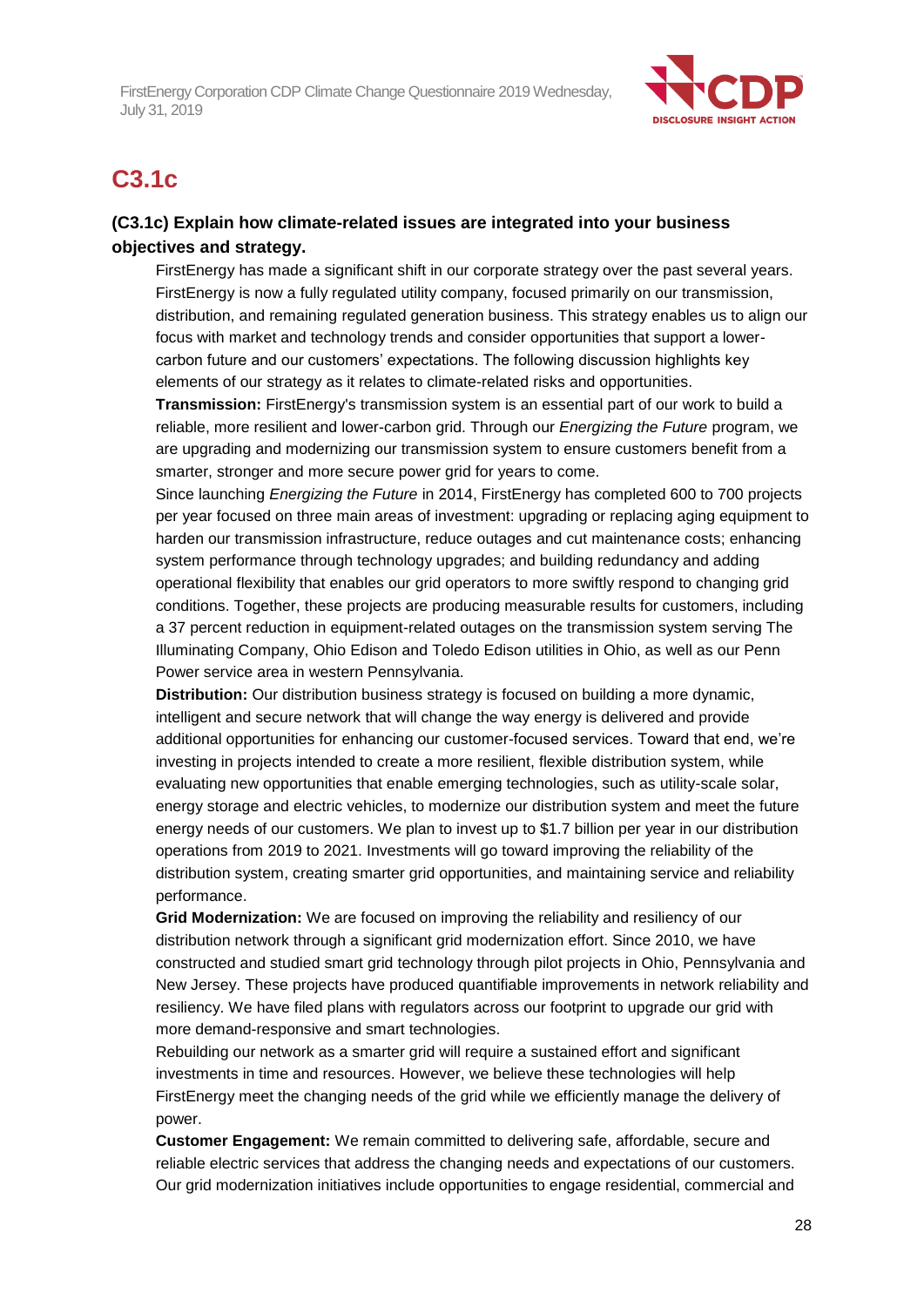

## **C3.1c**

## **(C3.1c) Explain how climate-related issues are integrated into your business objectives and strategy.**

FirstEnergy has made a significant shift in our corporate strategy over the past several years. FirstEnergy is now a fully regulated utility company, focused primarily on our transmission, distribution, and remaining regulated generation business. This strategy enables us to align our focus with market and technology trends and consider opportunities that support a lowercarbon future and our customers' expectations. The following discussion highlights key elements of our strategy as it relates to climate-related risks and opportunities.

**Transmission:** FirstEnergy's transmission system is an essential part of our work to build a reliable, more resilient and lower-carbon grid. Through our *Energizing the Future* program, we are upgrading and modernizing our transmission system to ensure customers benefit from a smarter, stronger and more secure power grid for years to come.

Since launching *Energizing the Future* in 2014, FirstEnergy has completed 600 to 700 projects per year focused on three main areas of investment: upgrading or replacing aging equipment to harden our transmission infrastructure, reduce outages and cut maintenance costs; enhancing system performance through technology upgrades; and building redundancy and adding operational flexibility that enables our grid operators to more swiftly respond to changing grid conditions. Together, these projects are producing measurable results for customers, including a 37 percent reduction in equipment-related outages on the transmission system serving The Illuminating Company, Ohio Edison and Toledo Edison utilities in Ohio, as well as our Penn Power service area in western Pennsylvania.

**Distribution:** Our distribution business strategy is focused on building a more dynamic, intelligent and secure network that will change the way energy is delivered and provide additional opportunities for enhancing our customer-focused services. Toward that end, we're investing in projects intended to create a more resilient, flexible distribution system, while evaluating new opportunities that enable emerging technologies, such as utility-scale solar, energy storage and electric vehicles, to modernize our distribution system and meet the future energy needs of our customers. We plan to invest up to \$1.7 billion per year in our distribution operations from 2019 to 2021. Investments will go toward improving the reliability of the distribution system, creating smarter grid opportunities, and maintaining service and reliability performance.

**Grid Modernization:** We are focused on improving the reliability and resiliency of our distribution network through a significant grid modernization effort. Since 2010, we have constructed and studied smart grid technology through pilot projects in Ohio, Pennsylvania and New Jersey. These projects have produced quantifiable improvements in network reliability and resiliency. We have filed plans with regulators across our footprint to upgrade our grid with more demand-responsive and smart technologies.

Rebuilding our network as a smarter grid will require a sustained effort and significant investments in time and resources. However, we believe these technologies will help FirstEnergy meet the changing needs of the grid while we efficiently manage the delivery of power.

**Customer Engagement:** We remain committed to delivering safe, affordable, secure and reliable electric services that address the changing needs and expectations of our customers. Our grid modernization initiatives include opportunities to engage residential, commercial and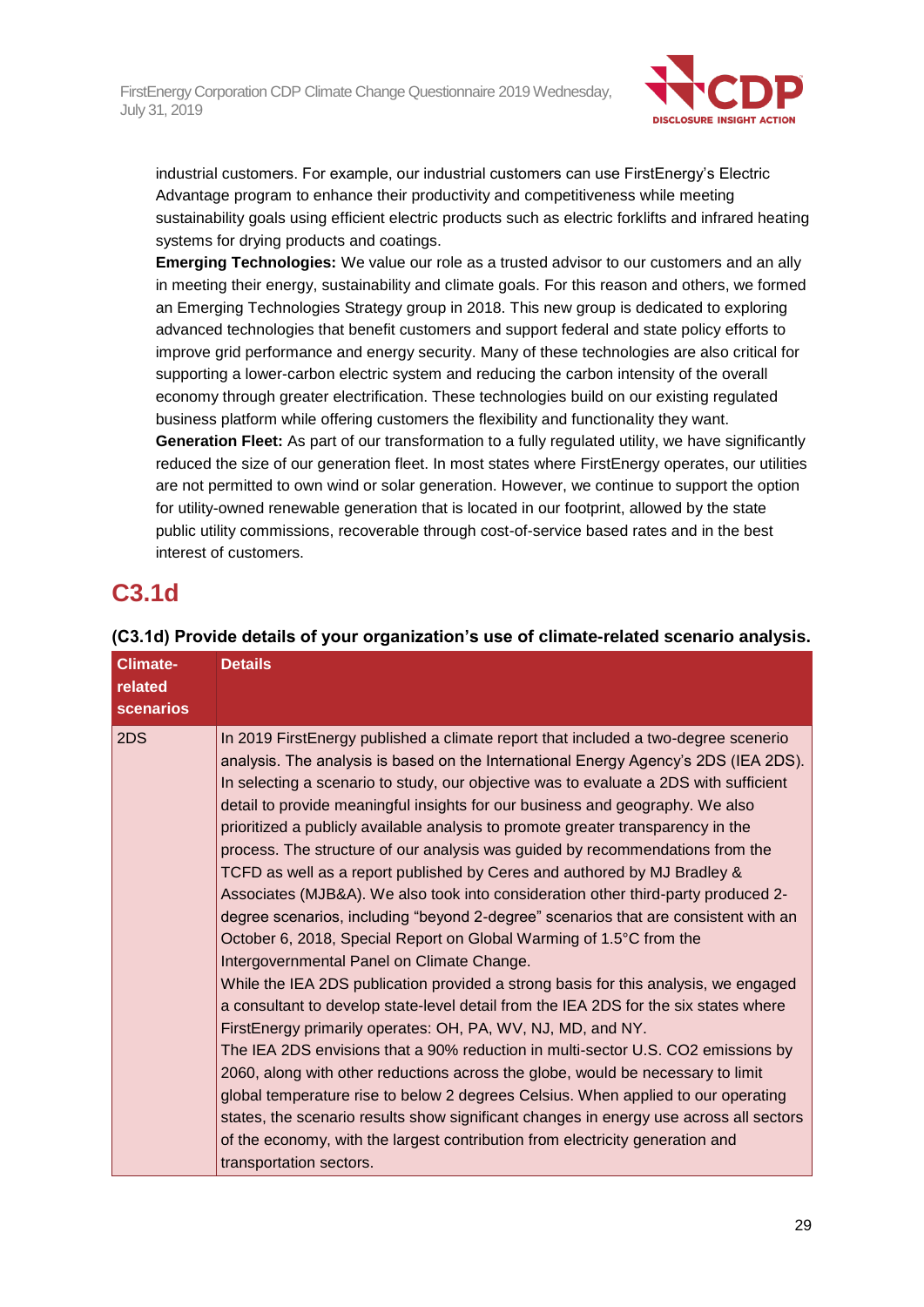

industrial customers. For example, our industrial customers can use FirstEnergy's Electric Advantage program to enhance their productivity and competitiveness while meeting sustainability goals using efficient electric products such as electric forklifts and infrared heating systems for drying products and coatings.

**Emerging Technologies:** We value our role as a trusted advisor to our customers and an ally in meeting their energy, sustainability and climate goals. For this reason and others, we formed an Emerging Technologies Strategy group in 2018. This new group is dedicated to exploring advanced technologies that benefit customers and support federal and state policy efforts to improve grid performance and energy security. Many of these technologies are also critical for supporting a lower-carbon electric system and reducing the carbon intensity of the overall economy through greater electrification. These technologies build on our existing regulated business platform while offering customers the flexibility and functionality they want.

**Generation Fleet:** As part of our transformation to a fully regulated utility, we have significantly reduced the size of our generation fleet. In most states where FirstEnergy operates, our utilities are not permitted to own wind or solar generation. However, we continue to support the option for utility-owned renewable generation that is located in our footprint, allowed by the state public utility commissions, recoverable through cost-of-service based rates and in the best interest of customers.

## **C3.1d**

| <b>Climate-</b><br>related<br><b>scenarios</b> | <b>Details</b>                                                                                                                                                                                                                                                                                                                                                                                                                                                                                                                                                                                                                                                                                                                                                                                                                                                                                                                                                                                                                                                                                                                                                                                                                                                                                                                                                                                                                                                                                                                                                                                                        |
|------------------------------------------------|-----------------------------------------------------------------------------------------------------------------------------------------------------------------------------------------------------------------------------------------------------------------------------------------------------------------------------------------------------------------------------------------------------------------------------------------------------------------------------------------------------------------------------------------------------------------------------------------------------------------------------------------------------------------------------------------------------------------------------------------------------------------------------------------------------------------------------------------------------------------------------------------------------------------------------------------------------------------------------------------------------------------------------------------------------------------------------------------------------------------------------------------------------------------------------------------------------------------------------------------------------------------------------------------------------------------------------------------------------------------------------------------------------------------------------------------------------------------------------------------------------------------------------------------------------------------------------------------------------------------------|
| 2DS                                            | In 2019 FirstEnergy published a climate report that included a two-degree scenerio<br>analysis. The analysis is based on the International Energy Agency's 2DS (IEA 2DS).<br>In selecting a scenario to study, our objective was to evaluate a 2DS with sufficient<br>detail to provide meaningful insights for our business and geography. We also<br>prioritized a publicly available analysis to promote greater transparency in the<br>process. The structure of our analysis was guided by recommendations from the<br>TCFD as well as a report published by Ceres and authored by MJ Bradley &<br>Associates (MJB&A). We also took into consideration other third-party produced 2-<br>degree scenarios, including "beyond 2-degree" scenarios that are consistent with an<br>October 6, 2018, Special Report on Global Warming of 1.5°C from the<br>Intergovernmental Panel on Climate Change.<br>While the IEA 2DS publication provided a strong basis for this analysis, we engaged<br>a consultant to develop state-level detail from the IEA 2DS for the six states where<br>FirstEnergy primarily operates: OH, PA, WV, NJ, MD, and NY.<br>The IEA 2DS envisions that a 90% reduction in multi-sector U.S. CO2 emissions by<br>2060, along with other reductions across the globe, would be necessary to limit<br>global temperature rise to below 2 degrees Celsius. When applied to our operating<br>states, the scenario results show significant changes in energy use across all sectors<br>of the economy, with the largest contribution from electricity generation and<br>transportation sectors. |

## **(C3.1d) Provide details of your organization's use of climate-related scenario analysis.**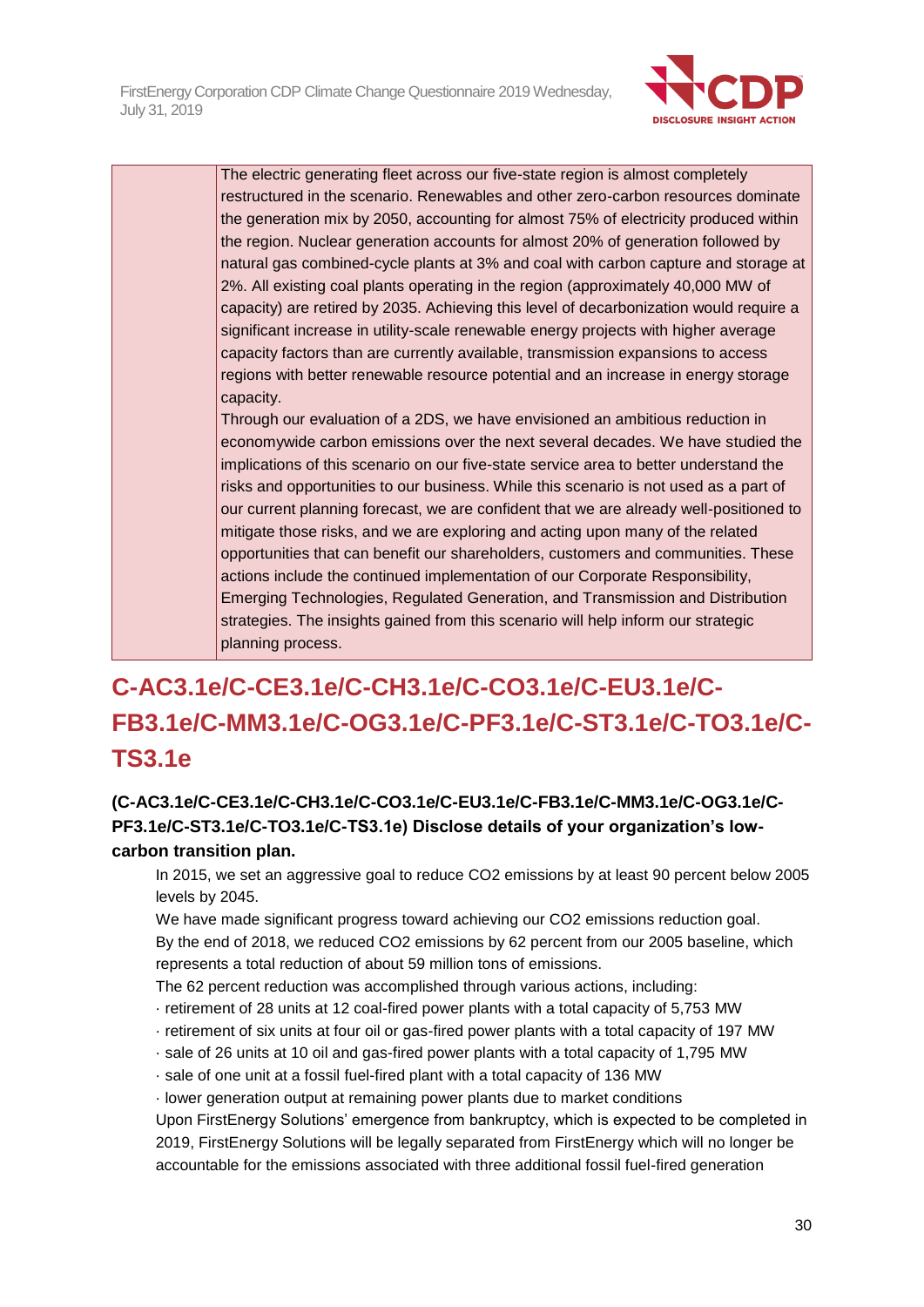

The electric generating fleet across our five-state region is almost completely restructured in the scenario. Renewables and other zero-carbon resources dominate the generation mix by 2050, accounting for almost 75% of electricity produced within the region. Nuclear generation accounts for almost 20% of generation followed by natural gas combined-cycle plants at 3% and coal with carbon capture and storage at 2%. All existing coal plants operating in the region (approximately 40,000 MW of capacity) are retired by 2035. Achieving this level of decarbonization would require a significant increase in utility-scale renewable energy projects with higher average capacity factors than are currently available, transmission expansions to access regions with better renewable resource potential and an increase in energy storage capacity.

Through our evaluation of a 2DS, we have envisioned an ambitious reduction in economywide carbon emissions over the next several decades. We have studied the implications of this scenario on our five-state service area to better understand the risks and opportunities to our business. While this scenario is not used as a part of our current planning forecast, we are confident that we are already well-positioned to mitigate those risks, and we are exploring and acting upon many of the related opportunities that can benefit our shareholders, customers and communities. These actions include the continued implementation of our Corporate Responsibility, Emerging Technologies, Regulated Generation, and Transmission and Distribution strategies. The insights gained from this scenario will help inform our strategic planning process.

# **C-AC3.1e/C-CE3.1e/C-CH3.1e/C-CO3.1e/C-EU3.1e/C-FB3.1e/C-MM3.1e/C-OG3.1e/C-PF3.1e/C-ST3.1e/C-TO3.1e/C-TS3.1e**

## **(C-AC3.1e/C-CE3.1e/C-CH3.1e/C-CO3.1e/C-EU3.1e/C-FB3.1e/C-MM3.1e/C-OG3.1e/C-PF3.1e/C-ST3.1e/C-TO3.1e/C-TS3.1e) Disclose details of your organization's lowcarbon transition plan.**

In 2015, we set an aggressive goal to reduce CO2 emissions by at least 90 percent below 2005 levels by 2045.

We have made significant progress toward achieving our CO2 emissions reduction goal. By the end of 2018, we reduced CO2 emissions by 62 percent from our 2005 baseline, which represents a total reduction of about 59 million tons of emissions.

The 62 percent reduction was accomplished through various actions, including:

- · retirement of 28 units at 12 coal-fired power plants with a total capacity of 5,753 MW
- · retirement of six units at four oil or gas-fired power plants with a total capacity of 197 MW
- · sale of 26 units at 10 oil and gas-fired power plants with a total capacity of 1,795 MW
- · sale of one unit at a fossil fuel-fired plant with a total capacity of 136 MW
- · lower generation output at remaining power plants due to market conditions

Upon FirstEnergy Solutions' emergence from bankruptcy, which is expected to be completed in 2019, FirstEnergy Solutions will be legally separated from FirstEnergy which will no longer be accountable for the emissions associated with three additional fossil fuel-fired generation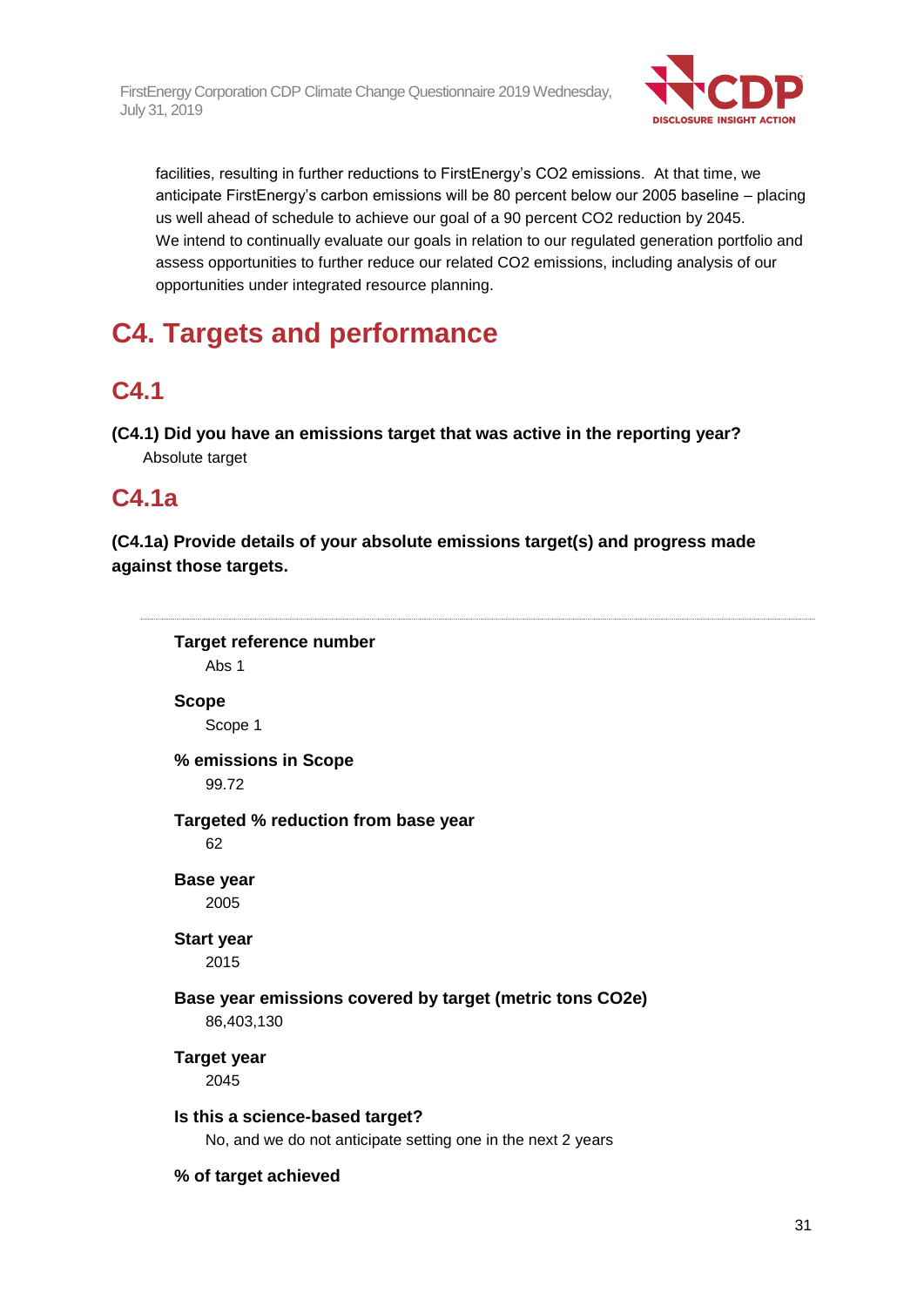

facilities, resulting in further reductions to FirstEnergy's CO2 emissions. At that time, we anticipate FirstEnergy's carbon emissions will be 80 percent below our 2005 baseline – placing us well ahead of schedule to achieve our goal of a 90 percent CO2 reduction by 2045. We intend to continually evaluate our goals in relation to our regulated generation portfolio and assess opportunities to further reduce our related CO2 emissions, including analysis of our opportunities under integrated resource planning.

# **C4. Targets and performance**

# **C4.1**

**(C4.1) Did you have an emissions target that was active in the reporting year?** Absolute target

## **C4.1a**

**(C4.1a) Provide details of your absolute emissions target(s) and progress made against those targets.**

**Target reference number** Abs 1 **Scope** Scope 1 **% emissions in Scope** 99.72 **Targeted % reduction from base year** 62 **Base year** 2005 **Start year** 2015 **Base year emissions covered by target (metric tons CO2e)** 86,403,130 **Target year** 2045 **Is this a science-based target?** No, and we do not anticipate setting one in the next 2 years **% of target achieved**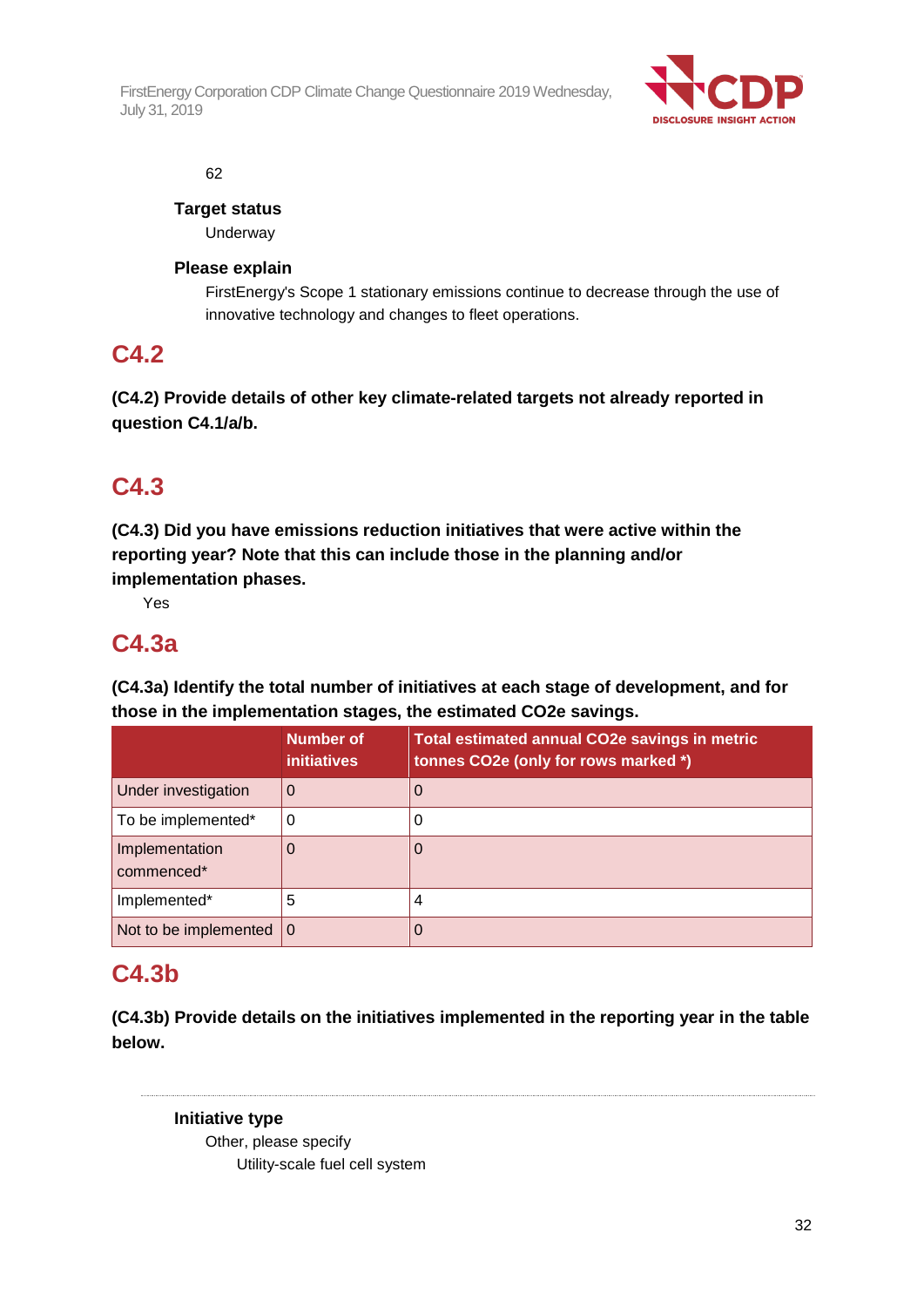

62

**Target status**

Underway

## **Please explain**

FirstEnergy's Scope 1 stationary emissions continue to decrease through the use of innovative technology and changes to fleet operations.

## **C4.2**

**(C4.2) Provide details of other key climate-related targets not already reported in question C4.1/a/b.**

## **C4.3**

**(C4.3) Did you have emissions reduction initiatives that were active within the reporting year? Note that this can include those in the planning and/or implementation phases.**

Yes

## **C4.3a**

**(C4.3a) Identify the total number of initiatives at each stage of development, and for those in the implementation stages, the estimated CO2e savings.**

|                              | <b>Number of</b><br><i>initiatives</i> | <b>Total estimated annual CO2e savings in metric</b><br>tonnes CO2e (only for rows marked *) |
|------------------------------|----------------------------------------|----------------------------------------------------------------------------------------------|
| Under investigation          | 0                                      | $\Omega$                                                                                     |
| To be implemented*           | 0                                      | 0                                                                                            |
| Implementation<br>commenced* | 0                                      | 0                                                                                            |
| Implemented*                 | 5                                      | 4                                                                                            |
| Not to be implemented        | $\Omega$                               | 0                                                                                            |

## **C4.3b**

**(C4.3b) Provide details on the initiatives implemented in the reporting year in the table below.**

## **Initiative type**

Other, please specify Utility-scale fuel cell system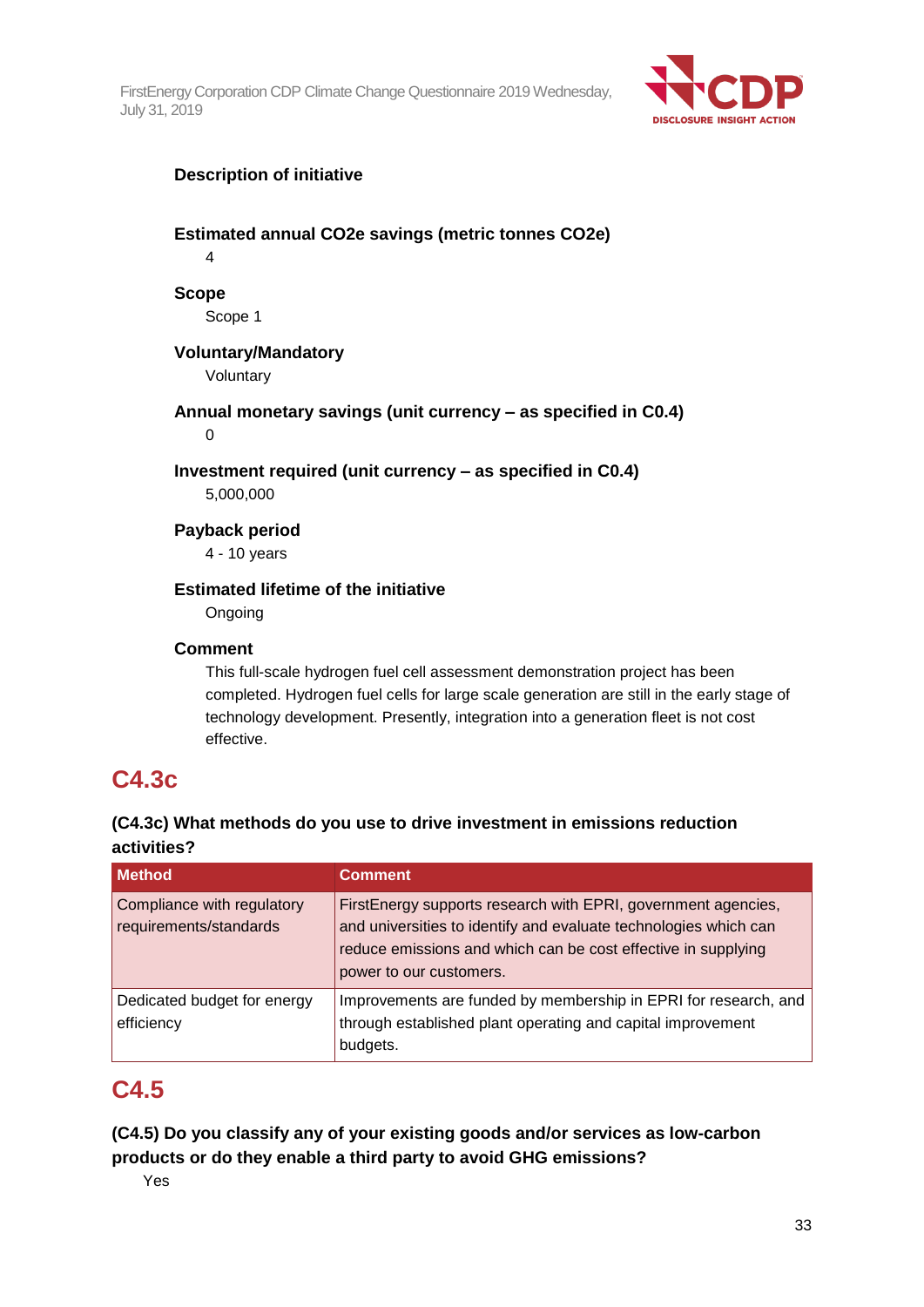

## **Description of initiative**

## **Estimated annual CO2e savings (metric tonnes CO2e)**

4

### **Scope**

Scope 1

### **Voluntary/Mandatory**

Voluntary

### **Annual monetary savings (unit currency – as specified in C0.4)**

0

### **Investment required (unit currency – as specified in C0.4)**

5,000,000

#### **Payback period**

4 - 10 years

## **Estimated lifetime of the initiative**

**Ongoing** 

#### **Comment**

This full-scale hydrogen fuel cell assessment demonstration project has been completed. Hydrogen fuel cells for large scale generation are still in the early stage of technology development. Presently, integration into a generation fleet is not cost effective.

## **C4.3c**

## **(C4.3c) What methods do you use to drive investment in emissions reduction activities?**

| <b>Method</b>                                        | <b>Comment</b>                                                                                                                                                                                                                |
|------------------------------------------------------|-------------------------------------------------------------------------------------------------------------------------------------------------------------------------------------------------------------------------------|
| Compliance with regulatory<br>requirements/standards | FirstEnergy supports research with EPRI, government agencies,<br>and universities to identify and evaluate technologies which can<br>reduce emissions and which can be cost effective in supplying<br>power to our customers. |
| Dedicated budget for energy<br>efficiency            | Improvements are funded by membership in EPRI for research, and<br>through established plant operating and capital improvement<br>budgets.                                                                                    |

## **C4.5**

**(C4.5) Do you classify any of your existing goods and/or services as low-carbon products or do they enable a third party to avoid GHG emissions?**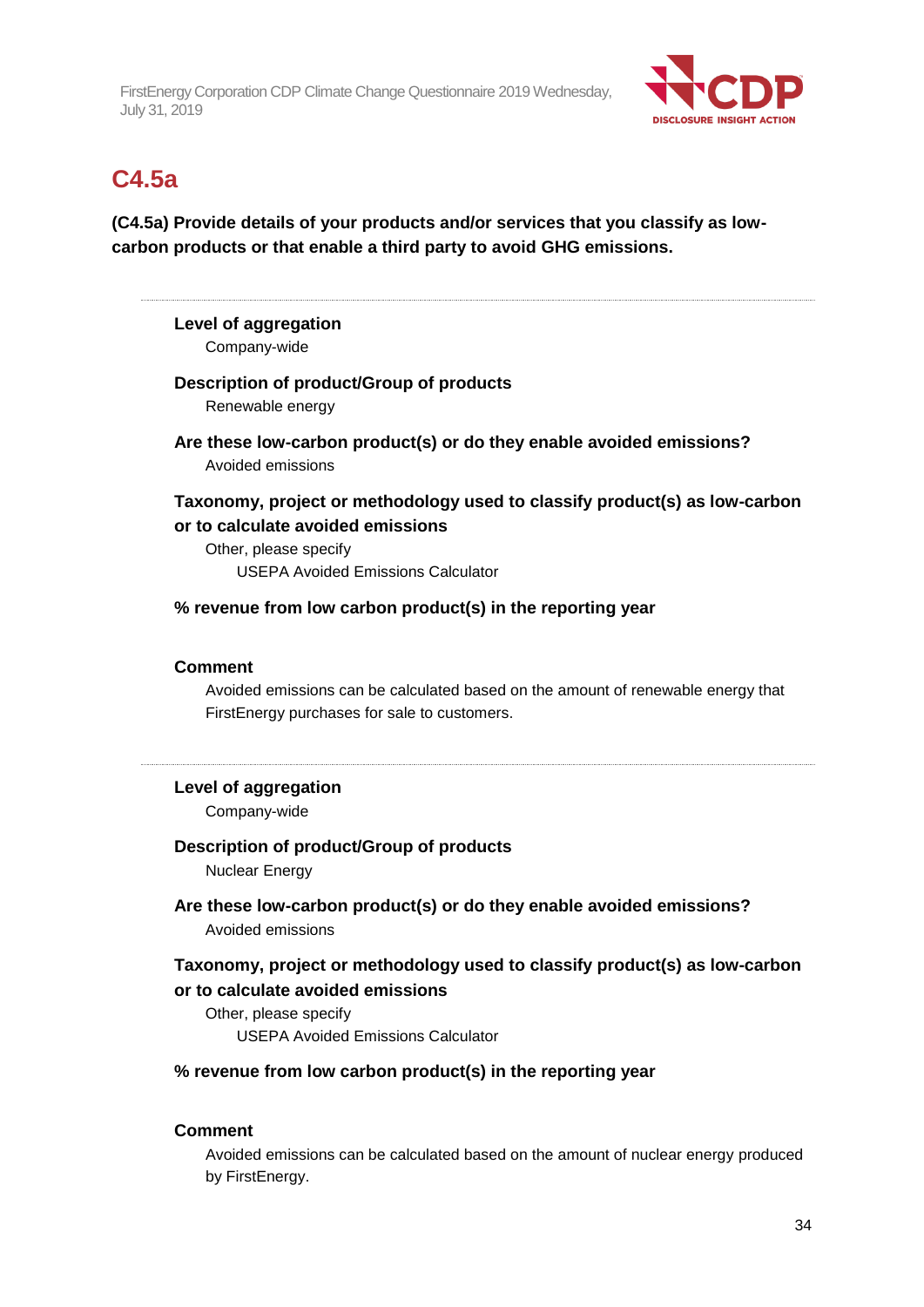

## **C4.5a**

**(C4.5a) Provide details of your products and/or services that you classify as lowcarbon products or that enable a third party to avoid GHG emissions.**

## **Level of aggregation**

Company-wide

#### **Description of product/Group of products**

Renewable energy

**Are these low-carbon product(s) or do they enable avoided emissions?** Avoided emissions

## **Taxonomy, project or methodology used to classify product(s) as low-carbon or to calculate avoided emissions**

Other, please specify USEPA Avoided Emissions Calculator

**% revenue from low carbon product(s) in the reporting year**

### **Comment**

Avoided emissions can be calculated based on the amount of renewable energy that FirstEnergy purchases for sale to customers.

### **Level of aggregation**

Company-wide

### **Description of product/Group of products**

Nuclear Energy

## **Are these low-carbon product(s) or do they enable avoided emissions?** Avoided emissions

## **Taxonomy, project or methodology used to classify product(s) as low-carbon or to calculate avoided emissions**

Other, please specify USEPA Avoided Emissions Calculator

#### **% revenue from low carbon product(s) in the reporting year**

#### **Comment**

Avoided emissions can be calculated based on the amount of nuclear energy produced by FirstEnergy.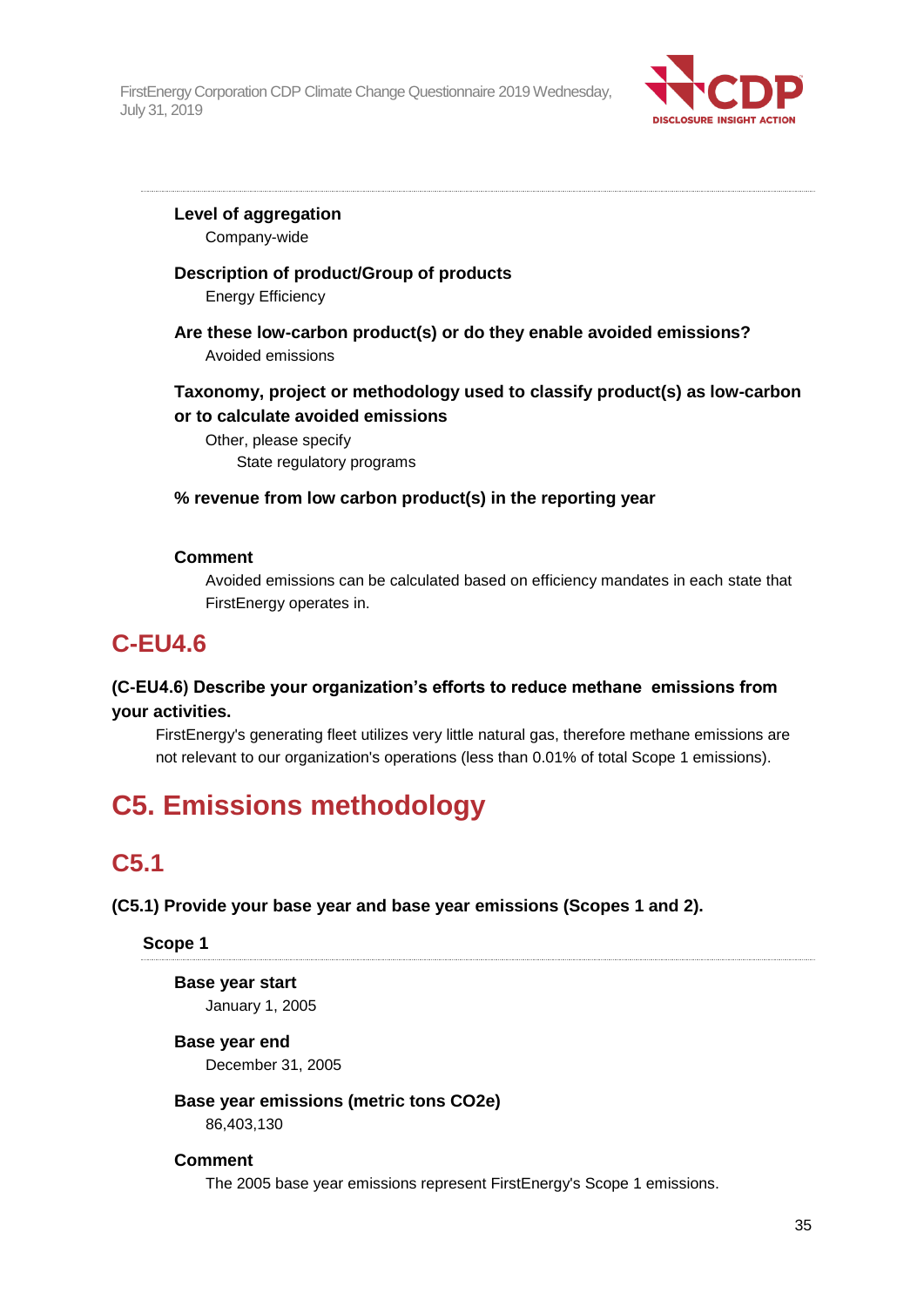

**Level of aggregation** Company-wide

## **Description of product/Group of products**

Energy Efficiency

**Are these low-carbon product(s) or do they enable avoided emissions?** Avoided emissions

## **Taxonomy, project or methodology used to classify product(s) as low-carbon or to calculate avoided emissions**

Other, please specify State regulatory programs

## **% revenue from low carbon product(s) in the reporting year**

### **Comment**

Avoided emissions can be calculated based on efficiency mandates in each state that FirstEnergy operates in.

## **C-EU4.6**

## **(C-EU4.6) Describe your organization's efforts to reduce methane emissions from your activities.**

FirstEnergy's generating fleet utilizes very little natural gas, therefore methane emissions are not relevant to our organization's operations (less than 0.01% of total Scope 1 emissions).

# **C5. Emissions methodology**

## **C5.1**

### **(C5.1) Provide your base year and base year emissions (Scopes 1 and 2).**

### **Scope 1**

## **Base year start**

January 1, 2005

### **Base year end**

December 31, 2005

### **Base year emissions (metric tons CO2e)**

86,403,130

### **Comment**

The 2005 base year emissions represent FirstEnergy's Scope 1 emissions.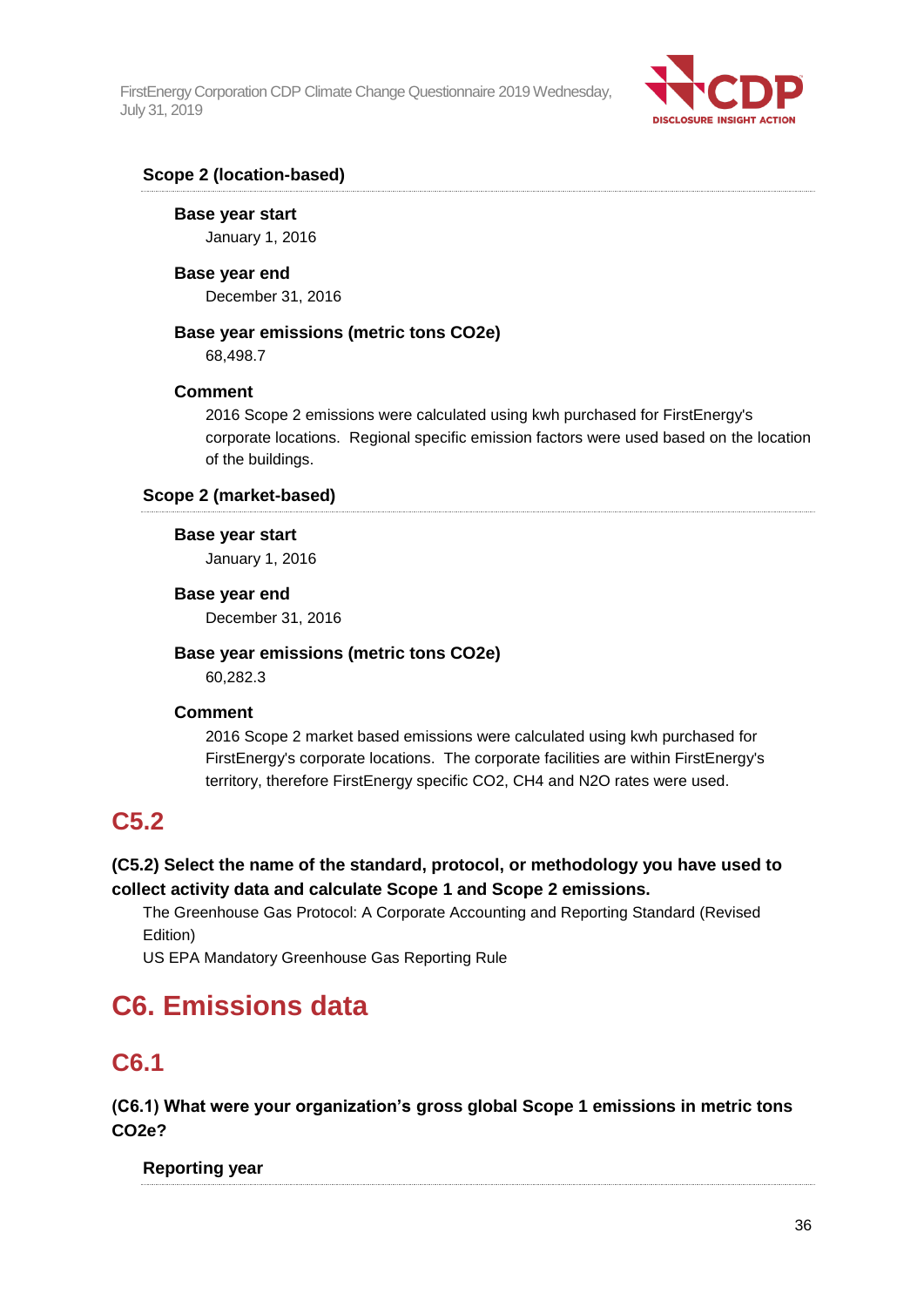

## **Scope 2 (location-based)**

**Base year start** January 1, 2016

**Base year end** December 31, 2016

### **Base year emissions (metric tons CO2e)**

68,498.7

### **Comment**

2016 Scope 2 emissions were calculated using kwh purchased for FirstEnergy's corporate locations. Regional specific emission factors were used based on the location of the buildings.

**Scope 2 (market-based)**

#### **Base year start**

January 1, 2016

### **Base year end**

December 31, 2016

### **Base year emissions (metric tons CO2e)**

60,282.3

### **Comment**

2016 Scope 2 market based emissions were calculated using kwh purchased for FirstEnergy's corporate locations. The corporate facilities are within FirstEnergy's territory, therefore FirstEnergy specific CO2, CH4 and N2O rates were used.

## **C5.2**

## **(C5.2) Select the name of the standard, protocol, or methodology you have used to collect activity data and calculate Scope 1 and Scope 2 emissions.**

The Greenhouse Gas Protocol: A Corporate Accounting and Reporting Standard (Revised Edition)

US EPA Mandatory Greenhouse Gas Reporting Rule

# **C6. Emissions data**

## **C6.1**

**(C6.1) What were your organization's gross global Scope 1 emissions in metric tons CO2e?**

## **Reporting year**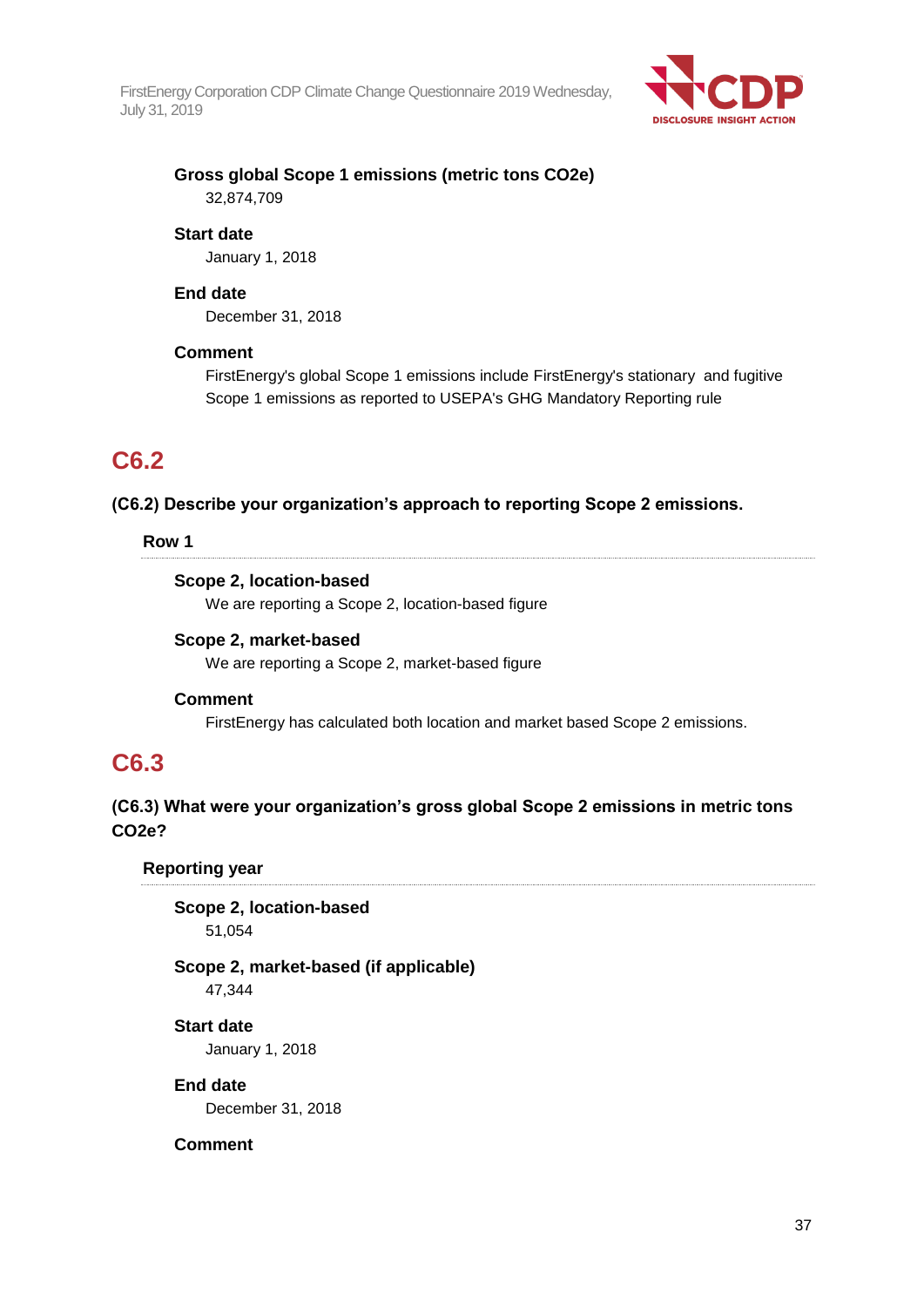

## **Gross global Scope 1 emissions (metric tons CO2e)** 32,874,709

#### **Start date**

January 1, 2018

#### **End date**

December 31, 2018

#### **Comment**

FirstEnergy's global Scope 1 emissions include FirstEnergy's stationary and fugitive Scope 1 emissions as reported to USEPA's GHG Mandatory Reporting rule

## **C6.2**

#### **(C6.2) Describe your organization's approach to reporting Scope 2 emissions.**

### **Row 1**

### **Scope 2, location-based**

We are reporting a Scope 2, location-based figure

#### **Scope 2, market-based**

We are reporting a Scope 2, market-based figure

#### **Comment**

FirstEnergy has calculated both location and market based Scope 2 emissions.

## **C6.3**

## **(C6.3) What were your organization's gross global Scope 2 emissions in metric tons CO2e?**

**Reporting year**

**Scope 2, location-based** 51,054

## **Scope 2, market-based (if applicable)**

47,344

**Start date** January 1, 2018

**End date**

December 31, 2018

### **Comment**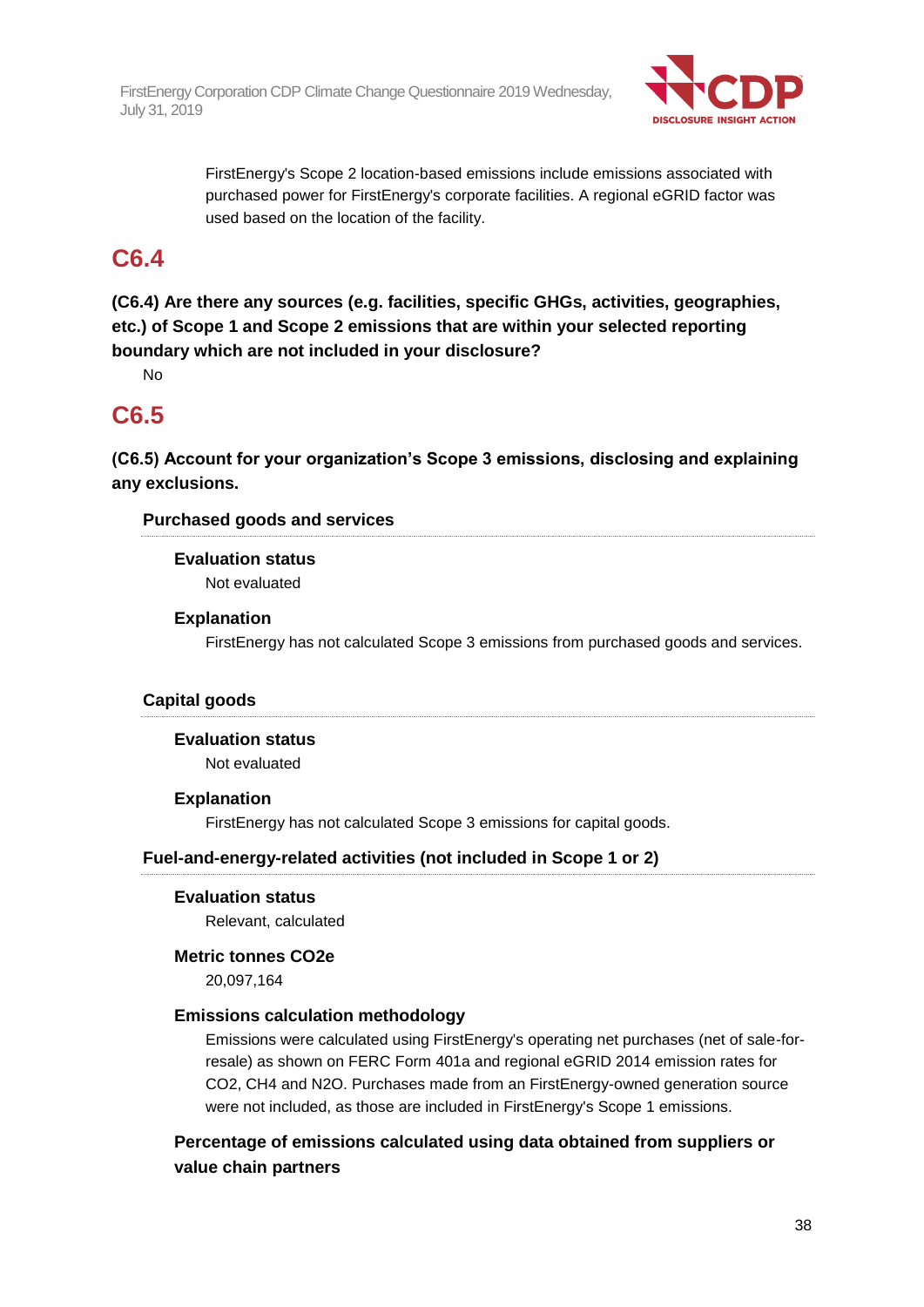

FirstEnergy's Scope 2 location-based emissions include emissions associated with purchased power for FirstEnergy's corporate facilities. A regional eGRID factor was used based on the location of the facility.

## **C6.4**

**(C6.4) Are there any sources (e.g. facilities, specific GHGs, activities, geographies, etc.) of Scope 1 and Scope 2 emissions that are within your selected reporting boundary which are not included in your disclosure?**

No

## **C6.5**

**(C6.5) Account for your organization's Scope 3 emissions, disclosing and explaining any exclusions.**

## **Purchased goods and services**

**Evaluation status** Not evaluated

## **Explanation**

FirstEnergy has not calculated Scope 3 emissions from purchased goods and services.

## **Capital goods**

**Evaluation status** Not evaluated

### **Explanation**

FirstEnergy has not calculated Scope 3 emissions for capital goods.

### **Fuel-and-energy-related activities (not included in Scope 1 or 2)**

### **Evaluation status**

Relevant, calculated

### **Metric tonnes CO2e**

20,097,164

### **Emissions calculation methodology**

Emissions were calculated using FirstEnergy's operating net purchases (net of sale-forresale) as shown on FERC Form 401a and regional eGRID 2014 emission rates for CO2, CH4 and N2O. Purchases made from an FirstEnergy-owned generation source were not included, as those are included in FirstEnergy's Scope 1 emissions.

**Percentage of emissions calculated using data obtained from suppliers or value chain partners**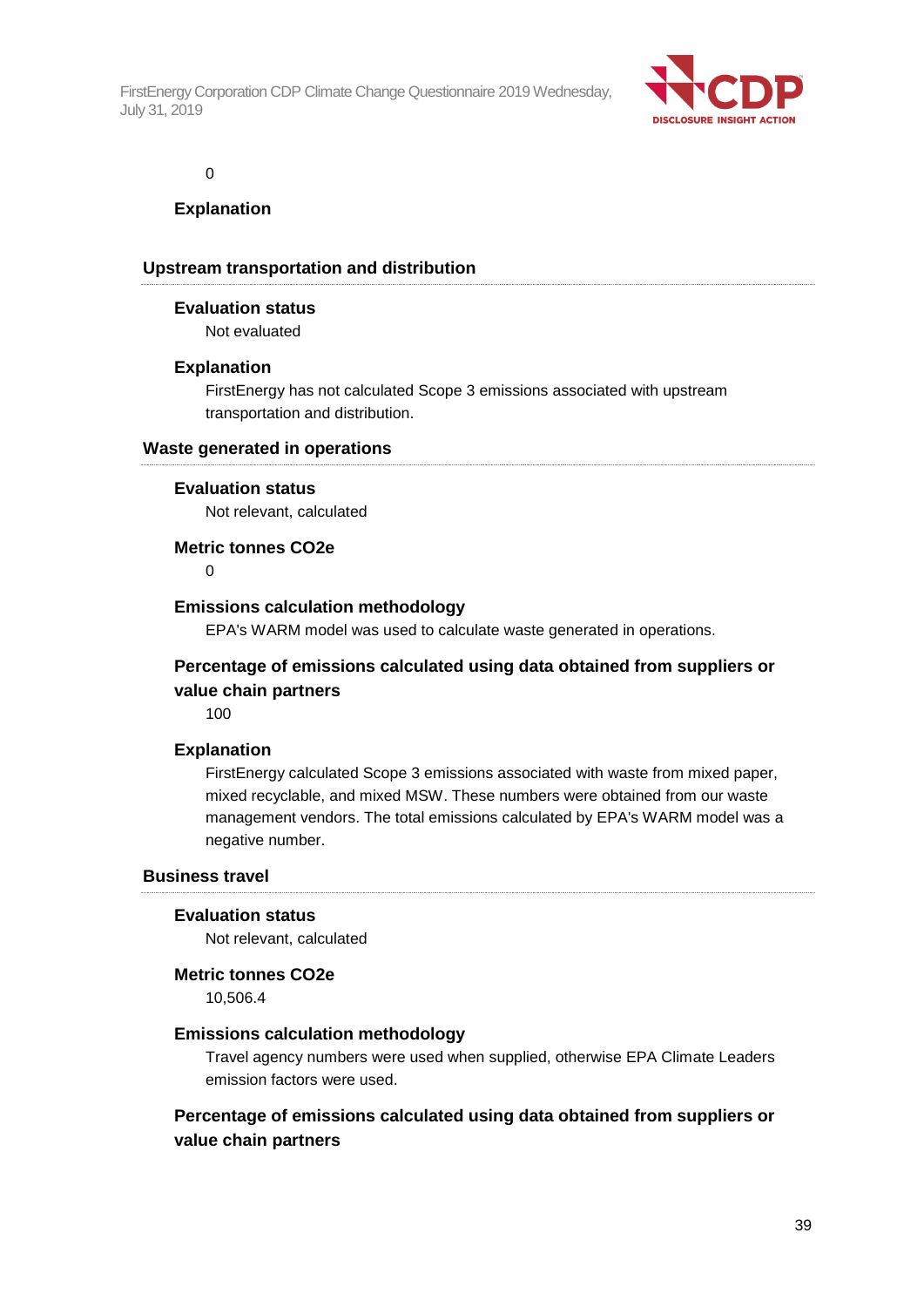

0

### **Explanation**

#### **Upstream transportation and distribution**

#### **Evaluation status**

Not evaluated

#### **Explanation**

FirstEnergy has not calculated Scope 3 emissions associated with upstream transportation and distribution.

#### **Waste generated in operations**

#### **Evaluation status**

Not relevant, calculated

#### **Metric tonnes CO2e**

 $\Omega$ 

#### **Emissions calculation methodology**

EPA's WARM model was used to calculate waste generated in operations.

## **Percentage of emissions calculated using data obtained from suppliers or value chain partners**

100

### **Explanation**

FirstEnergy calculated Scope 3 emissions associated with waste from mixed paper, mixed recyclable, and mixed MSW. These numbers were obtained from our waste management vendors. The total emissions calculated by EPA's WARM model was a negative number.

#### **Business travel**

#### **Evaluation status**

Not relevant, calculated

#### **Metric tonnes CO2e**

10,506.4

#### **Emissions calculation methodology**

Travel agency numbers were used when supplied, otherwise EPA Climate Leaders emission factors were used.

**Percentage of emissions calculated using data obtained from suppliers or value chain partners**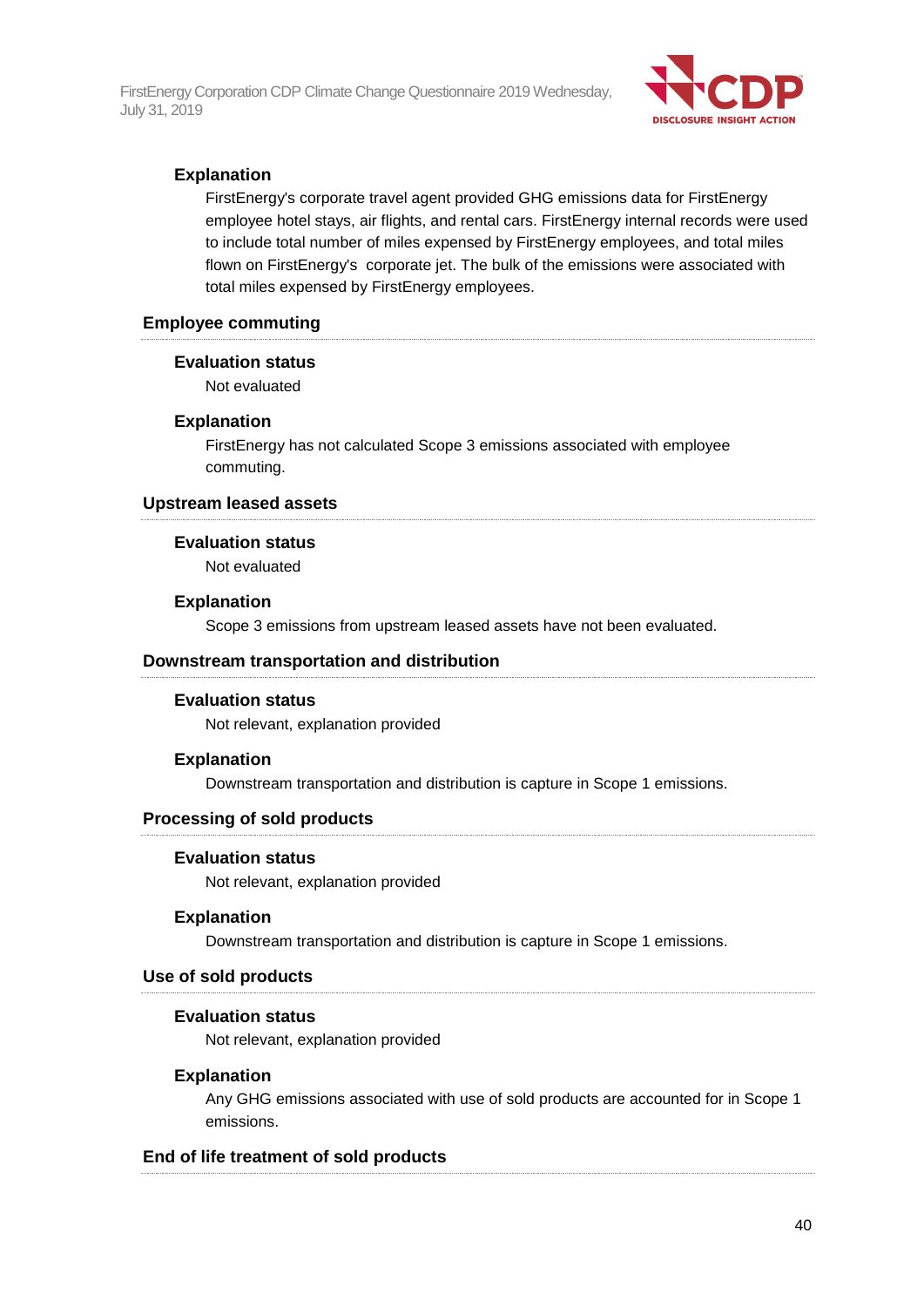

## **Explanation**

FirstEnergy's corporate travel agent provided GHG emissions data for FirstEnergy employee hotel stays, air flights, and rental cars. FirstEnergy internal records were used to include total number of miles expensed by FirstEnergy employees, and total miles flown on FirstEnergy's corporate jet. The bulk of the emissions were associated with total miles expensed by FirstEnergy employees.

#### **Employee commuting**

#### **Evaluation status**

Not evaluated

#### **Explanation**

FirstEnergy has not calculated Scope 3 emissions associated with employee commuting.

#### **Upstream leased assets**

#### **Evaluation status**

Not evaluated

#### **Explanation**

Scope 3 emissions from upstream leased assets have not been evaluated.

#### **Downstream transportation and distribution**

#### **Evaluation status**

Not relevant, explanation provided

#### **Explanation**

Downstream transportation and distribution is capture in Scope 1 emissions.

#### **Processing of sold products**

#### **Evaluation status**

Not relevant, explanation provided

#### **Explanation**

Downstream transportation and distribution is capture in Scope 1 emissions.

#### **Use of sold products**

#### **Evaluation status**

Not relevant, explanation provided

#### **Explanation**

Any GHG emissions associated with use of sold products are accounted for in Scope 1 emissions.

#### **End of life treatment of sold products**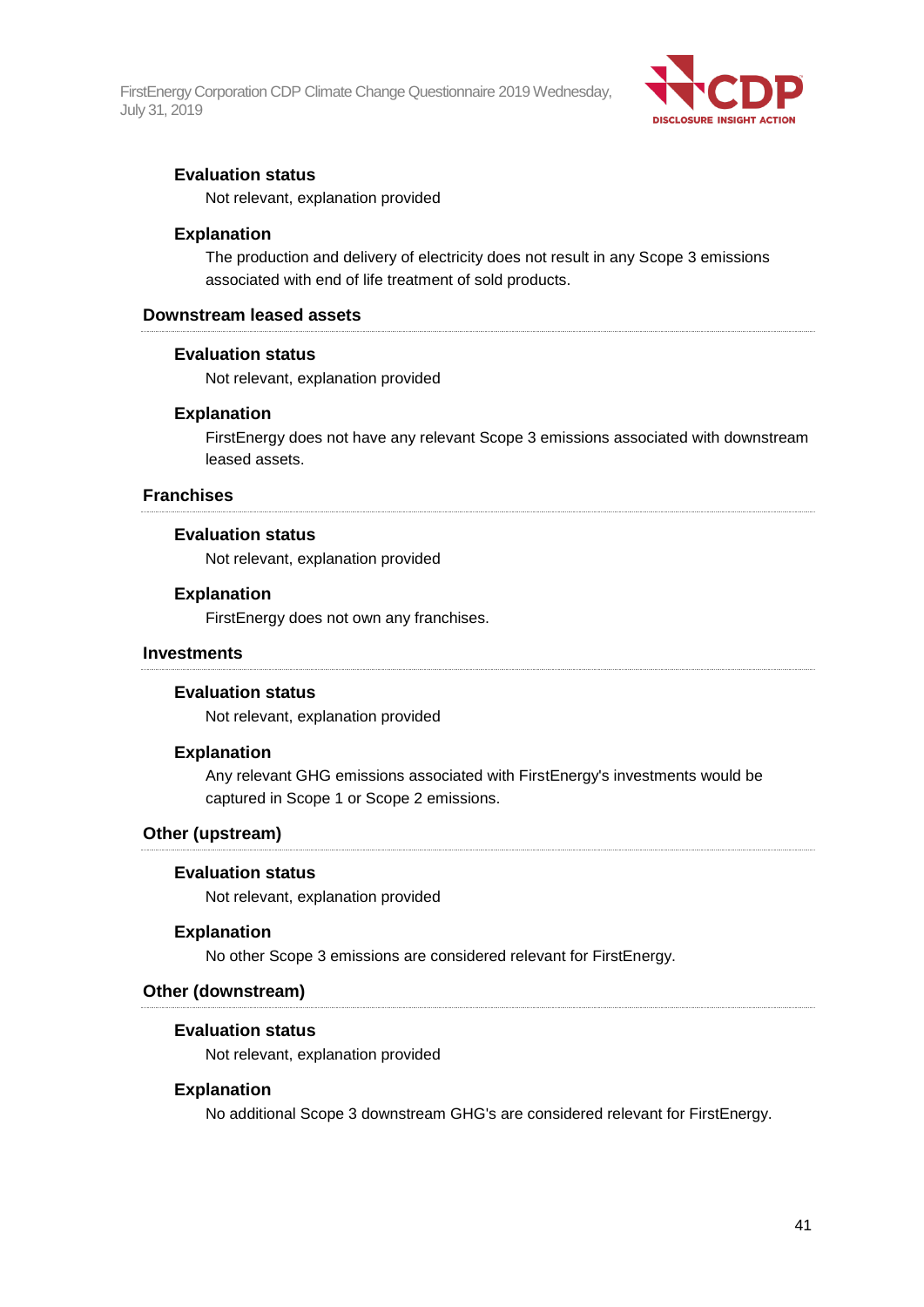

#### **Evaluation status**

Not relevant, explanation provided

#### **Explanation**

The production and delivery of electricity does not result in any Scope 3 emissions associated with end of life treatment of sold products.

#### **Downstream leased assets**

#### **Evaluation status**

Not relevant, explanation provided

#### **Explanation**

FirstEnergy does not have any relevant Scope 3 emissions associated with downstream leased assets.

#### **Franchises**

#### **Evaluation status**

Not relevant, explanation provided

#### **Explanation**

FirstEnergy does not own any franchises.

#### **Investments**

#### **Evaluation status**

Not relevant, explanation provided

#### **Explanation**

Any relevant GHG emissions associated with FirstEnergy's investments would be captured in Scope 1 or Scope 2 emissions.

#### **Other (upstream)**

#### **Evaluation status**

Not relevant, explanation provided

#### **Explanation**

No other Scope 3 emissions are considered relevant for FirstEnergy.

#### **Other (downstream)**

#### **Evaluation status**

Not relevant, explanation provided

#### **Explanation**

No additional Scope 3 downstream GHG's are considered relevant for FirstEnergy.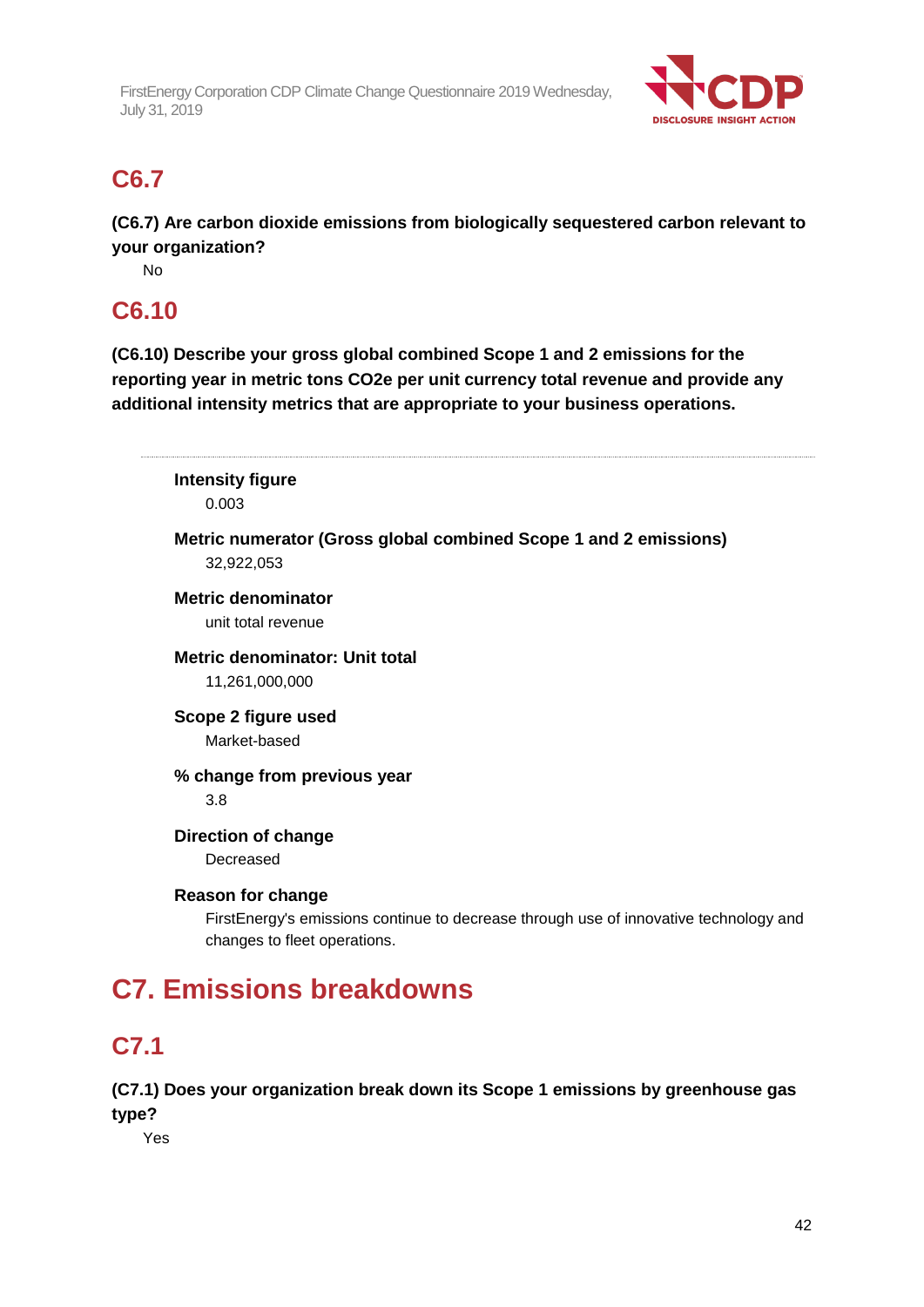

## **C6.7**

**(C6.7) Are carbon dioxide emissions from biologically sequestered carbon relevant to your organization?**

No

## **C6.10**

**(C6.10) Describe your gross global combined Scope 1 and 2 emissions for the reporting year in metric tons CO2e per unit currency total revenue and provide any additional intensity metrics that are appropriate to your business operations.**

**Intensity figure** 0.003 **Metric numerator (Gross global combined Scope 1 and 2 emissions)** 32,922,053 **Metric denominator** unit total revenue **Metric denominator: Unit total** 11,261,000,000 **Scope 2 figure used** Market-based **% change from previous year** 3.8 **Direction of change** Decreased **Reason for change** FirstEnergy's emissions continue to decrease through use of innovative technology and changes to fleet operations. **C7. Emissions breakdowns C7.1**

**(C7.1) Does your organization break down its Scope 1 emissions by greenhouse gas type?**

Yes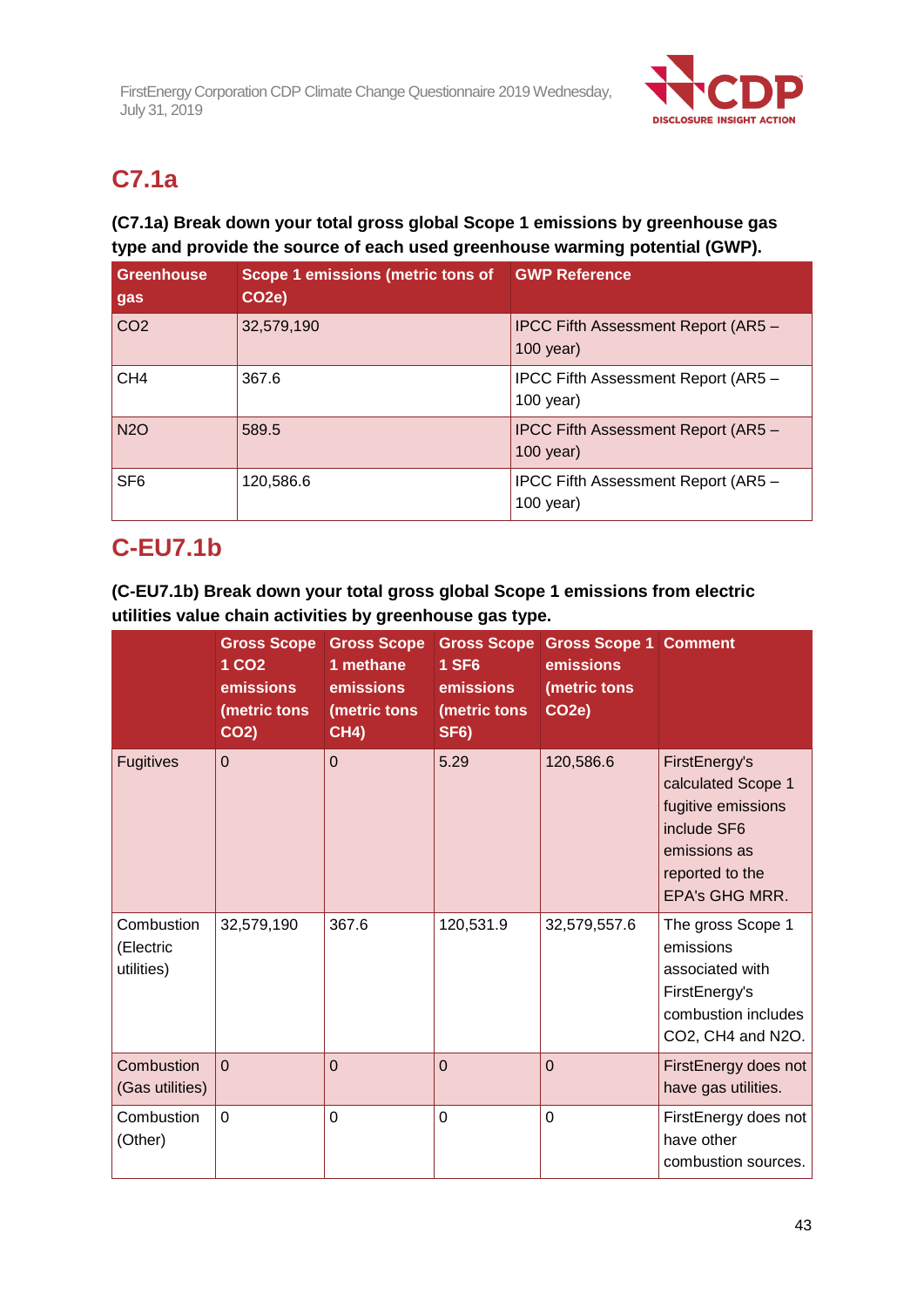

# **C7.1a**

## **(C7.1a) Break down your total gross global Scope 1 emissions by greenhouse gas type and provide the source of each used greenhouse warming potential (GWP).**

| <b>Greenhouse</b><br>gas | Scope 1 emissions (metric tons of<br>CO <sub>2</sub> e) | <b>GWP Reference</b>                                      |
|--------------------------|---------------------------------------------------------|-----------------------------------------------------------|
| CO <sub>2</sub>          | 32,579,190                                              | <b>IPCC Fifth Assessment Report (AR5 -</b><br>$100$ year) |
| CH <sub>4</sub>          | 367.6                                                   | IPCC Fifth Assessment Report (AR5 -<br>$100$ year)        |
| <b>N2O</b>               | 589.5                                                   | <b>IPCC Fifth Assessment Report (AR5 -</b><br>$100$ year) |
| SF <sub>6</sub>          | 120,586.6                                               | IPCC Fifth Assessment Report (AR5 -<br>$100$ year)        |

## **C-EU7.1b**

**(C-EU7.1b) Break down your total gross global Scope 1 emissions from electric utilities value chain activities by greenhouse gas type.**

|                                       | <b>Gross Scope</b><br>1 CO <sub>2</sub><br>emissions<br>(metric tons<br><b>CO2)</b> | <b>Gross Scope</b><br>1 methane<br>emissions<br>(metric tons<br><b>CH4)</b> | <b>1 SF6</b><br>emissions<br>(metric tons<br><b>SF6)</b> | <b>Gross Scope Gross Scope 1 Comment</b><br>emissions<br>(metric tons<br>CO <sub>2</sub> e) |                                                                                                                                      |
|---------------------------------------|-------------------------------------------------------------------------------------|-----------------------------------------------------------------------------|----------------------------------------------------------|---------------------------------------------------------------------------------------------|--------------------------------------------------------------------------------------------------------------------------------------|
| <b>Fugitives</b>                      | $\mathbf 0$                                                                         | $\mathbf 0$                                                                 | 5.29                                                     | 120,586.6                                                                                   | FirstEnergy's<br>calculated Scope 1<br>fugitive emissions<br>include SF6<br>emissions as<br>reported to the<br><b>EPA's GHG MRR.</b> |
| Combustion<br>(Electric<br>utilities) | 32,579,190                                                                          | 367.6                                                                       | 120,531.9                                                | 32,579,557.6                                                                                | The gross Scope 1<br>emissions<br>associated with<br>FirstEnergy's<br>combustion includes<br>CO2, CH4 and N2O.                       |
| Combustion<br>(Gas utilities)         | $\overline{0}$                                                                      | $\mathbf 0$                                                                 | $\overline{0}$                                           | $\overline{0}$                                                                              | FirstEnergy does not<br>have gas utilities.                                                                                          |
| Combustion<br>(Other)                 | 0                                                                                   | $\mathbf 0$                                                                 | 0                                                        | $\overline{0}$                                                                              | FirstEnergy does not<br>have other<br>combustion sources.                                                                            |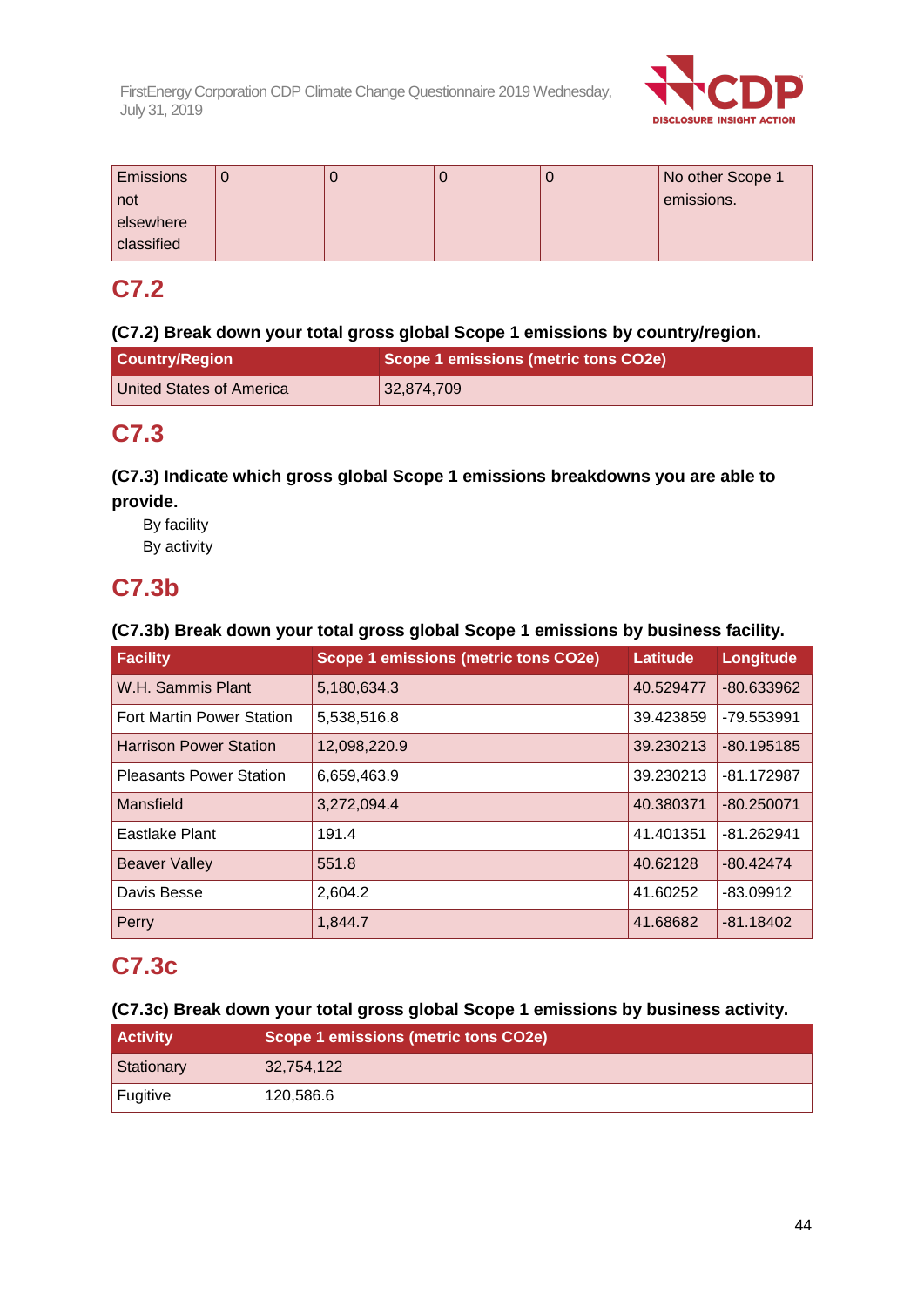

| <b>Emissions</b> |  |  | No other Scope 1 |
|------------------|--|--|------------------|
| not              |  |  | emissions.       |
| elsewhere        |  |  |                  |
| classified       |  |  |                  |

## **C7.2**

## **(C7.2) Break down your total gross global Scope 1 emissions by country/region.**

| <b>Country/Region</b>    | Scope 1 emissions (metric tons CO2e) |
|--------------------------|--------------------------------------|
| United States of America | 132,874,709                          |

## **C7.3**

## **(C7.3) Indicate which gross global Scope 1 emissions breakdowns you are able to provide.**

By facility By activity

## **C7.3b**

## **(C7.3b) Break down your total gross global Scope 1 emissions by business facility.**

| Facility                         | Scope 1 emissions (metric tons CO2e) | Latitude  | Longitude    |
|----------------------------------|--------------------------------------|-----------|--------------|
| W.H. Sammis Plant                | 5,180,634.3                          | 40.529477 | $-80.633962$ |
| <b>Fort Martin Power Station</b> | 5,538,516.8                          | 39.423859 | -79.553991   |
| <b>Harrison Power Station</b>    | 12,098,220.9                         | 39.230213 | $-80.195185$ |
| <b>Pleasants Power Station</b>   | 6,659,463.9                          | 39.230213 | $-81.172987$ |
| Mansfield                        | 3,272,094.4                          | 40.380371 | $-80.250071$ |
| Eastlake Plant                   | 191.4                                | 41.401351 | $-81.262941$ |
| <b>Beaver Valley</b>             | 551.8                                | 40.62128  | $-80.42474$  |
| Davis Besse                      | 2,604.2                              | 41.60252  | $-83.09912$  |
| Perry                            | 1,844.7                              | 41.68682  | $-81.18402$  |

## **C7.3c**

**(C7.3c) Break down your total gross global Scope 1 emissions by business activity.**

| <b>Activity</b> | Scope 1 emissions (metric tons CO2e) |
|-----------------|--------------------------------------|
| Stationary      | 32,754,122                           |
| <b>Fugitive</b> | 120,586.6                            |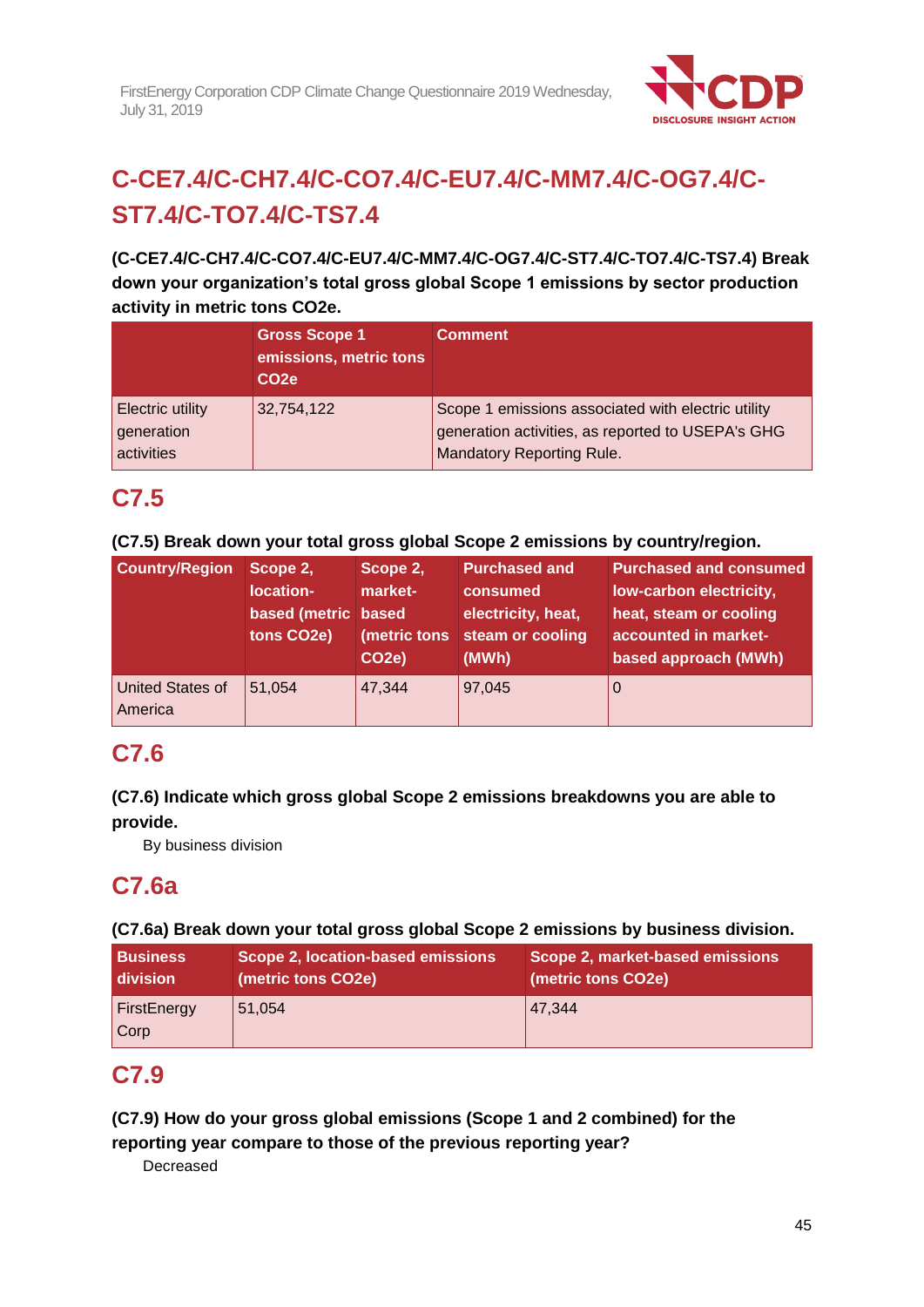

# **C-CE7.4/C-CH7.4/C-CO7.4/C-EU7.4/C-MM7.4/C-OG7.4/C-ST7.4/C-TO7.4/C-TS7.4**

**(C-CE7.4/C-CH7.4/C-CO7.4/C-EU7.4/C-MM7.4/C-OG7.4/C-ST7.4/C-TO7.4/C-TS7.4) Break down your organization's total gross global Scope 1 emissions by sector production activity in metric tons CO2e.**

|                                                     | <b>Gross Scope 1</b><br>emissions, metric tons<br>CO <sub>2e</sub> | <b>Comment</b>                                                                                                                              |
|-----------------------------------------------------|--------------------------------------------------------------------|---------------------------------------------------------------------------------------------------------------------------------------------|
| <b>Electric utility</b><br>generation<br>activities | 32,754,122                                                         | Scope 1 emissions associated with electric utility<br>generation activities, as reported to USEPA's GHG<br><b>Mandatory Reporting Rule.</b> |

## **C7.5**

## **(C7.5) Break down your total gross global Scope 2 emissions by country/region.**

| <b>Country/Region</b>              | Scope 2,<br>location-<br>based (metric based<br>tons CO2e) | Scope 2,<br>market-<br>(metric tons<br>CO <sub>2e</sub> ) | <b>Purchased and</b><br>consumed<br>electricity, heat,<br>steam or cooling<br>(MWh) | <b>Purchased and consumed</b><br>low-carbon electricity,<br>heat, steam or cooling<br>accounted in market-<br>based approach (MWh) |
|------------------------------------|------------------------------------------------------------|-----------------------------------------------------------|-------------------------------------------------------------------------------------|------------------------------------------------------------------------------------------------------------------------------------|
| <b>United States of</b><br>America | 51,054                                                     | 47,344                                                    | 97,045                                                                              | 0                                                                                                                                  |

## **C7.6**

## **(C7.6) Indicate which gross global Scope 2 emissions breakdowns you are able to provide.**

By business division

## **C7.6a**

## **(C7.6a) Break down your total gross global Scope 2 emissions by business division.**

| <b>Business</b>     | Scope 2, location-based emissions | Scope 2, market-based emissions |
|---------------------|-----------------------------------|---------------------------------|
| <b>division</b>     | (metric tons CO2e)                | (metric tons CO2e)              |
| FirstEnergy<br>Corp | 51,054                            | 47.344                          |

## **C7.9**

**(C7.9) How do your gross global emissions (Scope 1 and 2 combined) for the reporting year compare to those of the previous reporting year?**

Decreased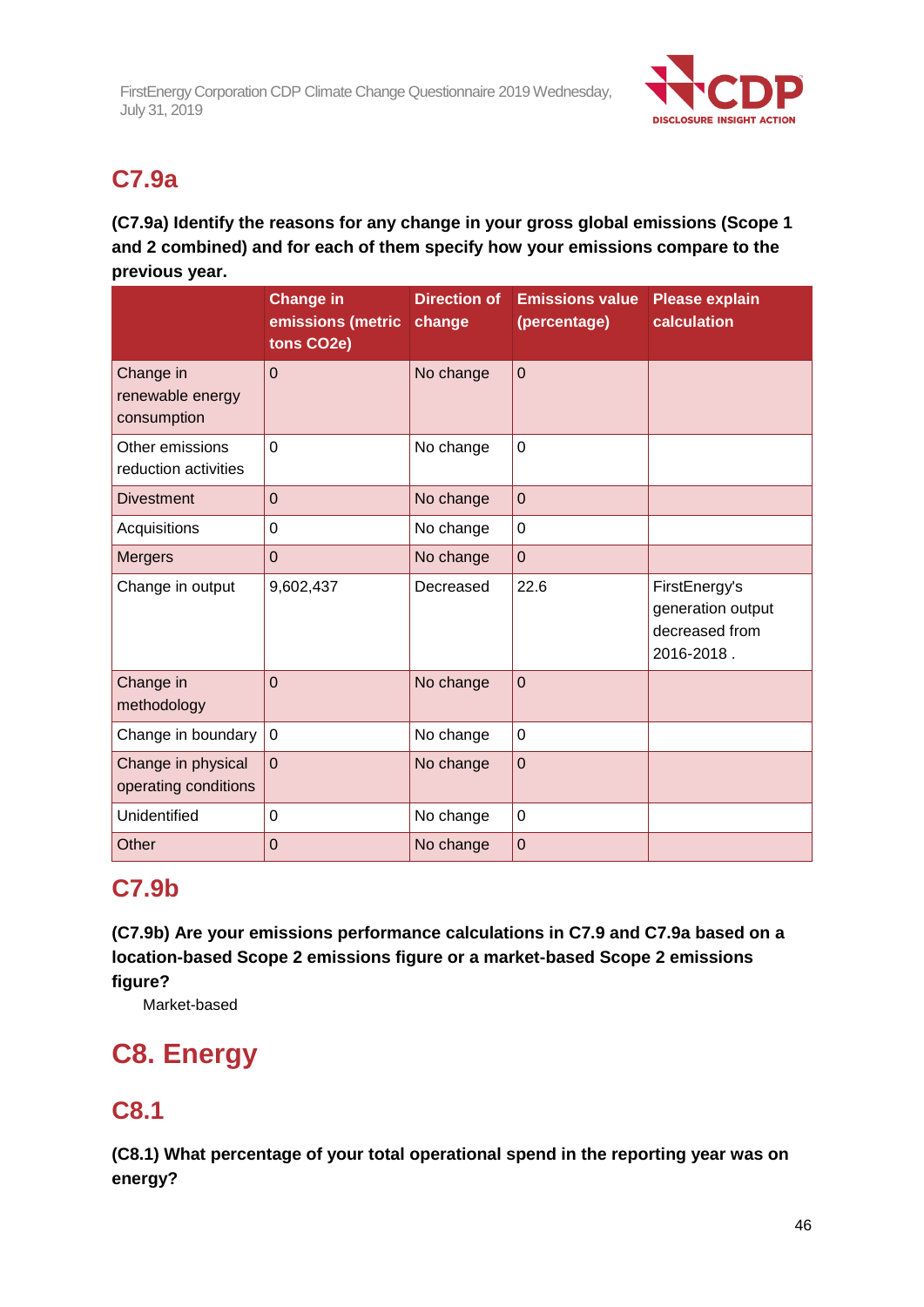

# **C7.9a**

## **(C7.9a) Identify the reasons for any change in your gross global emissions (Scope 1 and 2 combined) and for each of them specify how your emissions compare to the previous year.**

|                                              | <b>Change in</b><br>emissions (metric<br>tons CO2e) | <b>Direction of</b><br>change | <b>Emissions value</b><br>(percentage) | <b>Please explain</b><br>calculation                               |
|----------------------------------------------|-----------------------------------------------------|-------------------------------|----------------------------------------|--------------------------------------------------------------------|
| Change in<br>renewable energy<br>consumption | $\overline{0}$                                      | No change                     | $\mathbf 0$                            |                                                                    |
| Other emissions<br>reduction activities      | $\overline{0}$                                      | No change                     | $\overline{0}$                         |                                                                    |
| <b>Divestment</b>                            | $\overline{0}$                                      | No change                     | $\overline{0}$                         |                                                                    |
| Acquisitions                                 | $\overline{0}$                                      | No change                     | $\overline{0}$                         |                                                                    |
| <b>Mergers</b>                               | $\mathbf 0$                                         | No change                     | $\overline{0}$                         |                                                                    |
| Change in output                             | 9,602,437                                           | Decreased                     | 22.6                                   | FirstEnergy's<br>generation output<br>decreased from<br>2016-2018. |
| Change in<br>methodology                     | $\overline{0}$                                      | No change                     | $\overline{0}$                         |                                                                    |
| Change in boundary                           | $\mathbf 0$                                         | No change                     | $\overline{0}$                         |                                                                    |
| Change in physical<br>operating conditions   | $\overline{0}$                                      | No change                     | $\overline{0}$                         |                                                                    |
| Unidentified                                 | $\overline{0}$                                      | No change                     | $\mathbf 0$                            |                                                                    |
| Other                                        | $\overline{0}$                                      | No change                     | $\overline{0}$                         |                                                                    |

## **C7.9b**

**(C7.9b) Are your emissions performance calculations in C7.9 and C7.9a based on a location-based Scope 2 emissions figure or a market-based Scope 2 emissions figure?**

Market-based

# **C8. Energy**

## **C8.1**

**(C8.1) What percentage of your total operational spend in the reporting year was on energy?**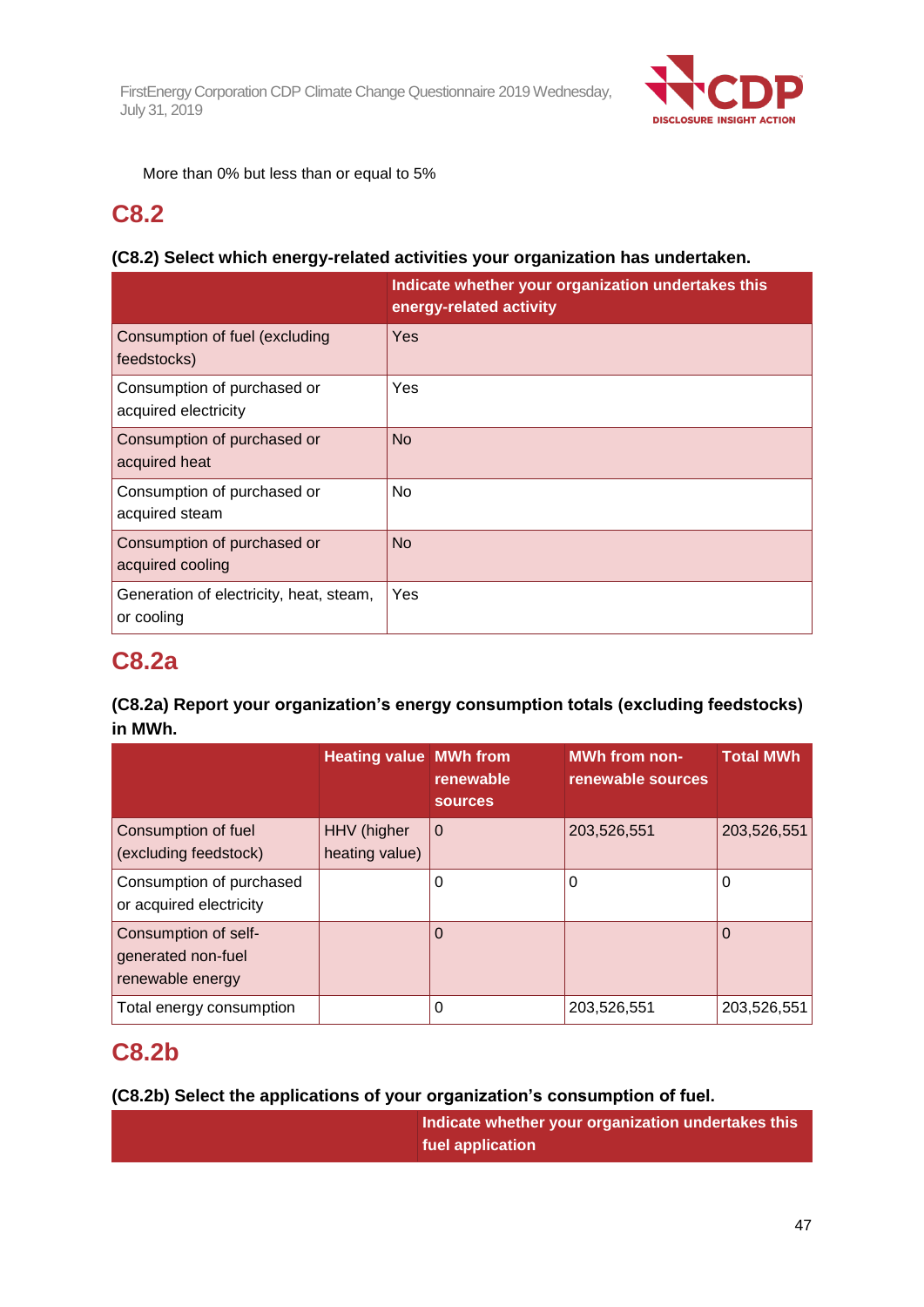

More than 0% but less than or equal to 5%

## **C8.2**

## **(C8.2) Select which energy-related activities your organization has undertaken.**

|                                                       | Indicate whether your organization undertakes this<br>energy-related activity |
|-------------------------------------------------------|-------------------------------------------------------------------------------|
| Consumption of fuel (excluding<br>feedstocks)         | Yes                                                                           |
| Consumption of purchased or<br>acquired electricity   | Yes                                                                           |
| Consumption of purchased or<br>acquired heat          | <b>No</b>                                                                     |
| Consumption of purchased or<br>acquired steam         | <b>No</b>                                                                     |
| Consumption of purchased or<br>acquired cooling       | <b>No</b>                                                                     |
| Generation of electricity, heat, steam,<br>or cooling | Yes                                                                           |

## **C8.2a**

## **(C8.2a) Report your organization's energy consumption totals (excluding feedstocks) in MWh.**

|                                                                | <b>Heating value MWh from</b> | renewable<br><b>sources</b> | <b>MWh from non-</b><br>renewable sources | <b>Total MWh</b> |
|----------------------------------------------------------------|-------------------------------|-----------------------------|-------------------------------------------|------------------|
| Consumption of fuel<br>(excluding feedstock)                   | HHV (higher<br>heating value) | $\overline{0}$              | 203,526,551                               | 203,526,551      |
| Consumption of purchased<br>or acquired electricity            |                               | 0                           | 0                                         | 0                |
| Consumption of self-<br>generated non-fuel<br>renewable energy |                               | O                           |                                           | 0                |
| Total energy consumption                                       |                               | 0                           | 203,526,551                               | 203,526,551      |

## **C8.2b**

## **(C8.2b) Select the applications of your organization's consumption of fuel.**

| Indicate whether your organization undertakes this |
|----------------------------------------------------|
| fuel application                                   |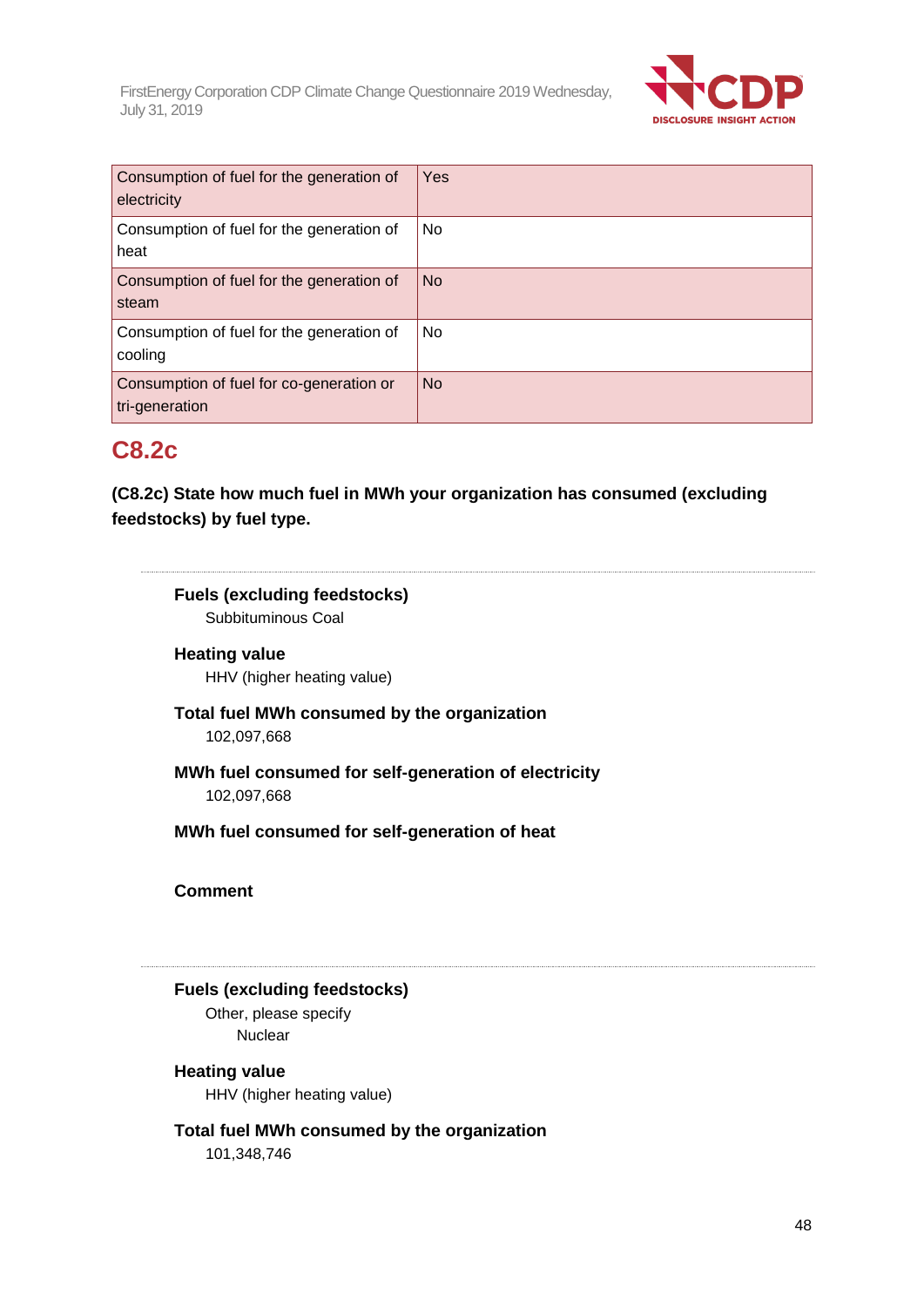

| Consumption of fuel for the generation of<br>electricity   | Yes       |
|------------------------------------------------------------|-----------|
| Consumption of fuel for the generation of<br>heat          | No        |
| Consumption of fuel for the generation of<br>steam         | <b>No</b> |
| Consumption of fuel for the generation of<br>cooling       | No        |
| Consumption of fuel for co-generation or<br>tri-generation | <b>No</b> |

## **C8.2c**

**(C8.2c) State how much fuel in MWh your organization has consumed (excluding feedstocks) by fuel type.**

## **Fuels (excluding feedstocks)**

Subbituminous Coal

## **Heating value** HHV (higher heating value)

**Total fuel MWh consumed by the organization** 102,097,668

**MWh fuel consumed for self-generation of electricity** 102,097,668

**MWh fuel consumed for self-generation of heat**

**Comment**

## **Fuels (excluding feedstocks)**

Other, please specify **Nuclear** 

### **Heating value**

HHV (higher heating value)

**Total fuel MWh consumed by the organization** 101,348,746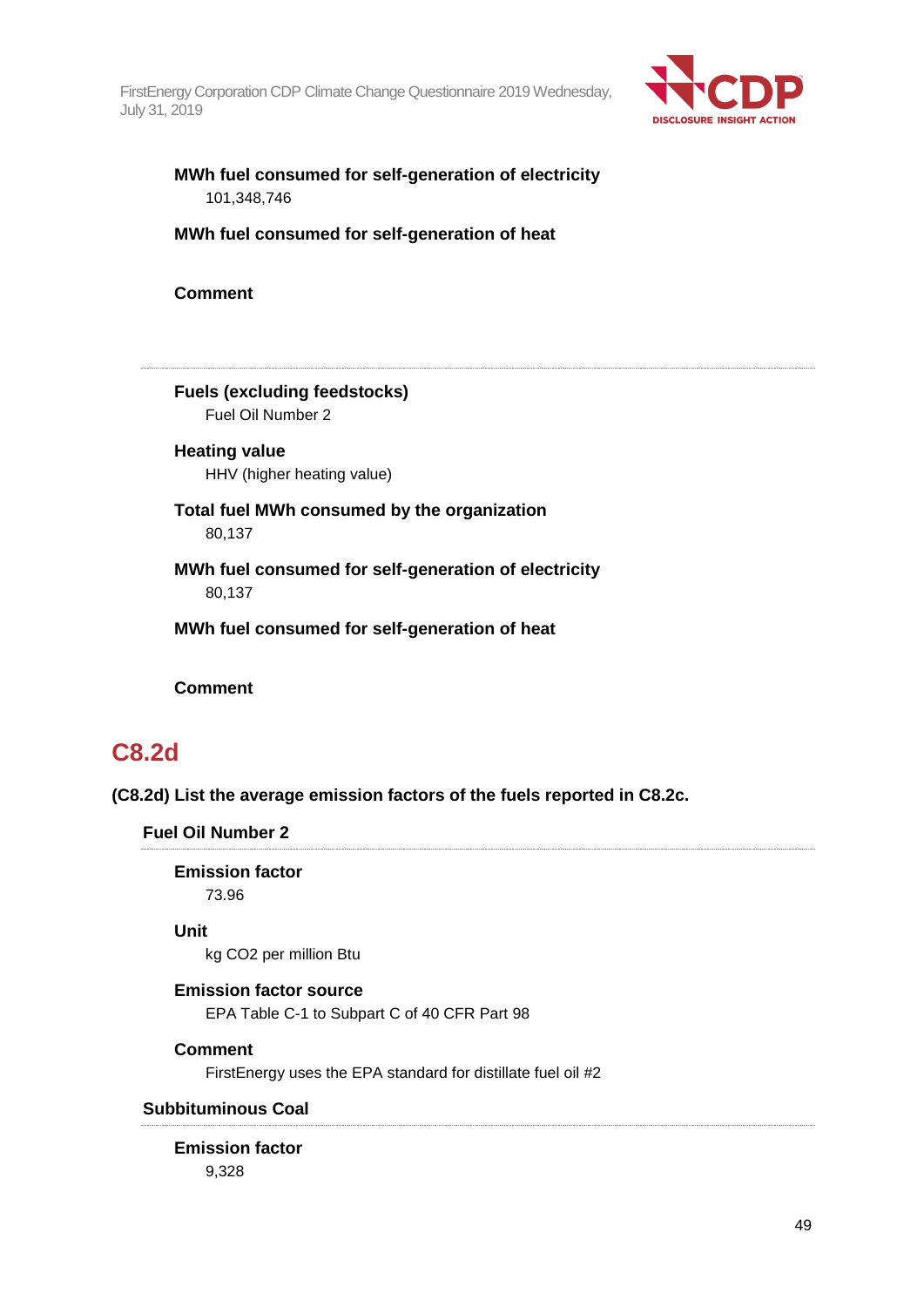

## **MWh fuel consumed for self-generation of electricity** 101,348,746

**MWh fuel consumed for self-generation of heat**

**Comment**

**Fuels (excluding feedstocks)** Fuel Oil Number 2

**Heating value** HHV (higher heating value)

**Total fuel MWh consumed by the organization** 80,137

**MWh fuel consumed for self-generation of electricity** 80,137

**MWh fuel consumed for self-generation of heat**

**Comment**

## **C8.2d**

**(C8.2d) List the average emission factors of the fuels reported in C8.2c.**

**Fuel Oil Number 2**

**Emission factor** 73.96

### **Unit**

kg CO2 per million Btu

#### **Emission factor source**

EPA Table C-1 to Subpart C of 40 CFR Part 98

#### **Comment**

FirstEnergy uses the EPA standard for distillate fuel oil #2

#### **Subbituminous Coal**

**Emission factor** 9,328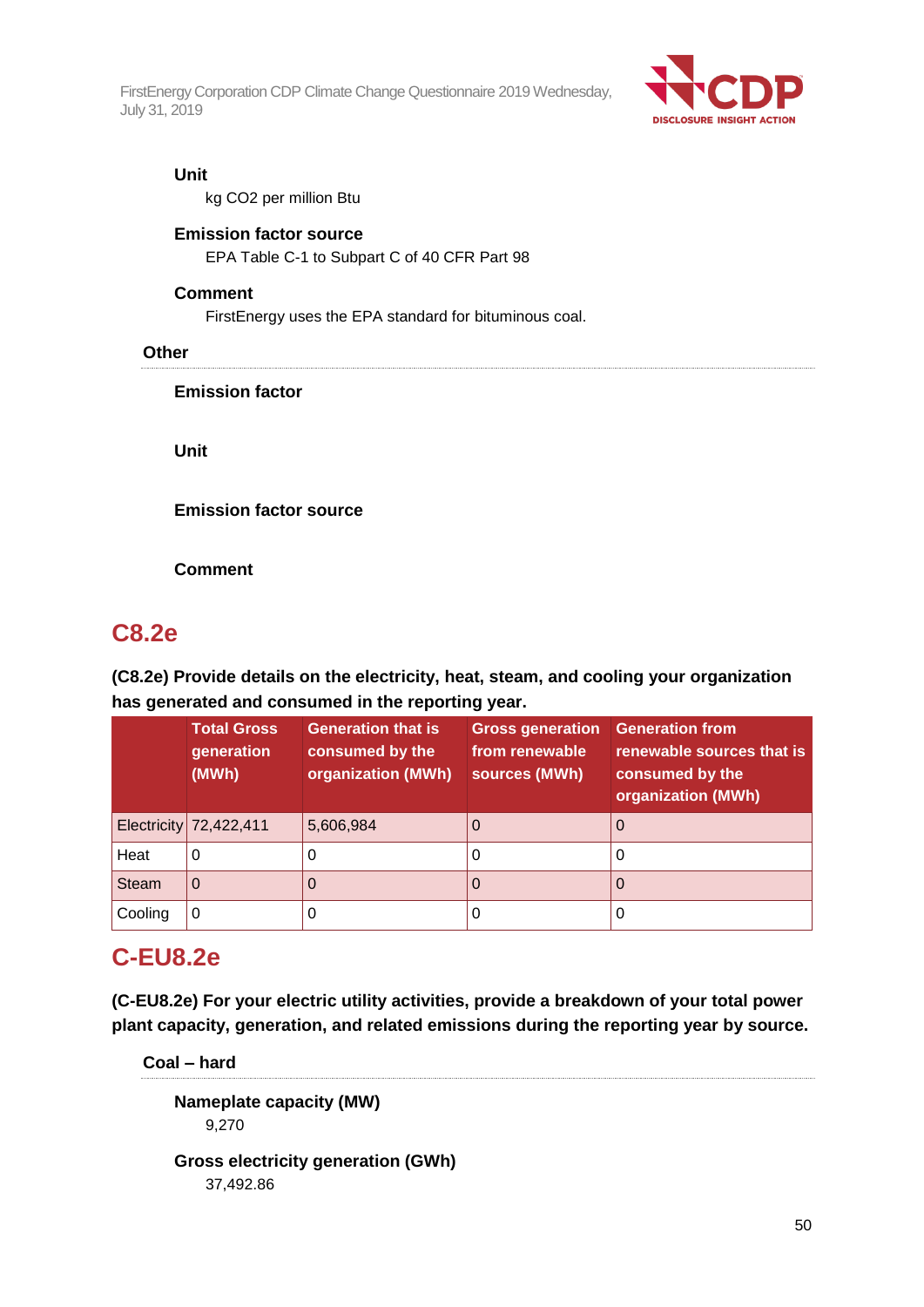

#### **Unit**

kg CO2 per million Btu

#### **Emission factor source**

EPA Table C-1 to Subpart C of 40 CFR Part 98

#### **Comment**

FirstEnergy uses the EPA standard for bituminous coal.

#### **Other**

**Emission factor**

**Unit**

**Emission factor source**

**Comment**

## **C8.2e**

**(C8.2e) Provide details on the electricity, heat, steam, and cooling your organization has generated and consumed in the reporting year.**

|              | <b>Total Gross</b><br>generation<br>(MWh) | <b>Generation that is</b><br>consumed by the<br>organization (MWh) | <b>Gross generation</b><br>from renewable<br>sources (MWh) | <b>Generation from</b><br>renewable sources that is<br>consumed by the<br>organization (MWh) |
|--------------|-------------------------------------------|--------------------------------------------------------------------|------------------------------------------------------------|----------------------------------------------------------------------------------------------|
|              | Electricity 72,422,411                    | 5,606,984                                                          |                                                            | U                                                                                            |
| Heat         | 0                                         | O                                                                  | O                                                          |                                                                                              |
| <b>Steam</b> | O                                         |                                                                    |                                                            |                                                                                              |
| Cooling      | 0                                         | O                                                                  | U                                                          |                                                                                              |

## **C-EU8.2e**

**(C-EU8.2e) For your electric utility activities, provide a breakdown of your total power plant capacity, generation, and related emissions during the reporting year by source.**

**Coal – hard**

**Nameplate capacity (MW)** 9,270

**Gross electricity generation (GWh)** 37,492.86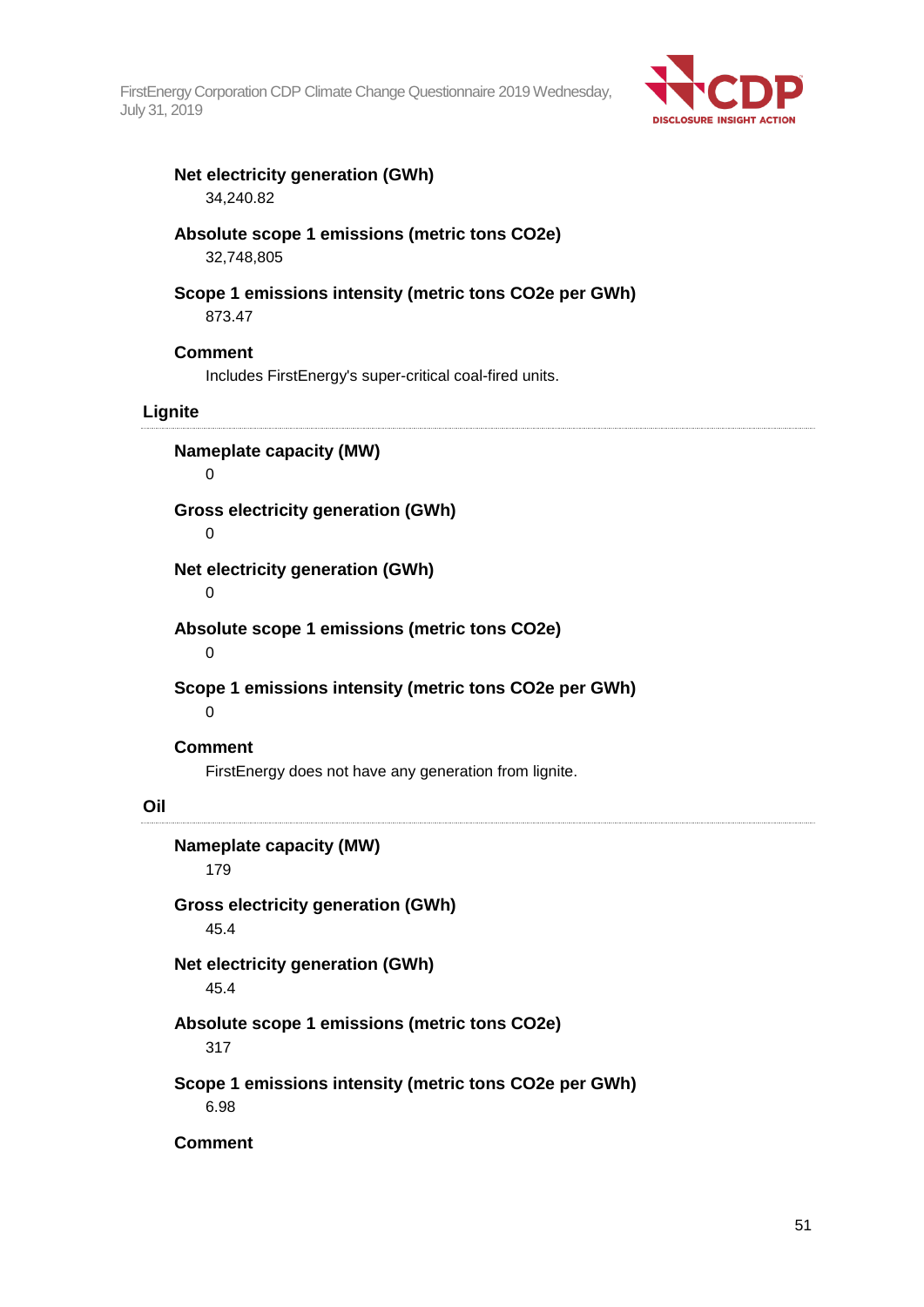

#### **Net electricity generation (GWh)** 34,240.82

**Absolute scope 1 emissions (metric tons CO2e)** 32,748,805

## **Scope 1 emissions intensity (metric tons CO2e per GWh)** 873.47

#### **Comment**

Includes FirstEnergy's super-critical coal-fired units.

### **Lignite**

**Nameplate capacity (MW)**  $\Omega$ 

**Gross electricity generation (GWh)**

## 0

**Net electricity generation (GWh)**

0

**Absolute scope 1 emissions (metric tons CO2e)**

 $\Omega$ 

**Scope 1 emissions intensity (metric tons CO2e per GWh)**

 $\Omega$ 

#### **Comment**

FirstEnergy does not have any generation from lignite.

#### **Oil**

**Nameplate capacity (MW)** 179 **Gross electricity generation (GWh)** 45.4 **Net electricity generation (GWh)** 45.4 **Absolute scope 1 emissions (metric tons CO2e)** 317 **Scope 1 emissions intensity (metric tons CO2e per GWh)** 6.98

**Comment**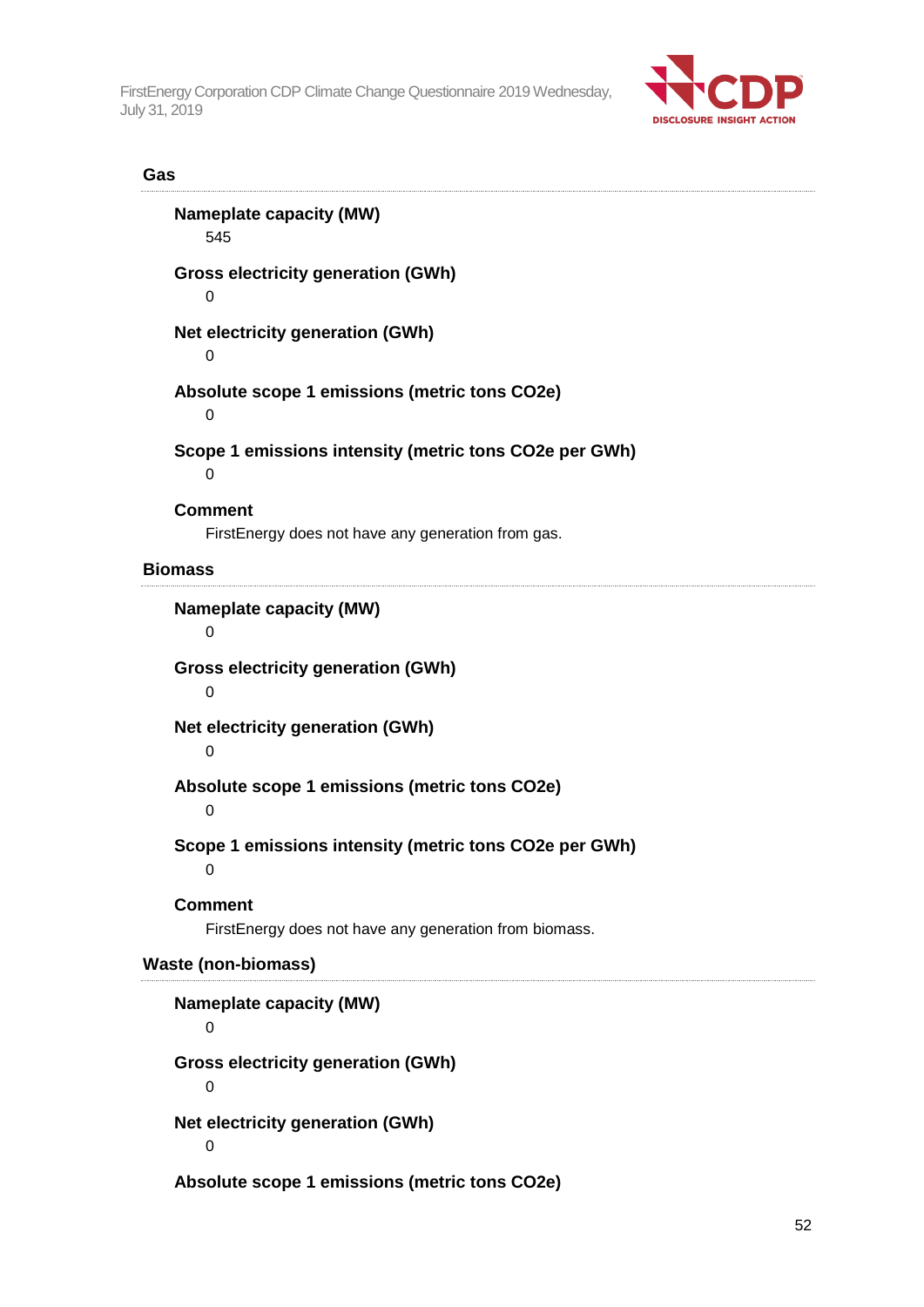

### **Gas**

| <b>Nameplate capacity (MW)</b><br>545                                    |
|--------------------------------------------------------------------------|
| <b>Gross electricity generation (GWh)</b><br>0                           |
| Net electricity generation (GWh)<br>0                                    |
| Absolute scope 1 emissions (metric tons CO2e)<br>0                       |
| Scope 1 emissions intensity (metric tons CO2e per GWh)<br>0              |
| <b>Comment</b><br>FirstEnergy does not have any generation from gas.     |
| <b>Biomass</b>                                                           |
| <b>Nameplate capacity (MW)</b><br>0                                      |
| <b>Gross electricity generation (GWh)</b><br>0                           |
| <b>Net electricity generation (GWh)</b><br>0                             |
| Absolute scope 1 emissions (metric tons CO2e)<br>0                       |
| Scope 1 emissions intensity (metric tons CO2e per GWh)<br>0              |
| <b>Comment</b><br>FirstEnergy does not have any generation from biomass. |
| <b>Waste (non-biomass)</b>                                               |
| <b>Nameplate capacity (MW)</b><br>0                                      |
| <b>Gross electricity generation (GWh)</b><br>0                           |
| Net electricity generation (GWh)<br>0                                    |
| Absolute scope 1 emissions (metric tons CO2e)                            |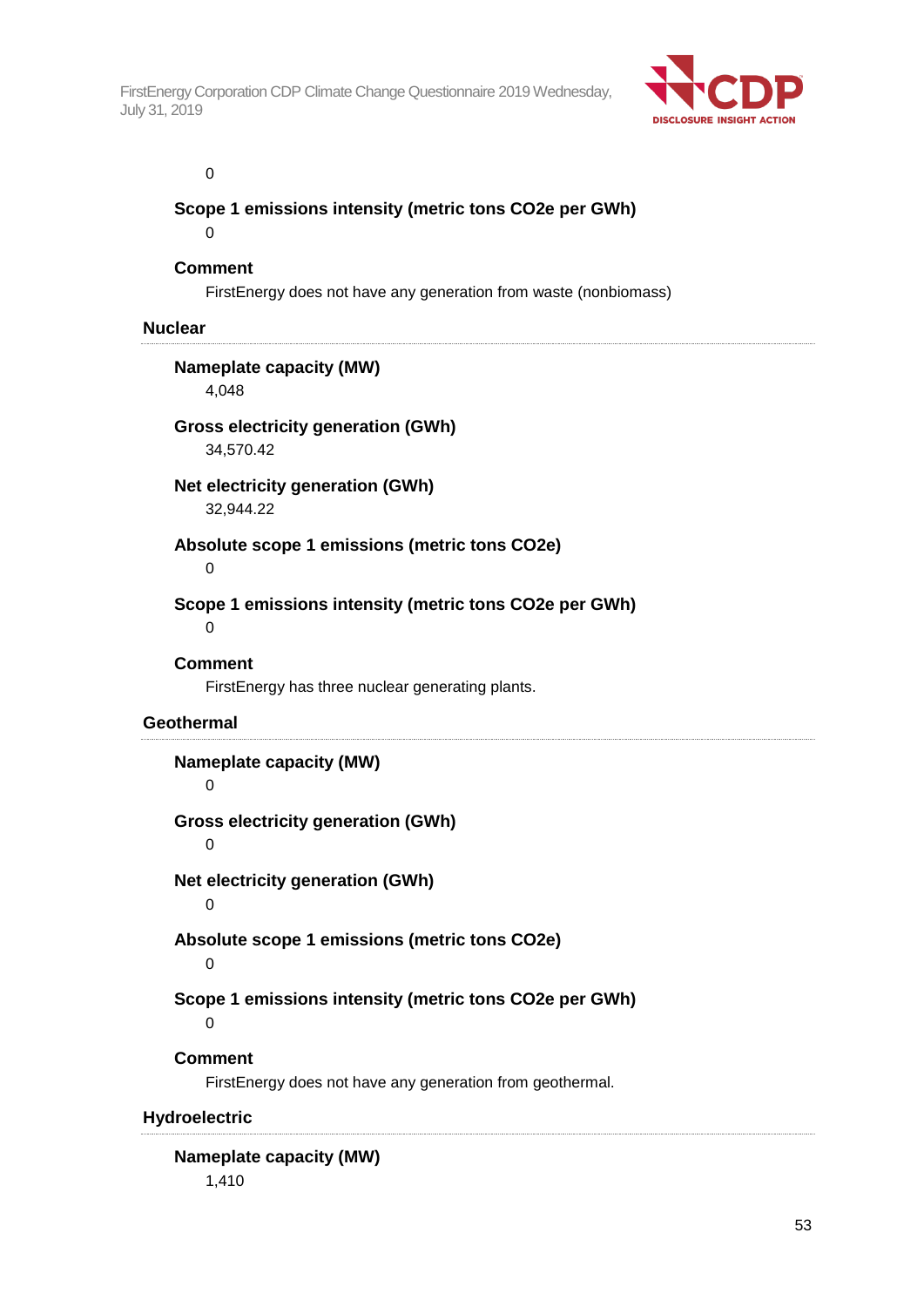

#### 0

### **Scope 1 emissions intensity (metric tons CO2e per GWh)**

 $\Omega$ 

## **Comment**

FirstEnergy does not have any generation from waste (nonbiomass)

#### **Nuclear**

**Nameplate capacity (MW)** 4,048

#### **Gross electricity generation (GWh)** 34,570.42

**Net electricity generation (GWh)**

32,944.22

**Absolute scope 1 emissions (metric tons CO2e)**

0

**Scope 1 emissions intensity (metric tons CO2e per GWh)**

0

### **Comment**

FirstEnergy has three nuclear generating plants.

### **Geothermal**

## **Nameplate capacity (MW)**

0

**Gross electricity generation (GWh)**

0

**Net electricity generation (GWh)**

 $\Omega$ 

## **Absolute scope 1 emissions (metric tons CO2e)**

 $\Omega$ 

## **Scope 1 emissions intensity (metric tons CO2e per GWh)**

 $\Omega$ 

### **Comment**

FirstEnergy does not have any generation from geothermal.

### **Hydroelectric**

## **Nameplate capacity (MW)** 1,410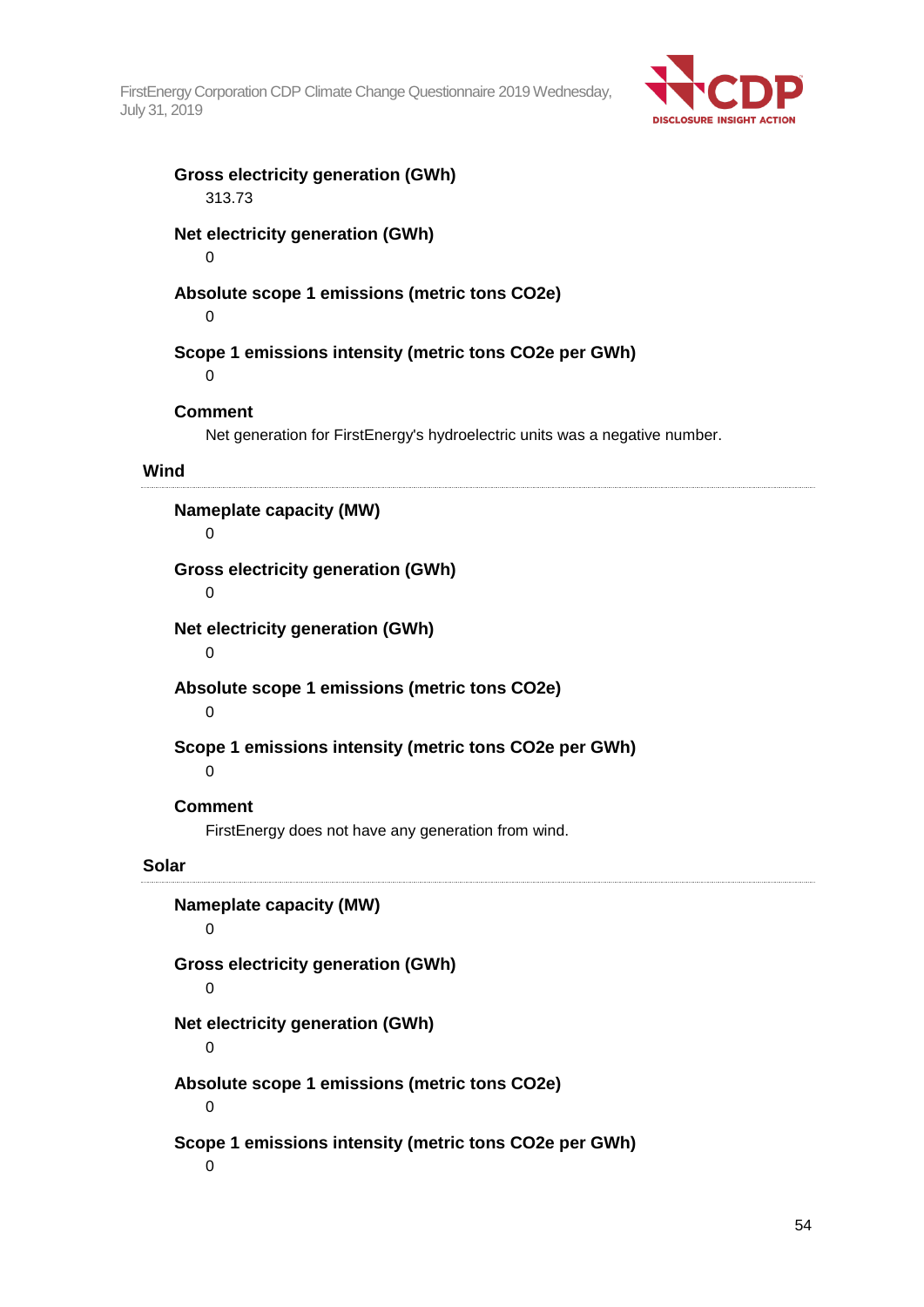

#### **Gross electricity generation (GWh)** 313.73

## **Net electricity generation (GWh)**

0

## **Absolute scope 1 emissions (metric tons CO2e)**

0

## **Scope 1 emissions intensity (metric tons CO2e per GWh)**

 $\Omega$ 

## **Comment**

Net generation for FirstEnergy's hydroelectric units was a negative number.

#### **Wind**

**Nameplate capacity (MW)** 0 **Gross electricity generation (GWh)** 0 **Net electricity generation (GWh)**  $\Omega$ **Absolute scope 1 emissions (metric tons CO2e)**  $\Omega$ 

**Scope 1 emissions intensity (metric tons CO2e per GWh)**

#### 0

### **Comment**

FirstEnergy does not have any generation from wind.

### **Solar**

**Nameplate capacity (MW)**  $\Omega$ **Gross electricity generation (GWh)** 0 **Net electricity generation (GWh)**  $\Omega$ **Absolute scope 1 emissions (metric tons CO2e)**  $\Omega$ **Scope 1 emissions intensity (metric tons CO2e per GWh)**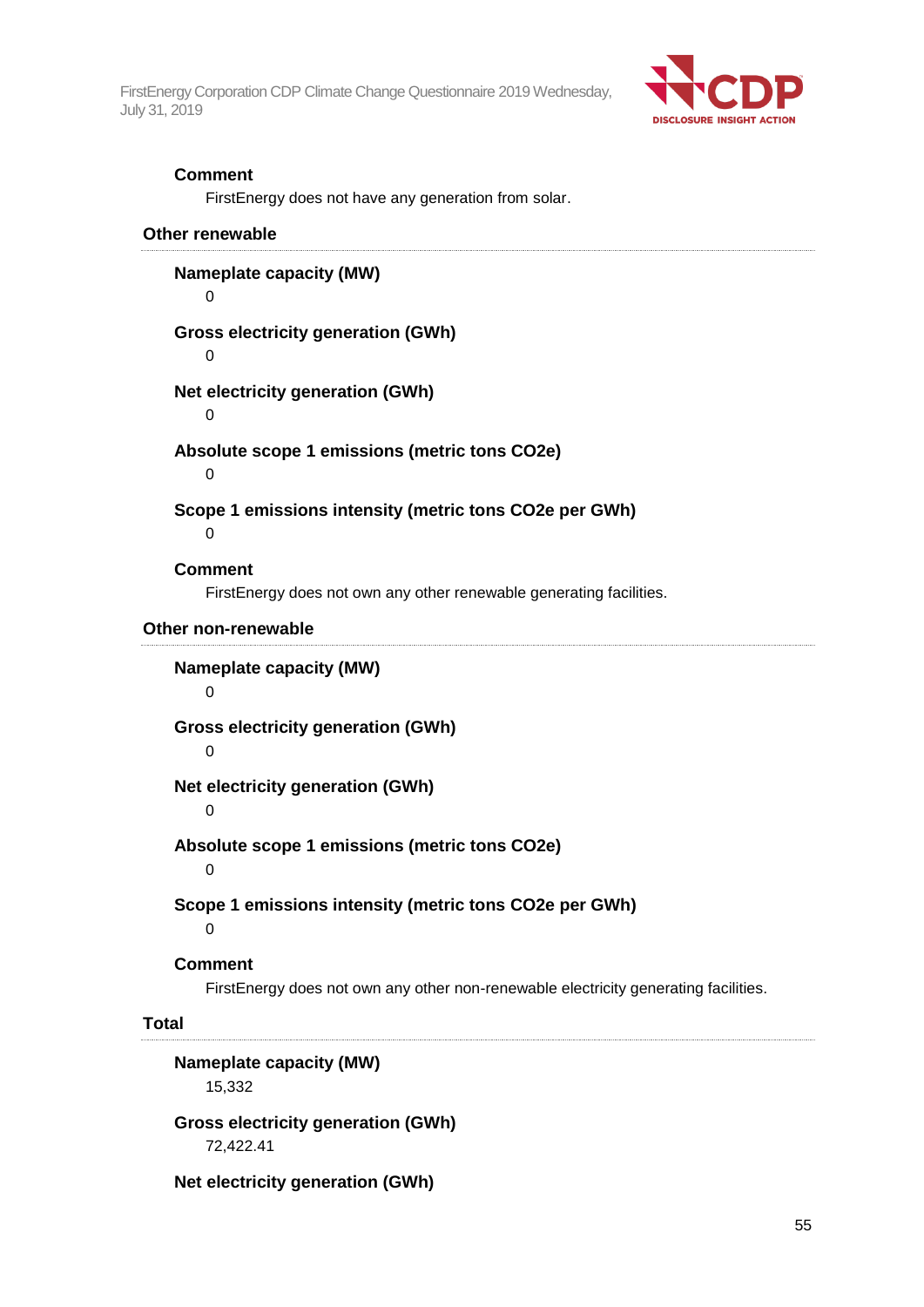

#### **Comment**

FirstEnergy does not have any generation from solar.

#### **Other renewable**

**Nameplate capacity (MW)** 0 **Gross electricity generation (GWh)** 0 **Net electricity generation (GWh)** 0 **Absolute scope 1 emissions (metric tons CO2e)**  $\Omega$ **Scope 1 emissions intensity (metric tons CO2e per GWh)**  $\Omega$ **Comment** FirstEnergy does not own any other renewable generating facilities. **Other non-renewable Nameplate capacity (MW)**  $\Omega$ **Gross electricity generation (GWh)**  $\Omega$ **Net electricity generation (GWh)**  $\Omega$ **Absolute scope 1 emissions (metric tons CO2e)**

0

**Scope 1 emissions intensity (metric tons CO2e per GWh)**

 $\Omega$ 

**Comment**

FirstEnergy does not own any other non-renewable electricity generating facilities.

#### **Total**

**Nameplate capacity (MW)** 15,332

**Gross electricity generation (GWh)** 72,422.41

**Net electricity generation (GWh)**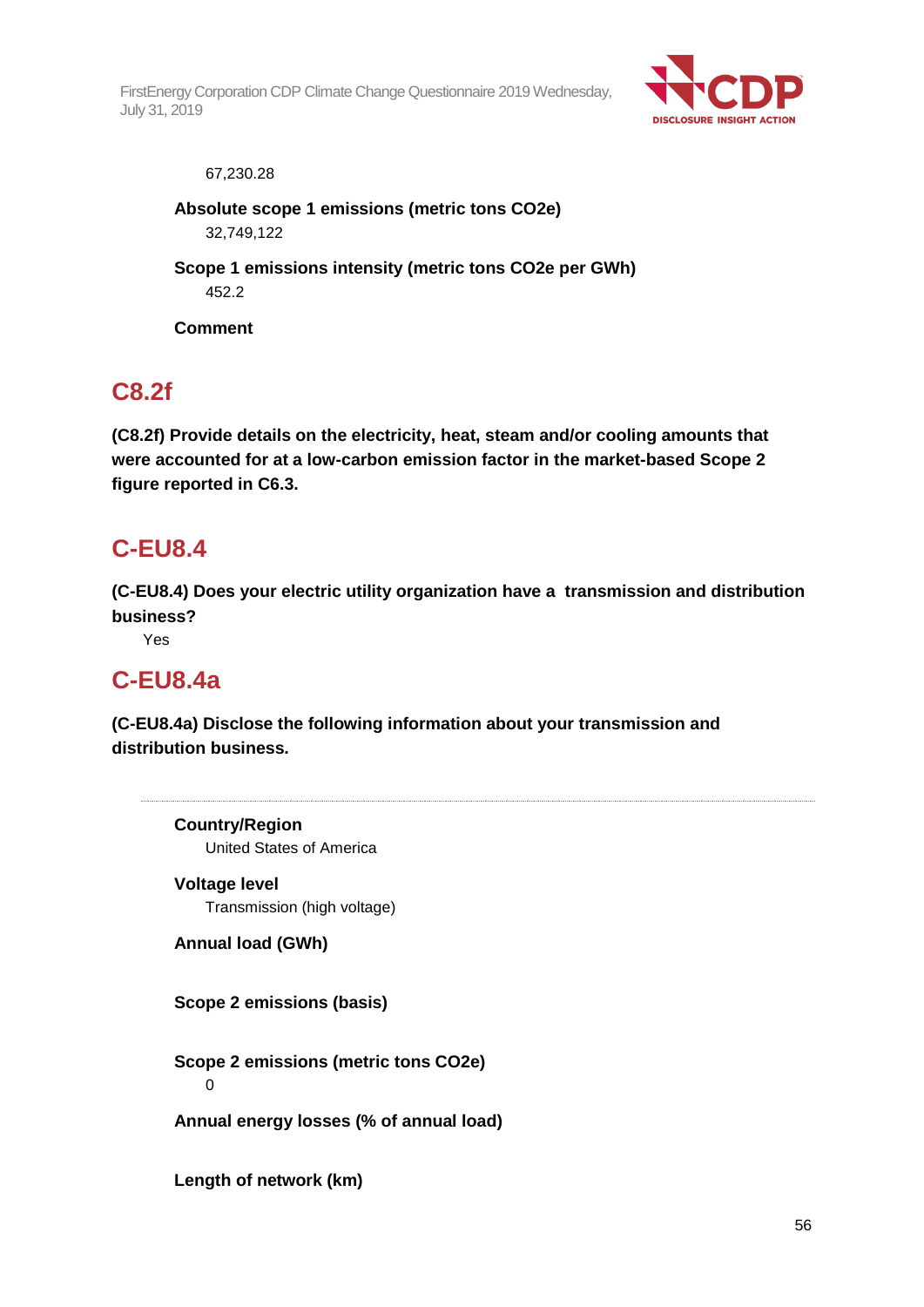

#### 67,230.28

**Absolute scope 1 emissions (metric tons CO2e)** 32,749,122

**Scope 1 emissions intensity (metric tons CO2e per GWh)** 452.2

**Comment**

## **C8.2f**

**(C8.2f) Provide details on the electricity, heat, steam and/or cooling amounts that were accounted for at a low-carbon emission factor in the market-based Scope 2 figure reported in C6.3.**

## **C-EU8.4**

**(C-EU8.4) Does your electric utility organization have a transmission and distribution business?**

Yes

## **C-EU8.4a**

**(C-EU8.4a) Disclose the following information about your transmission and distribution business.**

**Country/Region** United States of America **Voltage level** Transmission (high voltage) **Annual load (GWh) Scope 2 emissions (basis) Scope 2 emissions (metric tons CO2e)** 0 **Annual energy losses (% of annual load) Length of network (km)**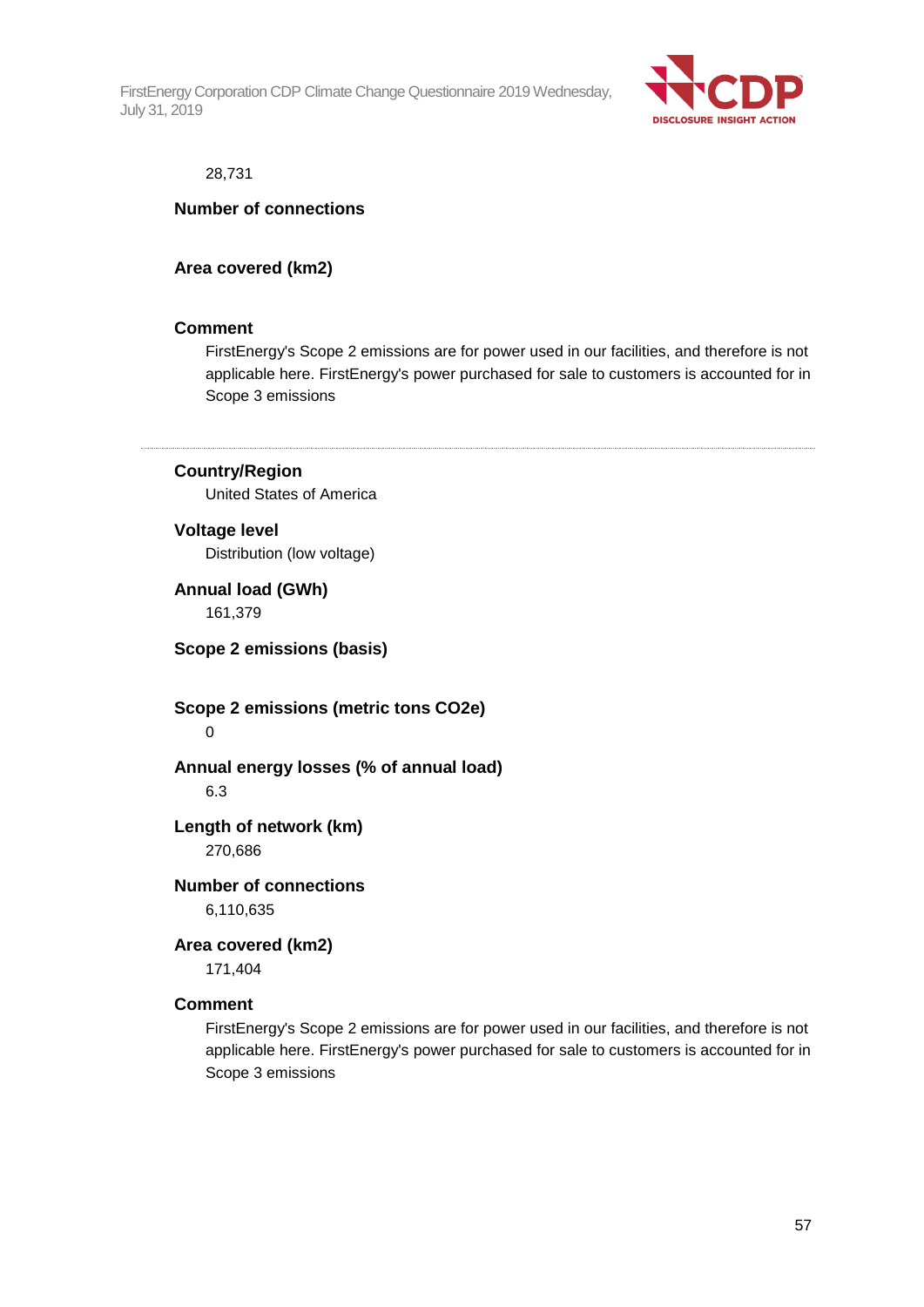

#### 28,731

#### **Number of connections**

## **Area covered (km2)**

#### **Comment**

FirstEnergy's Scope 2 emissions are for power used in our facilities, and therefore is not applicable here. FirstEnergy's power purchased for sale to customers is accounted for in Scope 3 emissions

### **Country/Region**

United States of America

#### **Voltage level**

Distribution (low voltage)

**Annual load (GWh)** 161,379

**Scope 2 emissions (basis)**

**Scope 2 emissions (metric tons CO2e)**  $\Omega$ 

**Annual energy losses (% of annual load)** 6.3

#### **Length of network (km)** 270,686

**Number of connections** 6,110,635

## **Area covered (km2)**

171,404

### **Comment**

FirstEnergy's Scope 2 emissions are for power used in our facilities, and therefore is not applicable here. FirstEnergy's power purchased for sale to customers is accounted for in Scope 3 emissions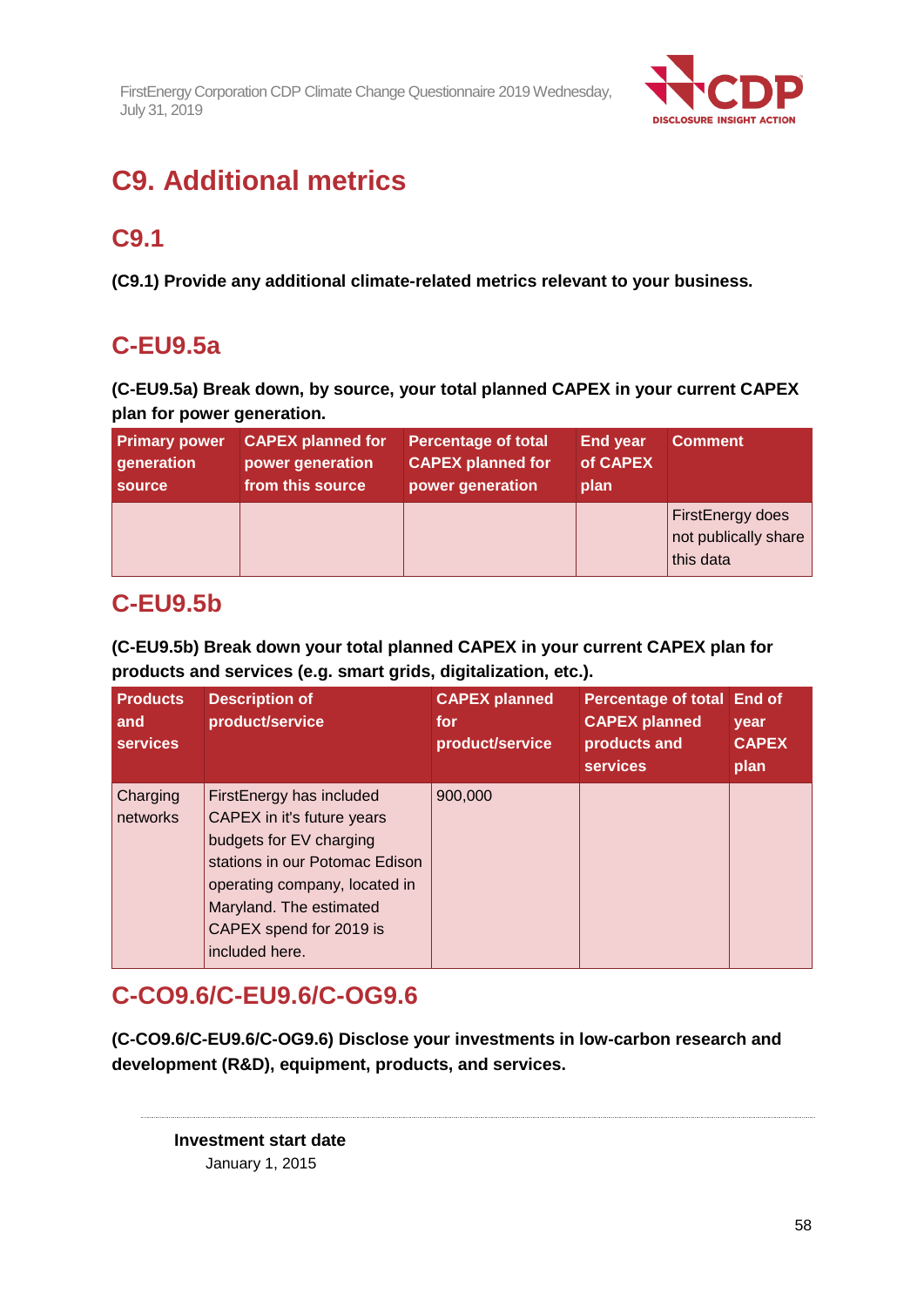

# **C9. Additional metrics**

## **C9.1**

**(C9.1) Provide any additional climate-related metrics relevant to your business.**

## **C-EU9.5a**

**(C-EU9.5a) Break down, by source, your total planned CAPEX in your current CAPEX plan for power generation.**

| <b>Primary power</b> | <b>CAPEX planned for</b> | <b>Percentage of total</b> | <b>End year</b> | <b>Comment</b>                                        |
|----------------------|--------------------------|----------------------------|-----------------|-------------------------------------------------------|
| generation           | power generation         | <b>CAPEX planned for</b>   | of CAPEX        |                                                       |
| source               | from this source         | power generation           | plan            |                                                       |
|                      |                          |                            |                 | FirstEnergy does<br>not publically share<br>this data |

## **C-EU9.5b**

**(C-EU9.5b) Break down your total planned CAPEX in your current CAPEX plan for products and services (e.g. smart grids, digitalization, etc.).**

| <b>Products</b><br>and<br><b>services</b> | <b>Description of</b><br>product/service                                                                                                                                                                                     | <b>CAPEX planned</b><br>for<br>product/service | Percentage of total End of<br><b>CAPEX planned</b><br>products and<br><b>services</b> | vear<br><b>CAPEX</b><br>plan |
|-------------------------------------------|------------------------------------------------------------------------------------------------------------------------------------------------------------------------------------------------------------------------------|------------------------------------------------|---------------------------------------------------------------------------------------|------------------------------|
| Charging<br>networks                      | FirstEnergy has included<br>CAPEX in it's future years<br>budgets for EV charging<br>stations in our Potomac Edison<br>operating company, located in<br>Maryland. The estimated<br>CAPEX spend for 2019 is<br>included here. | 900,000                                        |                                                                                       |                              |

## **C-CO9.6/C-EU9.6/C-OG9.6**

**(C-CO9.6/C-EU9.6/C-OG9.6) Disclose your investments in low-carbon research and development (R&D), equipment, products, and services.**

**Investment start date** January 1, 2015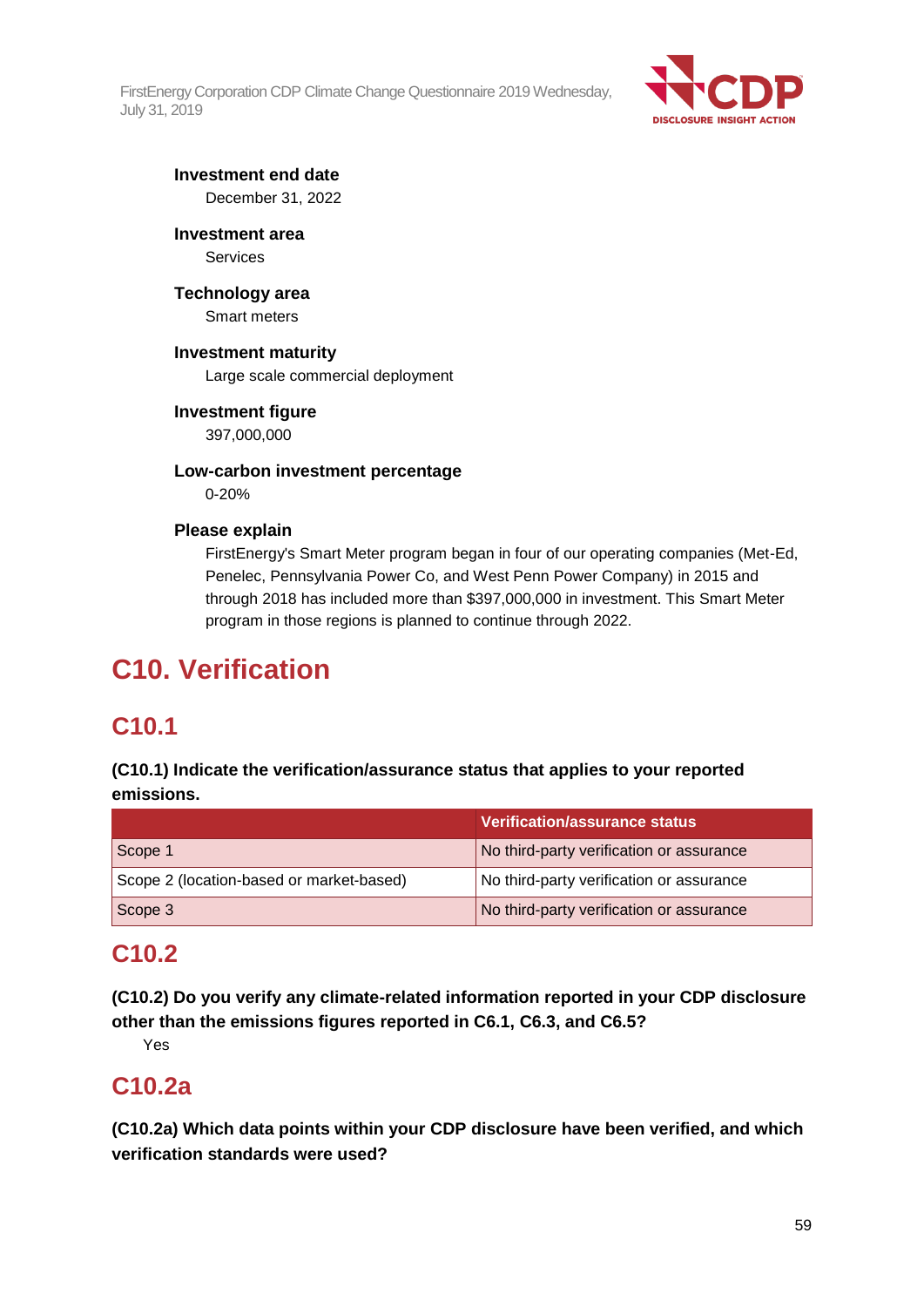

## **Investment end date** December 31, 2022

**Investment area**

**Services** 

**Technology area** Smart meters

## **Investment maturity**

Large scale commercial deployment

## **Investment figure**

397,000,000

**Low-carbon investment percentage** 0-20%

## **Please explain**

FirstEnergy's Smart Meter program began in four of our operating companies (Met-Ed, Penelec, Pennsylvania Power Co, and West Penn Power Company) in 2015 and through 2018 has included more than \$397,000,000 in investment. This Smart Meter program in those regions is planned to continue through 2022.

# **C10. Verification**

## **C10.1**

**(C10.1) Indicate the verification/assurance status that applies to your reported emissions.**

|                                          | <b>Verification/assurance status</b>     |
|------------------------------------------|------------------------------------------|
| Scope 1                                  | No third-party verification or assurance |
| Scope 2 (location-based or market-based) | No third-party verification or assurance |
| Scope 3                                  | No third-party verification or assurance |

## **C10.2**

**(C10.2) Do you verify any climate-related information reported in your CDP disclosure other than the emissions figures reported in C6.1, C6.3, and C6.5?**

Yes

## **C10.2a**

**(C10.2a) Which data points within your CDP disclosure have been verified, and which verification standards were used?**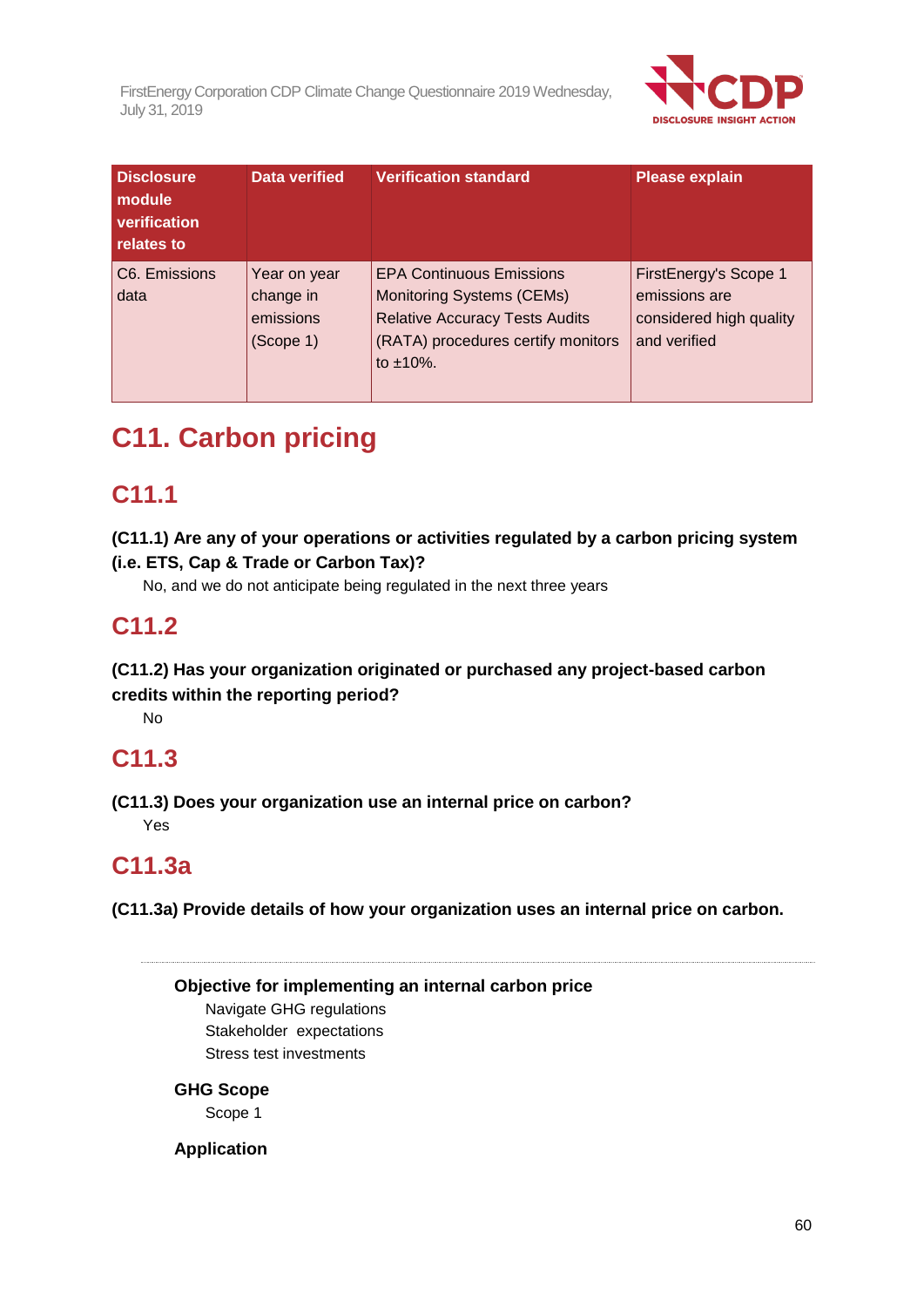

| <b>Disclosure</b><br>module<br>verification<br>relates to | Data verified                                       | <b>Verification standard</b>                                                                                                                                          | <b>Please explain</b>                                                             |
|-----------------------------------------------------------|-----------------------------------------------------|-----------------------------------------------------------------------------------------------------------------------------------------------------------------------|-----------------------------------------------------------------------------------|
| C6. Emissions<br>data                                     | Year on year<br>change in<br>emissions<br>(Scope 1) | <b>EPA Continuous Emissions</b><br><b>Monitoring Systems (CEMs)</b><br><b>Relative Accuracy Tests Audits</b><br>(RATA) procedures certify monitors<br>to $\pm 10\%$ . | FirstEnergy's Scope 1<br>emissions are<br>considered high quality<br>and verified |

# **C11. Carbon pricing**

## **C11.1**

## **(C11.1) Are any of your operations or activities regulated by a carbon pricing system (i.e. ETS, Cap & Trade or Carbon Tax)?**

No, and we do not anticipate being regulated in the next three years

# **C11.2**

## **(C11.2) Has your organization originated or purchased any project-based carbon credits within the reporting period?**

No

# **C11.3**

**(C11.3) Does your organization use an internal price on carbon?** Yes

# **C11.3a**

**(C11.3a) Provide details of how your organization uses an internal price on carbon.**

**Objective for implementing an internal carbon price**

Navigate GHG regulations Stakeholder expectations Stress test investments

## **GHG Scope**

Scope 1

## **Application**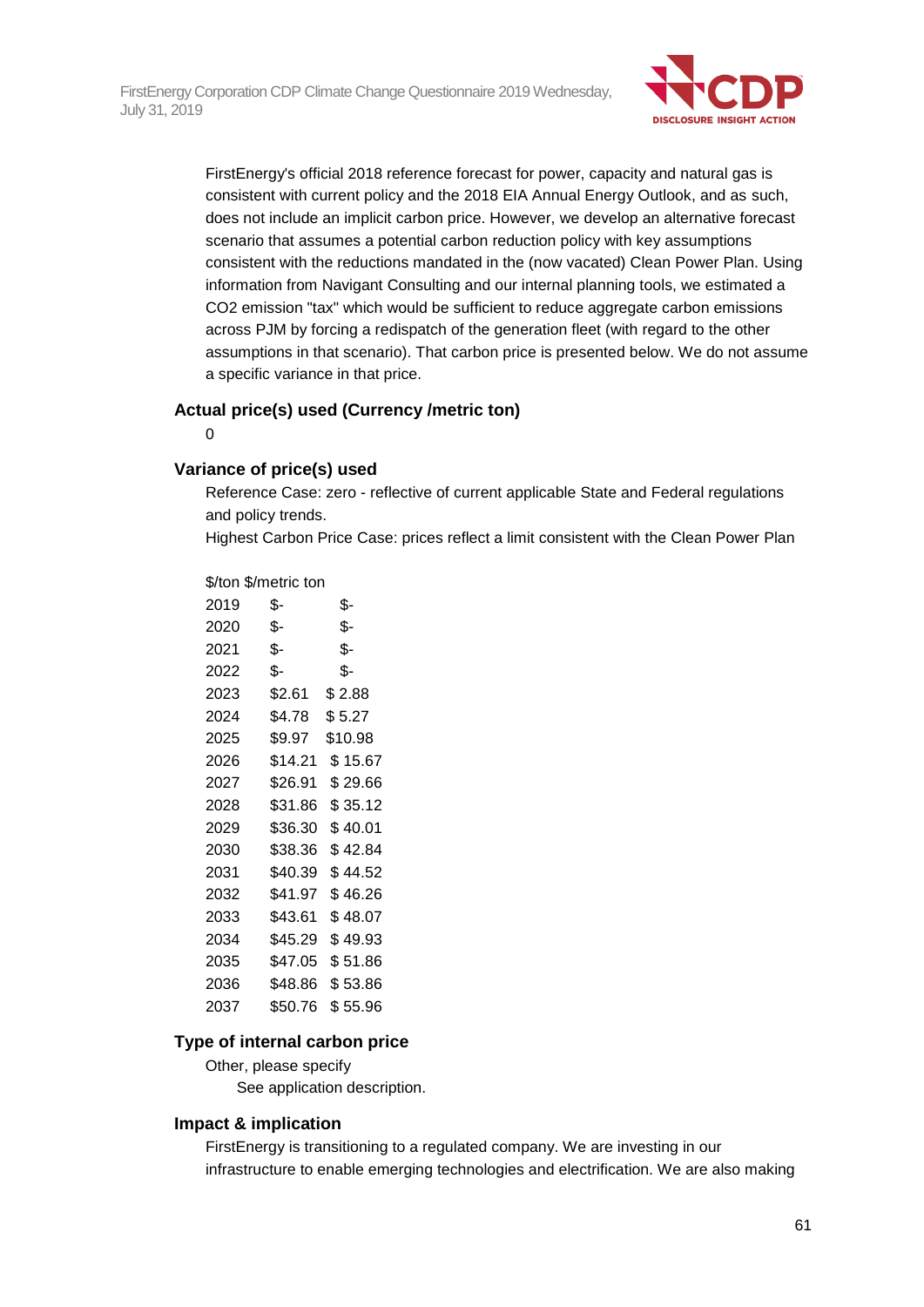

FirstEnergy's official 2018 reference forecast for power, capacity and natural gas is consistent with current policy and the 2018 EIA Annual Energy Outlook, and as such, does not include an implicit carbon price. However, we develop an alternative forecast scenario that assumes a potential carbon reduction policy with key assumptions consistent with the reductions mandated in the (now vacated) Clean Power Plan. Using information from Navigant Consulting and our internal planning tools, we estimated a CO2 emission "tax" which would be sufficient to reduce aggregate carbon emissions across PJM by forcing a redispatch of the generation fleet (with regard to the other assumptions in that scenario). That carbon price is presented below. We do not assume a specific variance in that price.

#### **Actual price(s) used (Currency /metric ton)**

 $\Omega$ 

#### **Variance of price(s) used**

Reference Case: zero - reflective of current applicable State and Federal regulations and policy trends.

Highest Carbon Price Case: prices reflect a limit consistent with the Clean Power Plan

#### \$/ton \$/metric ton

| 2019 | \$-     | \$-     |
|------|---------|---------|
| 2020 | \$-     | \$-     |
| 2021 | \$-     | \$-     |
| 2022 | \$-     | \$-     |
| 2023 | \$2.61  | \$2.88  |
| 2024 | \$4.78  | \$5.27  |
| 2025 | \$9.97  | \$10.98 |
| 2026 | \$14.21 | \$15.67 |
| 2027 | \$26.91 | \$29.66 |
| 2028 | \$31.86 | \$35.12 |
| 2029 | \$36.30 | \$40.01 |
| 2030 | \$38.36 | \$42.84 |
| 2031 | \$40.39 | \$44.52 |
| 2032 | \$41.97 | \$46.26 |
| 2033 | \$43.61 | \$48.07 |
| 2034 | \$45.29 | \$49.93 |
| 2035 | \$47.05 | \$51.86 |
| 2036 | \$48.86 | \$53.86 |
| 2037 | \$50.76 | \$55.96 |

### **Type of internal carbon price**

Other, please specify See application description.

### **Impact & implication**

FirstEnergy is transitioning to a regulated company. We are investing in our infrastructure to enable emerging technologies and electrification. We are also making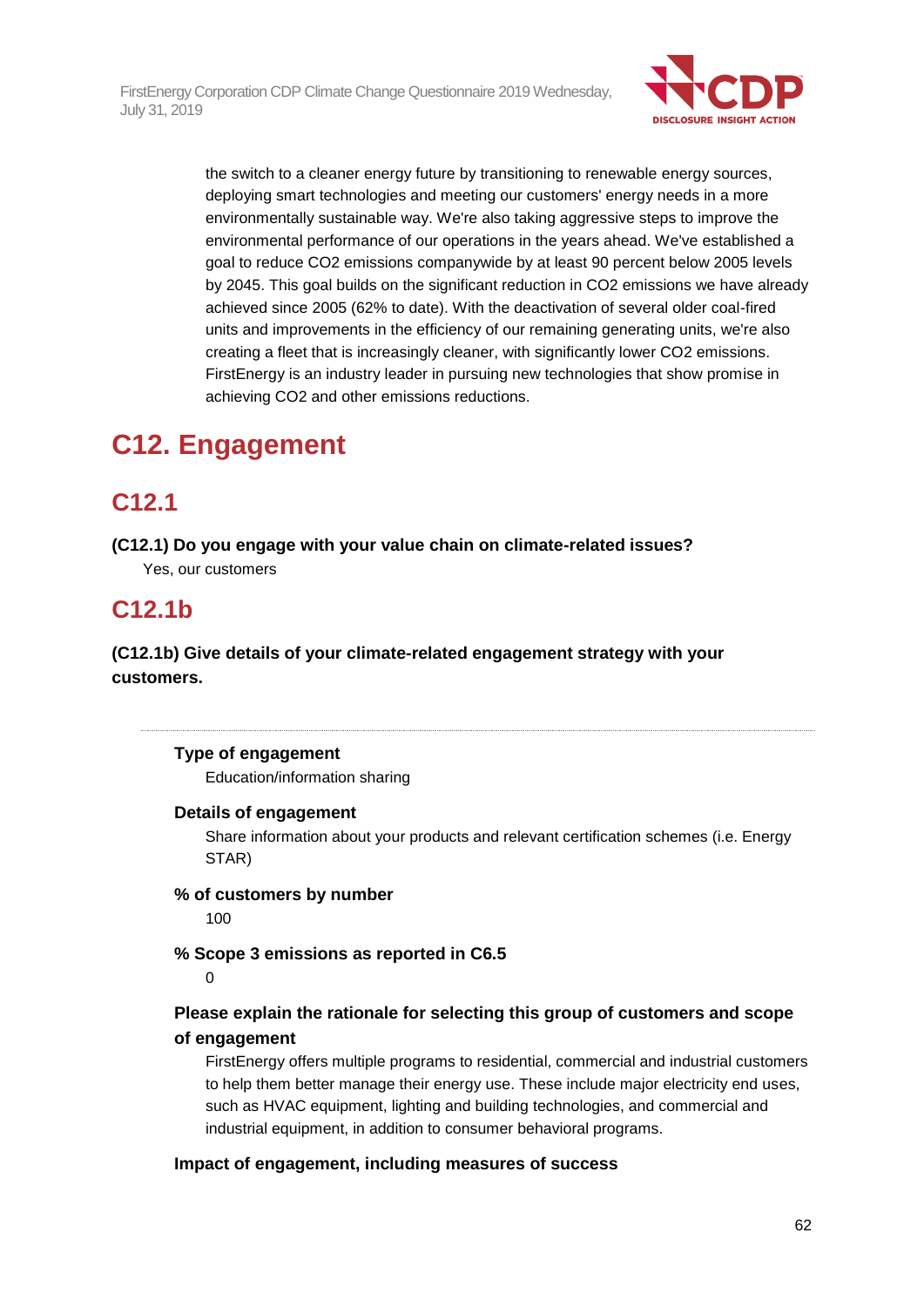

the switch to a cleaner energy future by transitioning to renewable energy sources, deploying smart technologies and meeting our customers' energy needs in a more environmentally sustainable way. We're also taking aggressive steps to improve the environmental performance of our operations in the years ahead. We've established a goal to reduce CO2 emissions companywide by at least 90 percent below 2005 levels by 2045. This goal builds on the significant reduction in CO2 emissions we have already achieved since 2005 (62% to date). With the deactivation of several older coal-fired units and improvements in the efficiency of our remaining generating units, we're also creating a fleet that is increasingly cleaner, with significantly lower CO2 emissions. FirstEnergy is an industry leader in pursuing new technologies that show promise in achieving CO2 and other emissions reductions.

# **C12. Engagement**

## **C12.1**

**(C12.1) Do you engage with your value chain on climate-related issues?** Yes, our customers

## **C12.1b**

**(C12.1b) Give details of your climate-related engagement strategy with your customers.**

## **Type of engagement**

Education/information sharing

### **Details of engagement**

Share information about your products and relevant certification schemes (i.e. Energy STAR)

## **% of customers by number**

100

**% Scope 3 emissions as reported in C6.5**

#### 0

## **Please explain the rationale for selecting this group of customers and scope of engagement**

FirstEnergy offers multiple programs to residential, commercial and industrial customers to help them better manage their energy use. These include major electricity end uses, such as HVAC equipment, lighting and building technologies, and commercial and industrial equipment, in addition to consumer behavioral programs.

## **Impact of engagement, including measures of success**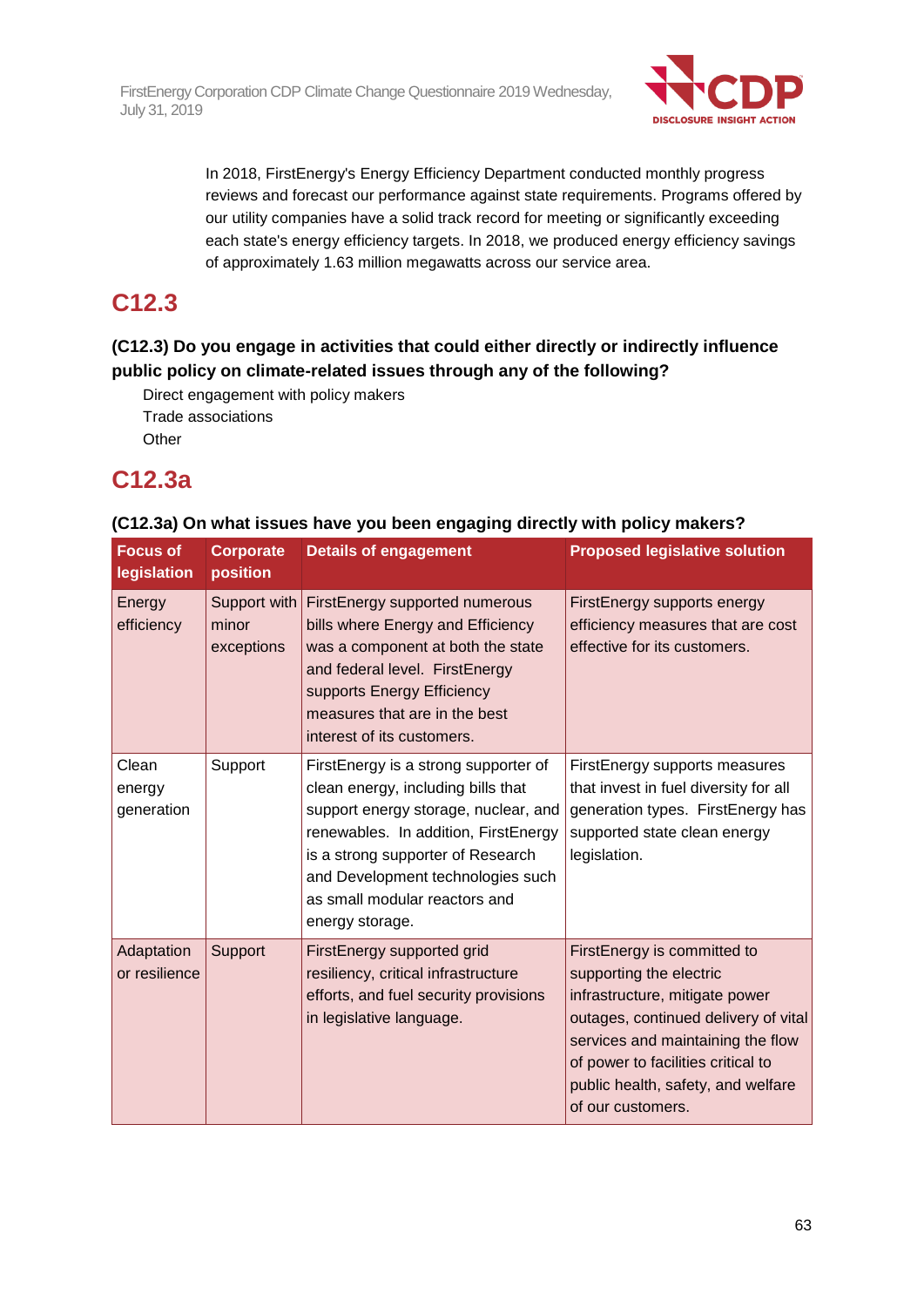

In 2018, FirstEnergy's Energy Efficiency Department conducted monthly progress reviews and forecast our performance against state requirements. Programs offered by our utility companies have a solid track record for meeting or significantly exceeding each state's energy efficiency targets. In 2018, we produced energy efficiency savings of approximately 1.63 million megawatts across our service area.

## **C12.3**

## **(C12.3) Do you engage in activities that could either directly or indirectly influence public policy on climate-related issues through any of the following?**

Direct engagement with policy makers Trade associations **Other** 

## **C12.3a**

| <b>Focus of</b><br>legislation | <b>Corporate</b><br>position        | <b>Details of engagement</b>                                                                                                                                                                                                                                                             | <b>Proposed legislative solution</b>                                                                                                                                                                                                                                   |
|--------------------------------|-------------------------------------|------------------------------------------------------------------------------------------------------------------------------------------------------------------------------------------------------------------------------------------------------------------------------------------|------------------------------------------------------------------------------------------------------------------------------------------------------------------------------------------------------------------------------------------------------------------------|
| Energy<br>efficiency           | Support with<br>minor<br>exceptions | FirstEnergy supported numerous<br>bills where Energy and Efficiency<br>was a component at both the state<br>and federal level. FirstEnergy<br>supports Energy Efficiency<br>measures that are in the best<br>interest of its customers.                                                  | FirstEnergy supports energy<br>efficiency measures that are cost<br>effective for its customers.                                                                                                                                                                       |
| Clean<br>energy<br>generation  | Support                             | FirstEnergy is a strong supporter of<br>clean energy, including bills that<br>support energy storage, nuclear, and<br>renewables. In addition, FirstEnergy<br>is a strong supporter of Research<br>and Development technologies such<br>as small modular reactors and<br>energy storage. | FirstEnergy supports measures<br>that invest in fuel diversity for all<br>generation types. FirstEnergy has<br>supported state clean energy<br>legislation.                                                                                                            |
| Adaptation<br>or resilience    | Support                             | FirstEnergy supported grid<br>resiliency, critical infrastructure<br>efforts, and fuel security provisions<br>in legislative language.                                                                                                                                                   | FirstEnergy is committed to<br>supporting the electric<br>infrastructure, mitigate power<br>outages, continued delivery of vital<br>services and maintaining the flow<br>of power to facilities critical to<br>public health, safety, and welfare<br>of our customers. |

## **(C12.3a) On what issues have you been engaging directly with policy makers?**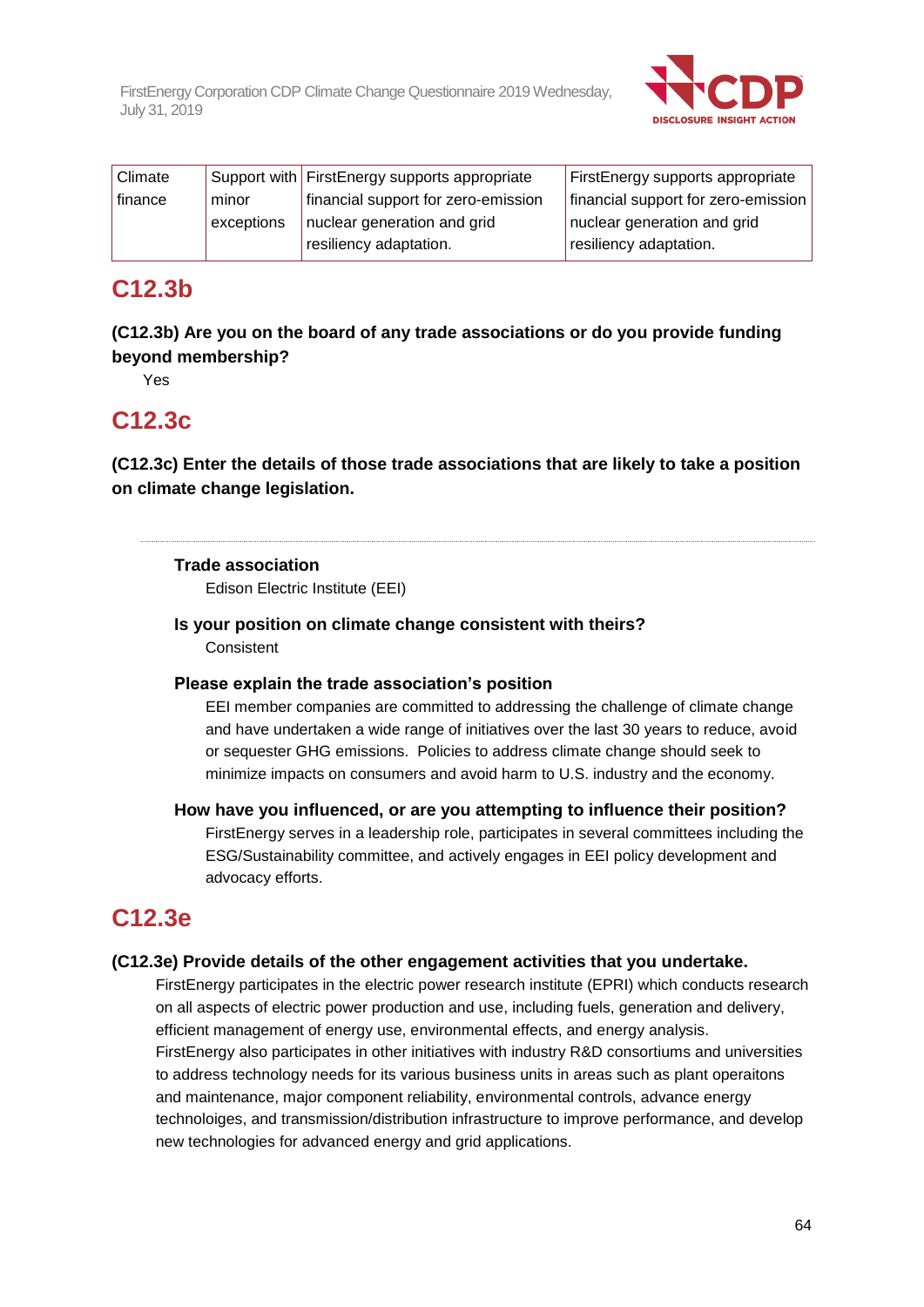

| <b>Climate</b> |            | Support with FirstEnergy supports appropriate | FirstEnergy supports appropriate    |
|----------------|------------|-----------------------------------------------|-------------------------------------|
| finance        | minor      | financial support for zero-emission           | financial support for zero-emission |
|                | exceptions | nuclear generation and grid                   | nuclear generation and grid         |
|                |            | resiliency adaptation.                        | resiliency adaptation.              |

## **C12.3b**

## **(C12.3b) Are you on the board of any trade associations or do you provide funding beyond membership?**

Yes

## **C12.3c**

**(C12.3c) Enter the details of those trade associations that are likely to take a position on climate change legislation.**

## **Trade association**

Edison Electric Institute (EEI)

## **Is your position on climate change consistent with theirs?**

Consistent

### **Please explain the trade association's position**

EEI member companies are committed to addressing the challenge of climate change and have undertaken a wide range of initiatives over the last 30 years to reduce, avoid or sequester GHG emissions. Policies to address climate change should seek to minimize impacts on consumers and avoid harm to U.S. industry and the economy.

## **How have you influenced, or are you attempting to influence their position?**

FirstEnergy serves in a leadership role, participates in several committees including the ESG/Sustainability committee, and actively engages in EEI policy development and advocacy efforts.

## **C12.3e**

## **(C12.3e) Provide details of the other engagement activities that you undertake.**

FirstEnergy participates in the electric power research institute (EPRI) which conducts research on all aspects of electric power production and use, including fuels, generation and delivery, efficient management of energy use, environmental effects, and energy analysis. FirstEnergy also participates in other initiatives with industry R&D consortiums and universities to address technology needs for its various business units in areas such as plant operaitons and maintenance, major component reliability, environmental controls, advance energy technoloiges, and transmission/distribution infrastructure to improve performance, and develop new technologies for advanced energy and grid applications.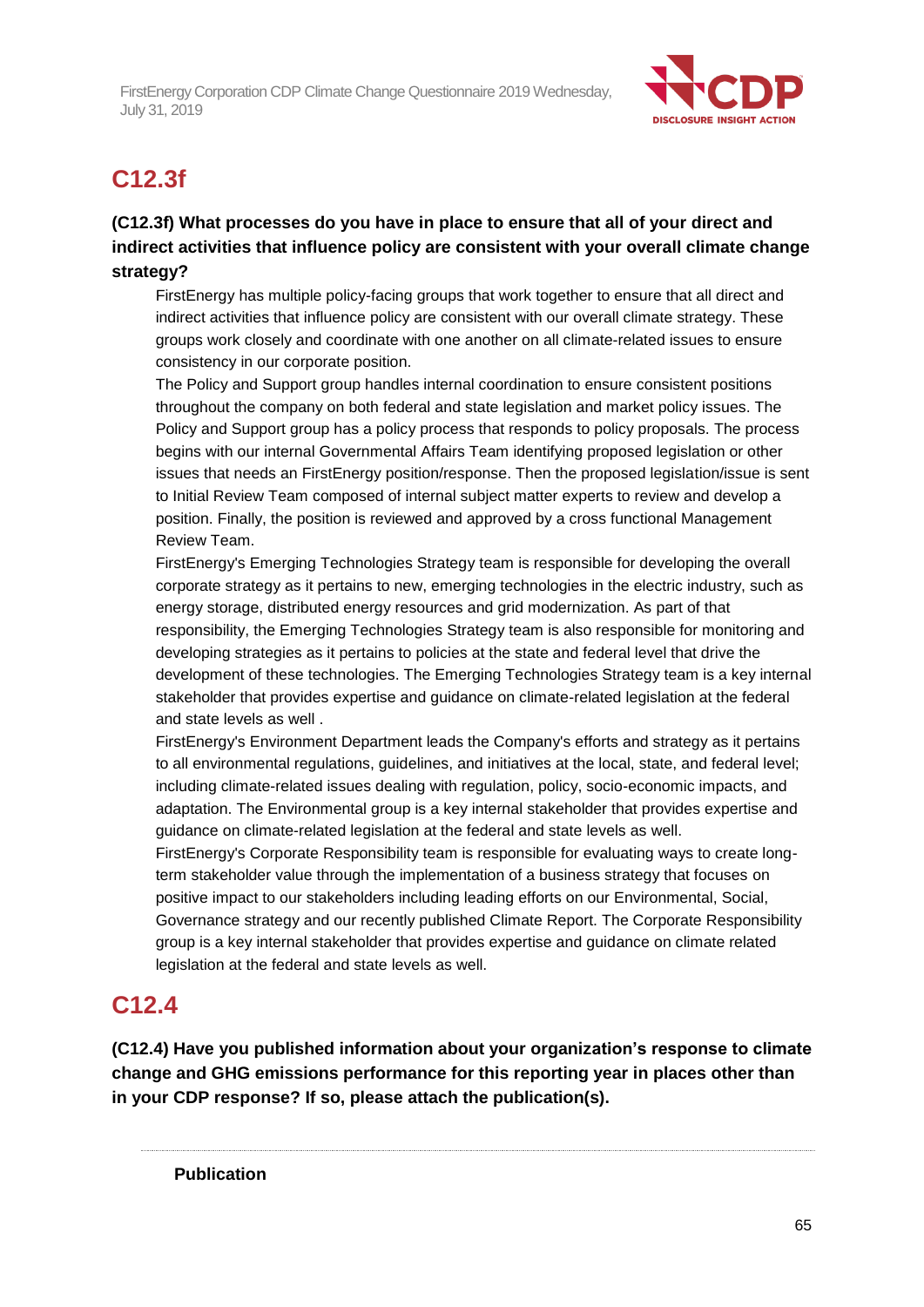

# **C12.3f**

## **(C12.3f) What processes do you have in place to ensure that all of your direct and indirect activities that influence policy are consistent with your overall climate change strategy?**

FirstEnergy has multiple policy-facing groups that work together to ensure that all direct and indirect activities that influence policy are consistent with our overall climate strategy. These groups work closely and coordinate with one another on all climate-related issues to ensure consistency in our corporate position.

The Policy and Support group handles internal coordination to ensure consistent positions throughout the company on both federal and state legislation and market policy issues. The Policy and Support group has a policy process that responds to policy proposals. The process begins with our internal Governmental Affairs Team identifying proposed legislation or other issues that needs an FirstEnergy position/response. Then the proposed legislation/issue is sent to Initial Review Team composed of internal subject matter experts to review and develop a position. Finally, the position is reviewed and approved by a cross functional Management Review Team.

FirstEnergy's Emerging Technologies Strategy team is responsible for developing the overall corporate strategy as it pertains to new, emerging technologies in the electric industry, such as energy storage, distributed energy resources and grid modernization. As part of that responsibility, the Emerging Technologies Strategy team is also responsible for monitoring and developing strategies as it pertains to policies at the state and federal level that drive the development of these technologies. The Emerging Technologies Strategy team is a key internal stakeholder that provides expertise and guidance on climate-related legislation at the federal and state levels as well .

FirstEnergy's Environment Department leads the Company's efforts and strategy as it pertains to all environmental regulations, guidelines, and initiatives at the local, state, and federal level; including climate-related issues dealing with regulation, policy, socio-economic impacts, and adaptation. The Environmental group is a key internal stakeholder that provides expertise and guidance on climate-related legislation at the federal and state levels as well.

FirstEnergy's Corporate Responsibility team is responsible for evaluating ways to create longterm stakeholder value through the implementation of a business strategy that focuses on positive impact to our stakeholders including leading efforts on our Environmental, Social, Governance strategy and our recently published Climate Report. The Corporate Responsibility group is a key internal stakeholder that provides expertise and guidance on climate related legislation at the federal and state levels as well.

## **C12.4**

**(C12.4) Have you published information about your organization's response to climate change and GHG emissions performance for this reporting year in places other than in your CDP response? If so, please attach the publication(s).**

**Publication**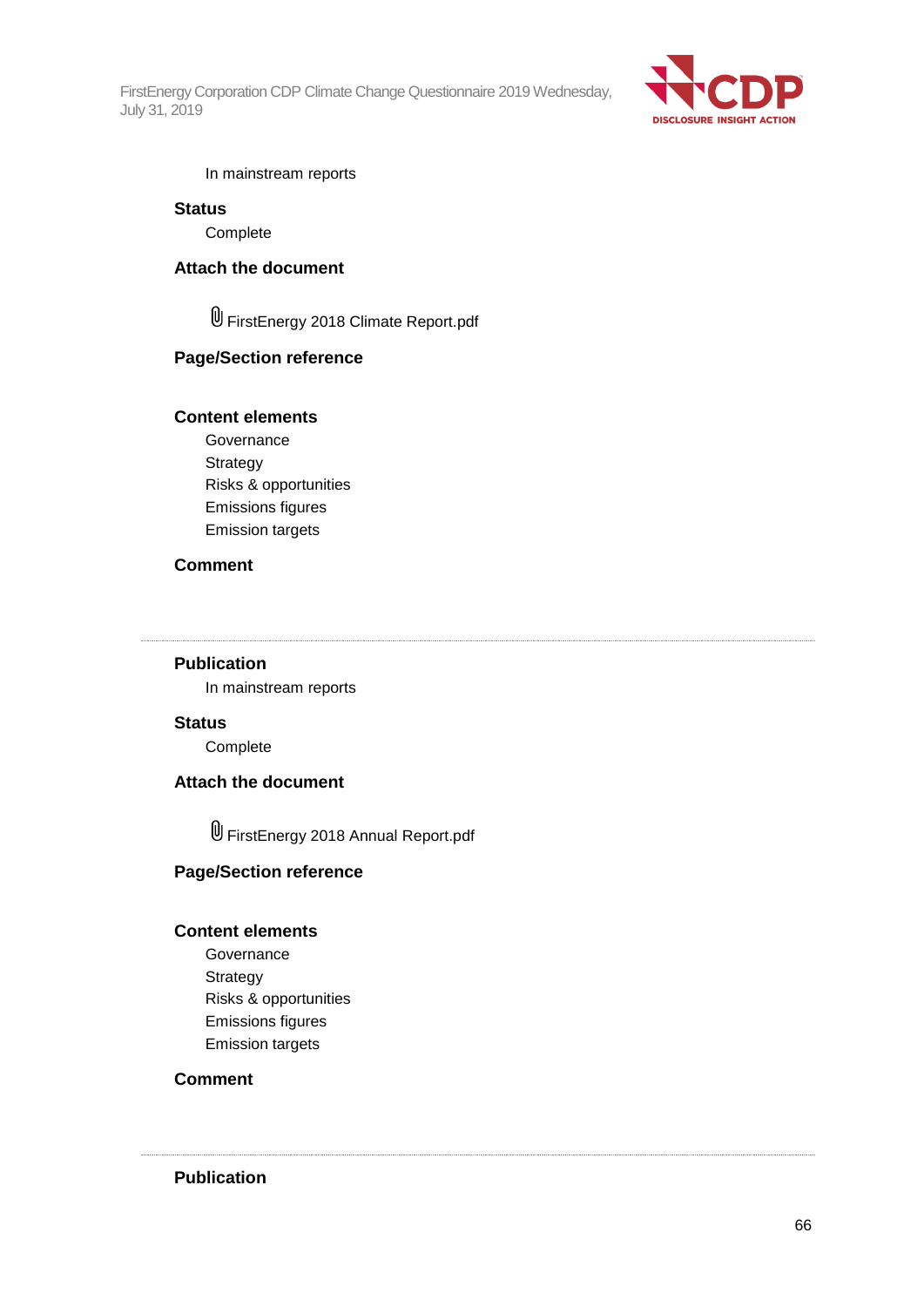

In mainstream reports

#### **Status**

**Complete** 

### **Attach the document**

FirstEnergy 2018 Climate Report.pdf

#### **Page/Section reference**

#### **Content elements**

Governance Strategy Risks & opportunities Emissions figures Emission targets

#### **Comment**

## **Publication**

In mainstream reports

#### **Status**

Complete

#### **Attach the document**

FirstEnergy 2018 Annual Report.pdf

#### **Page/Section reference**

#### **Content elements**

Governance Strategy Risks & opportunities Emissions figures Emission targets

### **Comment**

**Publication**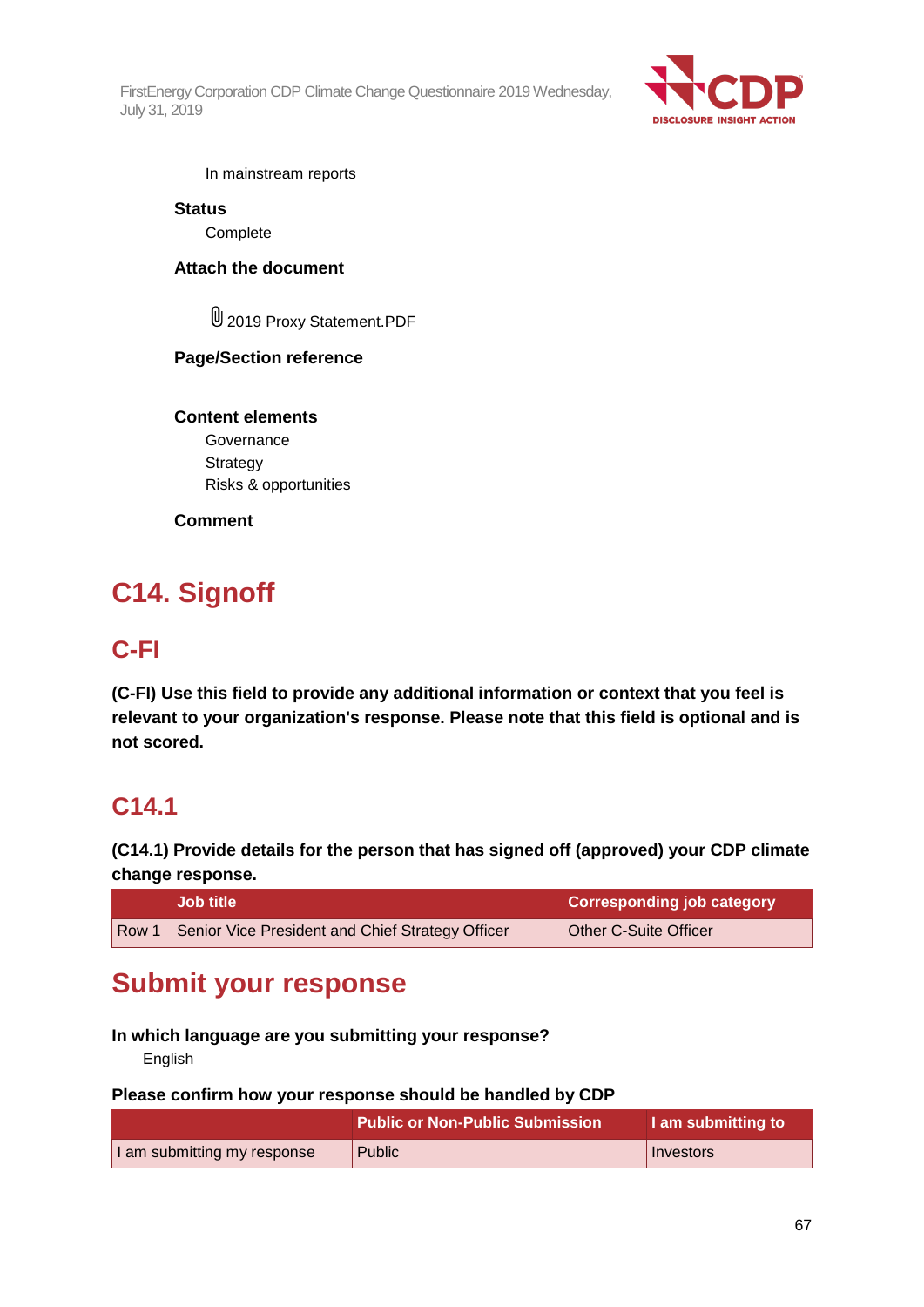

In mainstream reports

### **Status**

**Complete** 

## **Attach the document**

2019 Proxy Statement.PDF

## **Page/Section reference**

**Content elements Governance Strategy** Risks & opportunities

## **Comment**

# **C14. Signoff**

## **C-FI**

**(C-FI) Use this field to provide any additional information or context that you feel is relevant to your organization's response. Please note that this field is optional and is not scored.**

## **C14.1**

**(C14.1) Provide details for the person that has signed off (approved) your CDP climate change response.**

|       | <b>Job title</b>                                 | <b>Corresponding job category</b> |
|-------|--------------------------------------------------|-----------------------------------|
| Row 1 | Senior Vice President and Chief Strategy Officer | Other C-Suite Officer             |

# **Submit your response**

## **In which language are you submitting your response?**

English

### **Please confirm how your response should be handled by CDP**

|                             | <b>Public or Non-Public Submission</b> | I am submitting to |
|-----------------------------|----------------------------------------|--------------------|
| I am submitting my response | Public                                 | Investors          |